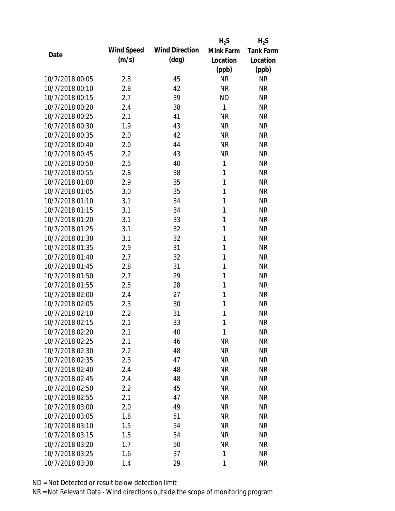|                 |            |                       | $H_2S$    | $H_2S$           |
|-----------------|------------|-----------------------|-----------|------------------|
| Date            | Wind Speed | <b>Wind Direction</b> | Mink Farm | <b>Tank Farm</b> |
|                 | (m/s)      | $(\text{deg})$        | Location  | Location         |
|                 |            |                       | (ppb)     | (ppb)            |
| 10/7/2018 00:05 | 2.8        | 45                    | <b>NR</b> | <b>NR</b>        |
| 10/7/2018 00:10 | 2.8        | 42                    | <b>NR</b> | <b>NR</b>        |
| 10/7/2018 00:15 | 2.7        | 39                    | <b>ND</b> | <b>NR</b>        |
| 10/7/2018 00:20 | 2.4        | 38                    | 1         | <b>NR</b>        |
| 10/7/2018 00:25 | 2.1        | 41                    | <b>NR</b> | <b>NR</b>        |
| 10/7/2018 00:30 | 1.9        | 43                    | <b>NR</b> | <b>NR</b>        |
| 10/7/2018 00:35 | 2.0        | 42                    | <b>NR</b> | <b>NR</b>        |
| 10/7/2018 00:40 | 2.0        | 44                    | <b>NR</b> | <b>NR</b>        |
| 10/7/2018 00:45 | 2.2        | 43                    | <b>NR</b> | <b>NR</b>        |
| 10/7/2018 00:50 | 2.5        | 40                    | 1         | <b>NR</b>        |
| 10/7/2018 00:55 | 2.8        | 38                    | 1         | <b>NR</b>        |
| 10/7/2018 01:00 | 2.9        | 35                    | 1         | <b>NR</b>        |
| 10/7/2018 01:05 | 3.0        | 35                    | 1         | <b>NR</b>        |
| 10/7/2018 01:10 | 3.1        | 34                    | 1         | <b>NR</b>        |
| 10/7/2018 01:15 | 3.1        | 34                    | 1         | <b>NR</b>        |
| 10/7/2018 01:20 | 3.1        | 33                    | 1         | <b>NR</b>        |
| 10/7/2018 01:25 | 3.1        | 32                    | 1         | <b>NR</b>        |
| 10/7/2018 01:30 | 3.1        | 32                    | 1         | <b>NR</b>        |
| 10/7/2018 01:35 | 2.9        | 31                    | 1         | <b>NR</b>        |
| 10/7/2018 01:40 | 2.7        | 32                    | 1         | <b>NR</b>        |
| 10/7/2018 01:45 | 2.8        | 31                    | 1         | <b>NR</b>        |
| 10/7/2018 01:50 | 2.7        | 29                    | 1         | <b>NR</b>        |
| 10/7/2018 01:55 | 2.5        | 28                    | 1         | <b>NR</b>        |
| 10/7/2018 02:00 | 2.4        | 27                    | 1         | <b>NR</b>        |
| 10/7/2018 02:05 | 2.3        | 30                    | 1         | <b>NR</b>        |
| 10/7/2018 02:10 | 2.2        | 31                    | 1         | <b>NR</b>        |
| 10/7/2018 02:15 | 2.1        | 33                    | 1         | <b>NR</b>        |
| 10/7/2018 02:20 | 2.1        | 40                    | 1         | <b>NR</b>        |
| 10/7/2018 02:25 | 2.1        | 46                    | <b>NR</b> | <b>NR</b>        |
| 10/7/2018 02:30 | 2.2        | 48                    | <b>NR</b> | <b>NR</b>        |
| 10/7/2018 02:35 | 2.3        | 47                    | <b>NR</b> | <b>NR</b>        |
| 10/7/2018 02:40 | 2.4        | 48                    | <b>NR</b> | <b>NR</b>        |
| 10/7/2018 02:45 | 2.4        | 48                    | <b>NR</b> | <b>NR</b>        |
| 10/7/2018 02:50 | 2.2        | 45                    | <b>NR</b> | <b>NR</b>        |
| 10/7/2018 02:55 | 2.1        | 47                    | <b>NR</b> | <b>NR</b>        |
| 10/7/2018 03:00 | 2.0        | 49                    | <b>NR</b> | <b>NR</b>        |
| 10/7/2018 03:05 | 1.8        | 51                    | <b>NR</b> | <b>NR</b>        |
| 10/7/2018 03:10 | 1.5        | 54                    | <b>NR</b> | <b>NR</b>        |
| 10/7/2018 03:15 | 1.5        | 54                    | <b>NR</b> | <b>NR</b>        |
| 10/7/2018 03:20 | 1.7        | 50                    | <b>NR</b> | <b>NR</b>        |
| 10/7/2018 03:25 | 1.6        | 37                    | 1         | <b>NR</b>        |
| 10/7/2018 03:30 | 1.4        | 29                    | 1         | <b>NR</b>        |
|                 |            |                       |           |                  |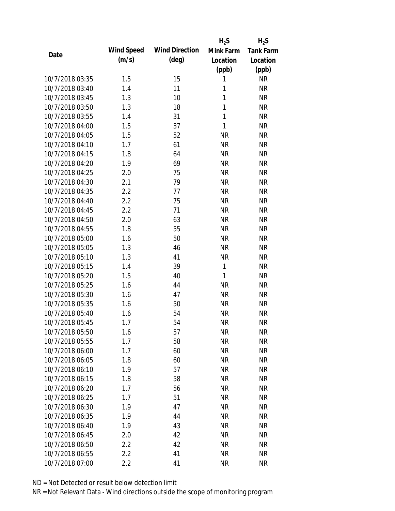|                 |            |                       | $H_2S$       | $H_2S$           |
|-----------------|------------|-----------------------|--------------|------------------|
|                 | Wind Speed | <b>Wind Direction</b> | Mink Farm    | <b>Tank Farm</b> |
| Date            | (m/s)      | $(\text{deg})$        | Location     | Location         |
|                 |            |                       | (ppb)        | (ppb)            |
| 10/7/2018 03:35 | 1.5        | 15                    | 1            | <b>NR</b>        |
| 10/7/2018 03:40 | 1.4        | 11                    | 1            | <b>NR</b>        |
| 10/7/2018 03:45 | 1.3        | 10                    | 1            | <b>NR</b>        |
| 10/7/2018 03:50 | 1.3        | 18                    | $\mathbf{1}$ | <b>NR</b>        |
| 10/7/2018 03:55 | 1.4        | 31                    | $\mathbf{1}$ | <b>NR</b>        |
| 10/7/2018 04:00 | 1.5        | 37                    | 1            | <b>NR</b>        |
| 10/7/2018 04:05 | 1.5        | 52                    | <b>NR</b>    | <b>NR</b>        |
| 10/7/2018 04:10 | 1.7        | 61                    | <b>NR</b>    | <b>NR</b>        |
| 10/7/2018 04:15 | 1.8        | 64                    | <b>NR</b>    | <b>NR</b>        |
| 10/7/2018 04:20 | 1.9        | 69                    | <b>NR</b>    | <b>NR</b>        |
| 10/7/2018 04:25 | 2.0        | 75                    | <b>NR</b>    | <b>NR</b>        |
| 10/7/2018 04:30 | 2.1        | 79                    | <b>NR</b>    | <b>NR</b>        |
| 10/7/2018 04:35 | 2.2        | 77                    | <b>NR</b>    | <b>NR</b>        |
| 10/7/2018 04:40 | 2.2        | 75                    | <b>NR</b>    | <b>NR</b>        |
| 10/7/2018 04:45 | 2.2        | 71                    | <b>NR</b>    | <b>NR</b>        |
| 10/7/2018 04:50 | 2.0        | 63                    | <b>NR</b>    | <b>NR</b>        |
| 10/7/2018 04:55 | 1.8        | 55                    | <b>NR</b>    | <b>NR</b>        |
| 10/7/2018 05:00 | 1.6        | 50                    | <b>NR</b>    | <b>NR</b>        |
| 10/7/2018 05:05 | 1.3        | 46                    | <b>NR</b>    | <b>NR</b>        |
| 10/7/2018 05:10 | 1.3        | 41                    | <b>NR</b>    | <b>NR</b>        |
| 10/7/2018 05:15 | 1.4        | 39                    | 1            | <b>NR</b>        |
| 10/7/2018 05:20 | 1.5        | 40                    | 1            | <b>NR</b>        |
| 10/7/2018 05:25 | 1.6        | 44                    | <b>NR</b>    | <b>NR</b>        |
| 10/7/2018 05:30 | 1.6        | 47                    | <b>NR</b>    | <b>NR</b>        |
| 10/7/2018 05:35 | 1.6        | 50                    | <b>NR</b>    | <b>NR</b>        |
| 10/7/2018 05:40 | 1.6        | 54                    | <b>NR</b>    | <b>NR</b>        |
| 10/7/2018 05:45 | 1.7        | 54                    | <b>NR</b>    | <b>NR</b>        |
| 10/7/2018 05:50 | 1.6        | 57                    | <b>NR</b>    | <b>NR</b>        |
| 10/7/2018 05:55 | 1.7        | 58                    | <b>NR</b>    | <b>NR</b>        |
| 10/7/2018 06:00 | 1.7        | 60                    | NR           | <b>NR</b>        |
| 10/7/2018 06:05 | 1.8        | 60                    | <b>NR</b>    | <b>NR</b>        |
| 10/7/2018 06:10 | 1.9        | 57                    | <b>NR</b>    | <b>NR</b>        |
| 10/7/2018 06:15 | 1.8        | 58                    | <b>NR</b>    | <b>NR</b>        |
| 10/7/2018 06:20 | 1.7        | 56                    | <b>NR</b>    | <b>NR</b>        |
| 10/7/2018 06:25 | 1.7        | 51                    | <b>NR</b>    | <b>NR</b>        |
| 10/7/2018 06:30 | 1.9        | 47                    | <b>NR</b>    | <b>NR</b>        |
| 10/7/2018 06:35 | 1.9        | 44                    | <b>NR</b>    | <b>NR</b>        |
| 10/7/2018 06:40 | 1.9        | 43                    | <b>NR</b>    | <b>NR</b>        |
| 10/7/2018 06:45 | 2.0        | 42                    | <b>NR</b>    | <b>NR</b>        |
| 10/7/2018 06:50 | 2.2        | 42                    | <b>NR</b>    | <b>NR</b>        |
| 10/7/2018 06:55 | 2.2        | 41                    | <b>NR</b>    | <b>NR</b>        |
| 10/7/2018 07:00 | 2.2        | 41                    | <b>NR</b>    | <b>NR</b>        |
|                 |            |                       |              |                  |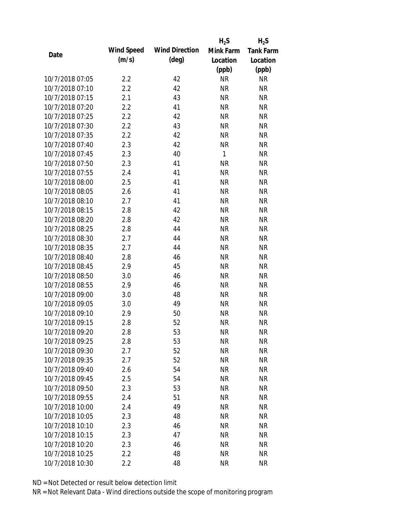|                 |            |                       | $H_2S$    | $H_2S$           |
|-----------------|------------|-----------------------|-----------|------------------|
| Date            | Wind Speed | <b>Wind Direction</b> | Mink Farm | <b>Tank Farm</b> |
|                 | (m/s)      | $(\text{deg})$        | Location  | Location         |
|                 |            |                       | (ppb)     | (ppb)            |
| 10/7/2018 07:05 | 2.2        | 42                    | <b>NR</b> | <b>NR</b>        |
| 10/7/2018 07:10 | 2.2        | 42                    | <b>NR</b> | <b>NR</b>        |
| 10/7/2018 07:15 | 2.1        | 43                    | <b>NR</b> | <b>NR</b>        |
| 10/7/2018 07:20 | 2.2        | 41                    | <b>NR</b> | <b>NR</b>        |
| 10/7/2018 07:25 | 2.2        | 42                    | <b>NR</b> | <b>NR</b>        |
| 10/7/2018 07:30 | 2.2        | 43                    | <b>NR</b> | <b>NR</b>        |
| 10/7/2018 07:35 | 2.2        | 42                    | <b>NR</b> | <b>NR</b>        |
| 10/7/2018 07:40 | 2.3        | 42                    | <b>NR</b> | <b>NR</b>        |
| 10/7/2018 07:45 | 2.3        | 40                    | 1         | <b>NR</b>        |
| 10/7/2018 07:50 | 2.3        | 41                    | <b>NR</b> | <b>NR</b>        |
| 10/7/2018 07:55 | 2.4        | 41                    | <b>NR</b> | <b>NR</b>        |
| 10/7/2018 08:00 | 2.5        | 41                    | <b>NR</b> | <b>NR</b>        |
| 10/7/2018 08:05 | 2.6        | 41                    | <b>NR</b> | <b>NR</b>        |
| 10/7/2018 08:10 | 2.7        | 41                    | <b>NR</b> | <b>NR</b>        |
| 10/7/2018 08:15 | 2.8        | 42                    | <b>NR</b> | <b>NR</b>        |
| 10/7/2018 08:20 | 2.8        | 42                    | <b>NR</b> | <b>NR</b>        |
| 10/7/2018 08:25 | 2.8        | 44                    | <b>NR</b> | <b>NR</b>        |
| 10/7/2018 08:30 | 2.7        | 44                    | <b>NR</b> | <b>NR</b>        |
| 10/7/2018 08:35 | 2.7        | 44                    | <b>NR</b> | <b>NR</b>        |
| 10/7/2018 08:40 | 2.8        | 46                    | <b>NR</b> | <b>NR</b>        |
| 10/7/2018 08:45 | 2.9        | 45                    | <b>NR</b> | <b>NR</b>        |
| 10/7/2018 08:50 | 3.0        | 46                    | <b>NR</b> | <b>NR</b>        |
| 10/7/2018 08:55 | 2.9        | 46                    | <b>NR</b> | <b>NR</b>        |
| 10/7/2018 09:00 | 3.0        | 48                    | <b>NR</b> | <b>NR</b>        |
| 10/7/2018 09:05 | 3.0        | 49                    | <b>NR</b> | <b>NR</b>        |
| 10/7/2018 09:10 | 2.9        | 50                    | <b>NR</b> | <b>NR</b>        |
| 10/7/2018 09:15 | 2.8        | 52                    | <b>NR</b> | <b>NR</b>        |
| 10/7/2018 09:20 | 2.8        | 53                    | <b>NR</b> | <b>NR</b>        |
| 10/7/2018 09:25 | 2.8        | 53                    | <b>NR</b> | <b>NR</b>        |
| 10/7/2018 09:30 | 2.7        | 52                    | <b>NR</b> | <b>NR</b>        |
| 10/7/2018 09:35 | 2.7        | 52                    | <b>NR</b> | <b>NR</b>        |
| 10/7/2018 09:40 | 2.6        | 54                    | <b>NR</b> | NR               |
| 10/7/2018 09:45 | 2.5        | 54                    | <b>NR</b> | <b>NR</b>        |
| 10/7/2018 09:50 | 2.3        | 53                    | <b>NR</b> | <b>NR</b>        |
| 10/7/2018 09:55 | 2.4        | 51                    | <b>NR</b> | NR               |
| 10/7/2018 10:00 | 2.4        | 49                    | <b>NR</b> | <b>NR</b>        |
| 10/7/2018 10:05 | 2.3        | 48                    | <b>NR</b> | NR               |
| 10/7/2018 10:10 | 2.3        | 46                    | <b>NR</b> | <b>NR</b>        |
| 10/7/2018 10:15 | 2.3        | 47                    | <b>NR</b> | NR               |
| 10/7/2018 10:20 | 2.3        | 46                    | <b>NR</b> | NR               |
| 10/7/2018 10:25 | 2.2        | 48                    | <b>NR</b> | <b>NR</b>        |
| 10/7/2018 10:30 | 2.2        | 48                    | <b>NR</b> | <b>NR</b>        |
|                 |            |                       |           |                  |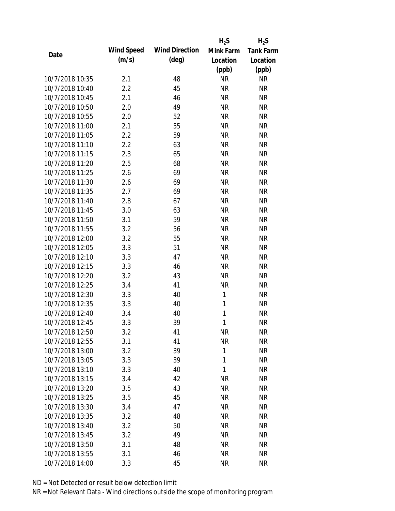|                 |            |                       | $H_2S$       | $H_2S$           |
|-----------------|------------|-----------------------|--------------|------------------|
| Date            | Wind Speed | <b>Wind Direction</b> | Mink Farm    | <b>Tank Farm</b> |
|                 | (m/s)      | $(\text{deg})$        | Location     | Location         |
|                 |            |                       | (ppb)        | (ppb)            |
| 10/7/2018 10:35 | 2.1        | 48                    | <b>NR</b>    | <b>NR</b>        |
| 10/7/2018 10:40 | 2.2        | 45                    | <b>NR</b>    | <b>NR</b>        |
| 10/7/2018 10:45 | 2.1        | 46                    | <b>NR</b>    | <b>NR</b>        |
| 10/7/2018 10:50 | 2.0        | 49                    | <b>NR</b>    | <b>NR</b>        |
| 10/7/2018 10:55 | 2.0        | 52                    | <b>NR</b>    | <b>NR</b>        |
| 10/7/2018 11:00 | 2.1        | 55                    | <b>NR</b>    | <b>NR</b>        |
| 10/7/2018 11:05 | 2.2        | 59                    | <b>NR</b>    | <b>NR</b>        |
| 10/7/2018 11:10 | 2.2        | 63                    | <b>NR</b>    | <b>NR</b>        |
| 10/7/2018 11:15 | 2.3        | 65                    | <b>NR</b>    | <b>NR</b>        |
| 10/7/2018 11:20 | 2.5        | 68                    | <b>NR</b>    | <b>NR</b>        |
| 10/7/2018 11:25 | 2.6        | 69                    | <b>NR</b>    | <b>NR</b>        |
| 10/7/2018 11:30 | 2.6        | 69                    | <b>NR</b>    | <b>NR</b>        |
| 10/7/2018 11:35 | 2.7        | 69                    | <b>NR</b>    | <b>NR</b>        |
| 10/7/2018 11:40 | 2.8        | 67                    | <b>NR</b>    | <b>NR</b>        |
| 10/7/2018 11:45 | 3.0        | 63                    | <b>NR</b>    | <b>NR</b>        |
| 10/7/2018 11:50 | 3.1        | 59                    | <b>NR</b>    | <b>NR</b>        |
| 10/7/2018 11:55 | 3.2        | 56                    | <b>NR</b>    | <b>NR</b>        |
| 10/7/2018 12:00 | 3.2        | 55                    | <b>NR</b>    | <b>NR</b>        |
| 10/7/2018 12:05 | 3.3        | 51                    | <b>NR</b>    | <b>NR</b>        |
| 10/7/2018 12:10 | 3.3        | 47                    | <b>NR</b>    | <b>NR</b>        |
| 10/7/2018 12:15 | 3.3        | 46                    | <b>NR</b>    | <b>NR</b>        |
| 10/7/2018 12:20 | 3.2        | 43                    | <b>NR</b>    | <b>NR</b>        |
| 10/7/2018 12:25 | 3.4        | 41                    | <b>NR</b>    | <b>NR</b>        |
| 10/7/2018 12:30 | 3.3        | 40                    | 1            | <b>NR</b>        |
| 10/7/2018 12:35 | 3.3        | 40                    | 1            | <b>NR</b>        |
| 10/7/2018 12:40 | 3.4        | 40                    | 1            | <b>NR</b>        |
| 10/7/2018 12:45 | 3.3        | 39                    | 1            | <b>NR</b>        |
| 10/7/2018 12:50 | 3.2        | 41                    | <b>NR</b>    | <b>NR</b>        |
| 10/7/2018 12:55 | 3.1        | 41                    | <b>NR</b>    | <b>NR</b>        |
| 10/7/2018 13:00 | 3.2        | 39                    | 1            | <b>NR</b>        |
| 10/7/2018 13:05 | 3.3        | 39                    | $\mathbf{1}$ | <b>NR</b>        |
| 10/7/2018 13:10 | 3.3        | 40                    | 1            | NR               |
| 10/7/2018 13:15 | 3.4        | 42                    | <b>NR</b>    | <b>NR</b>        |
| 10/7/2018 13:20 | 3.5        | 43                    | <b>NR</b>    | <b>NR</b>        |
| 10/7/2018 13:25 | 3.5        | 45                    | <b>NR</b>    | NR               |
| 10/7/2018 13:30 | 3.4        | 47                    | <b>NR</b>    | <b>NR</b>        |
| 10/7/2018 13:35 | 3.2        | 48                    | <b>NR</b>    | <b>NR</b>        |
| 10/7/2018 13:40 | 3.2        | 50                    | <b>NR</b>    | <b>NR</b>        |
| 10/7/2018 13:45 | 3.2        | 49                    | <b>NR</b>    | NR               |
| 10/7/2018 13:50 | 3.1        | 48                    | <b>NR</b>    | NR               |
| 10/7/2018 13:55 | 3.1        | 46                    | <b>NR</b>    | <b>NR</b>        |
| 10/7/2018 14:00 | 3.3        | 45                    | <b>NR</b>    | <b>NR</b>        |
|                 |            |                       |              |                  |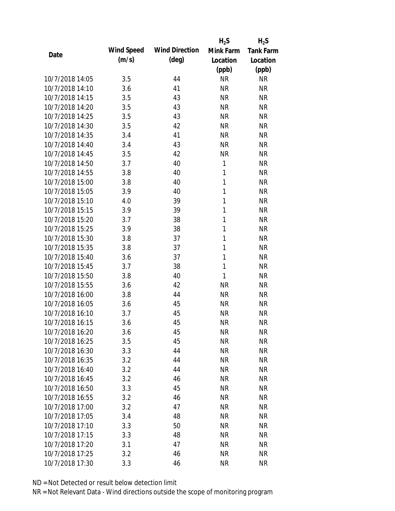|                 |            |                       | $H_2S$       | $H_2S$           |
|-----------------|------------|-----------------------|--------------|------------------|
| Date            | Wind Speed | <b>Wind Direction</b> | Mink Farm    | <b>Tank Farm</b> |
|                 | (m/s)      | $(\text{deg})$        | Location     | Location         |
|                 |            |                       | (ppb)        | (ppb)            |
| 10/7/2018 14:05 | 3.5        | 44                    | <b>NR</b>    | <b>NR</b>        |
| 10/7/2018 14:10 | 3.6        | 41                    | <b>NR</b>    | <b>NR</b>        |
| 10/7/2018 14:15 | 3.5        | 43                    | <b>NR</b>    | <b>NR</b>        |
| 10/7/2018 14:20 | 3.5        | 43                    | <b>NR</b>    | <b>NR</b>        |
| 10/7/2018 14:25 | 3.5        | 43                    | <b>NR</b>    | <b>NR</b>        |
| 10/7/2018 14:30 | 3.5        | 42                    | <b>NR</b>    | <b>NR</b>        |
| 10/7/2018 14:35 | 3.4        | 41                    | <b>NR</b>    | <b>NR</b>        |
| 10/7/2018 14:40 | 3.4        | 43                    | <b>NR</b>    | <b>NR</b>        |
| 10/7/2018 14:45 | 3.5        | 42                    | <b>NR</b>    | <b>NR</b>        |
| 10/7/2018 14:50 | 3.7        | 40                    | 1            | <b>NR</b>        |
| 10/7/2018 14:55 | 3.8        | 40                    | 1            | <b>NR</b>        |
| 10/7/2018 15:00 | 3.8        | 40                    | $\mathbf{1}$ | <b>NR</b>        |
| 10/7/2018 15:05 | 3.9        | 40                    | $\mathbf{1}$ | <b>NR</b>        |
| 10/7/2018 15:10 | 4.0        | 39                    | 1            | <b>NR</b>        |
| 10/7/2018 15:15 | 3.9        | 39                    | 1            | <b>NR</b>        |
| 10/7/2018 15:20 | 3.7        | 38                    | 1            | <b>NR</b>        |
| 10/7/2018 15:25 | 3.9        | 38                    | 1            | <b>NR</b>        |
| 10/7/2018 15:30 | 3.8        | 37                    | $\mathbf{1}$ | <b>NR</b>        |
| 10/7/2018 15:35 | 3.8        | 37                    | $\mathbf{1}$ | <b>NR</b>        |
| 10/7/2018 15:40 | 3.6        | 37                    | 1            | <b>NR</b>        |
| 10/7/2018 15:45 | 3.7        | 38                    | 1            | <b>NR</b>        |
| 10/7/2018 15:50 | 3.8        | 40                    | 1            | <b>NR</b>        |
| 10/7/2018 15:55 | 3.6        | 42                    | <b>NR</b>    | <b>NR</b>        |
| 10/7/2018 16:00 | 3.8        | 44                    | <b>NR</b>    | <b>NR</b>        |
| 10/7/2018 16:05 | 3.6        | 45                    | <b>NR</b>    | <b>NR</b>        |
| 10/7/2018 16:10 | 3.7        | 45                    | <b>NR</b>    | <b>NR</b>        |
| 10/7/2018 16:15 | 3.6        | 45                    | <b>NR</b>    | <b>NR</b>        |
| 10/7/2018 16:20 | 3.6        | 45                    | <b>NR</b>    | <b>NR</b>        |
| 10/7/2018 16:25 | 3.5        | 45                    | <b>NR</b>    | <b>NR</b>        |
| 10/7/2018 16:30 | 3.3        | 44                    | <b>NR</b>    | <b>NR</b>        |
| 10/7/2018 16:35 | 3.2        | 44                    | <b>NR</b>    | <b>NR</b>        |
| 10/7/2018 16:40 | 3.2        | 44                    | <b>NR</b>    | <b>NR</b>        |
| 10/7/2018 16:45 | 3.2        | 46                    | <b>NR</b>    | <b>NR</b>        |
| 10/7/2018 16:50 | 3.3        | 45                    | <b>NR</b>    | <b>NR</b>        |
| 10/7/2018 16:55 | 3.2        | 46                    | <b>NR</b>    | NR               |
| 10/7/2018 17:00 | 3.2        | 47                    | <b>NR</b>    | <b>NR</b>        |
| 10/7/2018 17:05 | 3.4        | 48                    | <b>NR</b>    | NR               |
| 10/7/2018 17:10 | 3.3        | 50                    | <b>NR</b>    | NR               |
| 10/7/2018 17:15 | 3.3        | 48                    | <b>NR</b>    | NR               |
| 10/7/2018 17:20 | 3.1        | 47                    | <b>NR</b>    | NR               |
| 10/7/2018 17:25 | 3.2        | 46                    | <b>NR</b>    | <b>NR</b>        |
| 10/7/2018 17:30 | 3.3        | 46                    | <b>NR</b>    | <b>NR</b>        |
|                 |            |                       |              |                  |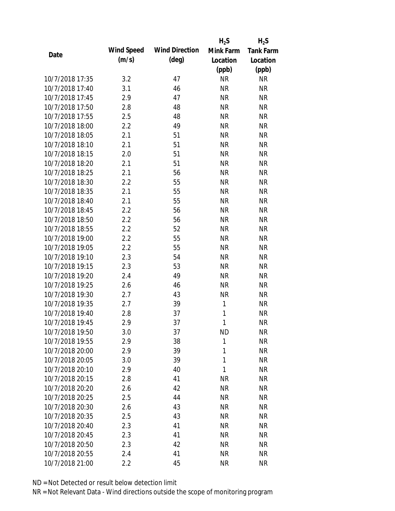|                 |            |                       | $H_2S$       | $H_2S$           |
|-----------------|------------|-----------------------|--------------|------------------|
| Date            | Wind Speed | <b>Wind Direction</b> | Mink Farm    | <b>Tank Farm</b> |
|                 | (m/s)      | $(\text{deg})$        | Location     | Location         |
|                 |            |                       | (ppb)        | (ppb)            |
| 10/7/2018 17:35 | 3.2        | 47                    | <b>NR</b>    | <b>NR</b>        |
| 10/7/2018 17:40 | 3.1        | 46                    | <b>NR</b>    | <b>NR</b>        |
| 10/7/2018 17:45 | 2.9        | 47                    | <b>NR</b>    | <b>NR</b>        |
| 10/7/2018 17:50 | 2.8        | 48                    | <b>NR</b>    | <b>NR</b>        |
| 10/7/2018 17:55 | 2.5        | 48                    | <b>NR</b>    | <b>NR</b>        |
| 10/7/2018 18:00 | 2.2        | 49                    | <b>NR</b>    | <b>NR</b>        |
| 10/7/2018 18:05 | 2.1        | 51                    | <b>NR</b>    | <b>NR</b>        |
| 10/7/2018 18:10 | 2.1        | 51                    | <b>NR</b>    | <b>NR</b>        |
| 10/7/2018 18:15 | 2.0        | 51                    | <b>NR</b>    | <b>NR</b>        |
| 10/7/2018 18:20 | 2.1        | 51                    | <b>NR</b>    | <b>NR</b>        |
| 10/7/2018 18:25 | 2.1        | 56                    | <b>NR</b>    | <b>NR</b>        |
| 10/7/2018 18:30 | 2.2        | 55                    | <b>NR</b>    | <b>NR</b>        |
| 10/7/2018 18:35 | 2.1        | 55                    | <b>NR</b>    | <b>NR</b>        |
| 10/7/2018 18:40 | 2.1        | 55                    | <b>NR</b>    | <b>NR</b>        |
| 10/7/2018 18:45 | 2.2        | 56                    | <b>NR</b>    | <b>NR</b>        |
| 10/7/2018 18:50 | 2.2        | 56                    | <b>NR</b>    | <b>NR</b>        |
| 10/7/2018 18:55 | 2.2        | 52                    | <b>NR</b>    | <b>NR</b>        |
| 10/7/2018 19:00 | 2.2        | 55                    | <b>NR</b>    | <b>NR</b>        |
| 10/7/2018 19:05 | 2.2        | 55                    | <b>NR</b>    | <b>NR</b>        |
| 10/7/2018 19:10 | 2.3        | 54                    | <b>NR</b>    | <b>NR</b>        |
| 10/7/2018 19:15 | 2.3        | 53                    | <b>NR</b>    | <b>NR</b>        |
| 10/7/2018 19:20 | 2.4        | 49                    | <b>NR</b>    | <b>NR</b>        |
| 10/7/2018 19:25 | 2.6        | 46                    | <b>NR</b>    | <b>NR</b>        |
| 10/7/2018 19:30 | 2.7        | 43                    | <b>NR</b>    | <b>NR</b>        |
| 10/7/2018 19:35 | 2.7        | 39                    | 1            | <b>NR</b>        |
| 10/7/2018 19:40 | 2.8        | 37                    | 1            | <b>NR</b>        |
| 10/7/2018 19:45 | 2.9        | 37                    | 1            | <b>NR</b>        |
| 10/7/2018 19:50 | 3.0        | 37                    | <b>ND</b>    | <b>NR</b>        |
| 10/7/2018 19:55 | 2.9        | 38                    | $\mathbf{1}$ | <b>NR</b>        |
| 10/7/2018 20:00 | 2.9        | 39                    | 1            | <b>NR</b>        |
| 10/7/2018 20:05 | 3.0        | 39                    | 1            | <b>NR</b>        |
| 10/7/2018 20:10 | 2.9        | 40                    | 1            | <b>NR</b>        |
| 10/7/2018 20:15 | 2.8        | 41                    | <b>NR</b>    | <b>NR</b>        |
| 10/7/2018 20:20 | 2.6        | 42                    | <b>NR</b>    | <b>NR</b>        |
| 10/7/2018 20:25 | 2.5        | 44                    | <b>NR</b>    | <b>NR</b>        |
| 10/7/2018 20:30 | 2.6        | 43                    | <b>NR</b>    | <b>NR</b>        |
| 10/7/2018 20:35 | 2.5        | 43                    | <b>NR</b>    | <b>NR</b>        |
| 10/7/2018 20:40 | 2.3        | 41                    | NR           | <b>NR</b>        |
| 10/7/2018 20:45 | 2.3        | 41                    | <b>NR</b>    | <b>NR</b>        |
| 10/7/2018 20:50 | 2.3        | 42                    | <b>NR</b>    | <b>NR</b>        |
| 10/7/2018 20:55 | 2.4        | 41                    | <b>NR</b>    | <b>NR</b>        |
| 10/7/2018 21:00 | 2.2        | 45                    | <b>NR</b>    | <b>NR</b>        |
|                 |            |                       |              |                  |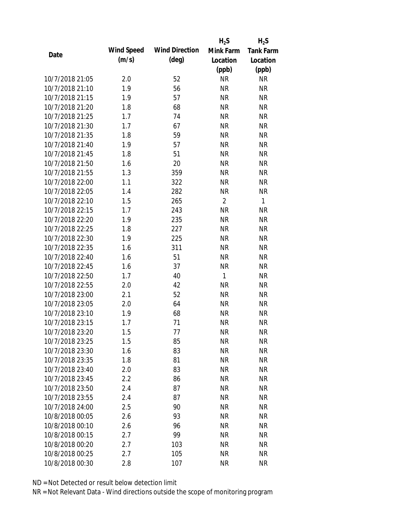|                 |            |                       | $H_2S$         | $H_2S$           |
|-----------------|------------|-----------------------|----------------|------------------|
|                 | Wind Speed | <b>Wind Direction</b> | Mink Farm      | <b>Tank Farm</b> |
| Date            | (m/s)      | $(\text{deg})$        | Location       | Location         |
|                 |            |                       | (ppb)          | (ppb)            |
| 10/7/2018 21:05 | 2.0        | 52                    | <b>NR</b>      | <b>NR</b>        |
| 10/7/2018 21:10 | 1.9        | 56                    | <b>NR</b>      | <b>NR</b>        |
| 10/7/2018 21:15 | 1.9        | 57                    | <b>NR</b>      | <b>NR</b>        |
| 10/7/2018 21:20 | 1.8        | 68                    | <b>NR</b>      | <b>NR</b>        |
| 10/7/2018 21:25 | 1.7        | 74                    | <b>NR</b>      | <b>NR</b>        |
| 10/7/2018 21:30 | 1.7        | 67                    | <b>NR</b>      | <b>NR</b>        |
| 10/7/2018 21:35 | 1.8        | 59                    | <b>NR</b>      | <b>NR</b>        |
| 10/7/2018 21:40 | 1.9        | 57                    | <b>NR</b>      | <b>NR</b>        |
| 10/7/2018 21:45 | 1.8        | 51                    | <b>NR</b>      | <b>NR</b>        |
| 10/7/2018 21:50 | 1.6        | 20                    | <b>NR</b>      | <b>NR</b>        |
| 10/7/2018 21:55 | 1.3        | 359                   | <b>NR</b>      | <b>NR</b>        |
| 10/7/2018 22:00 | 1.1        | 322                   | <b>NR</b>      | <b>NR</b>        |
| 10/7/2018 22:05 | 1.4        | 282                   | <b>NR</b>      | <b>NR</b>        |
| 10/7/2018 22:10 | 1.5        | 265                   | $\overline{2}$ | 1                |
| 10/7/2018 22:15 | 1.7        | 243                   | <b>NR</b>      | <b>NR</b>        |
| 10/7/2018 22:20 | 1.9        | 235                   | <b>NR</b>      | <b>NR</b>        |
| 10/7/2018 22:25 | 1.8        | 227                   | <b>NR</b>      | <b>NR</b>        |
| 10/7/2018 22:30 | 1.9        | 225                   | <b>NR</b>      | <b>NR</b>        |
| 10/7/2018 22:35 | 1.6        | 311                   | <b>NR</b>      | <b>NR</b>        |
| 10/7/2018 22:40 | 1.6        | 51                    | <b>NR</b>      | <b>NR</b>        |
| 10/7/2018 22:45 | 1.6        | 37                    | <b>NR</b>      | <b>NR</b>        |
| 10/7/2018 22:50 | 1.7        | 40                    | $\mathbf{1}$   | <b>NR</b>        |
| 10/7/2018 22:55 | 2.0        | 42                    | <b>NR</b>      | <b>NR</b>        |
| 10/7/2018 23:00 | 2.1        | 52                    | <b>NR</b>      | <b>NR</b>        |
| 10/7/2018 23:05 | 2.0        | 64                    | <b>NR</b>      | <b>NR</b>        |
| 10/7/2018 23:10 | 1.9        | 68                    | <b>NR</b>      | <b>NR</b>        |
| 10/7/2018 23:15 | 1.7        | 71                    | <b>NR</b>      | <b>NR</b>        |
| 10/7/2018 23:20 | 1.5        | 77                    | <b>NR</b>      | <b>NR</b>        |
| 10/7/2018 23:25 | 1.5        | 85                    | <b>NR</b>      | <b>NR</b>        |
| 10/7/2018 23:30 | 1.6        | 83                    | NR             | <b>NR</b>        |
| 10/7/2018 23:35 | 1.8        | 81                    | <b>NR</b>      | <b>NR</b>        |
| 10/7/2018 23:40 | 2.0        | 83                    | <b>NR</b>      | <b>NR</b>        |
| 10/7/2018 23:45 | 2.2        | 86                    | <b>NR</b>      | <b>NR</b>        |
| 10/7/2018 23:50 | 2.4        | 87                    | <b>NR</b>      | <b>NR</b>        |
| 10/7/2018 23:55 | 2.4        | 87                    | <b>NR</b>      | <b>NR</b>        |
| 10/7/2018 24:00 | 2.5        | 90                    | <b>NR</b>      | <b>NR</b>        |
| 10/8/2018 00:05 | 2.6        | 93                    | <b>NR</b>      | <b>NR</b>        |
| 10/8/2018 00:10 | 2.6        | 96                    | NR             | <b>NR</b>        |
| 10/8/2018 00:15 | 2.7        | 99                    | <b>NR</b>      | <b>NR</b>        |
| 10/8/2018 00:20 | 2.7        | 103                   | <b>NR</b>      | <b>NR</b>        |
| 10/8/2018 00:25 | 2.7        | 105                   | <b>NR</b>      | <b>NR</b>        |
| 10/8/2018 00:30 | 2.8        | 107                   | <b>NR</b>      | <b>NR</b>        |
|                 |            |                       |                |                  |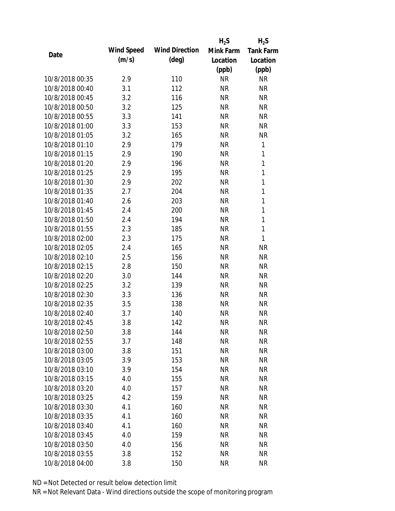|                 |            |                       | $H_2S$    | $H_2S$           |
|-----------------|------------|-----------------------|-----------|------------------|
|                 | Wind Speed | <b>Wind Direction</b> | Mink Farm | <b>Tank Farm</b> |
| Date            | (m/s)      | $(\text{deg})$        | Location  | Location         |
|                 |            |                       | (ppb)     | (ppb)            |
| 10/8/2018 00:35 | 2.9        | 110                   | <b>NR</b> | <b>NR</b>        |
| 10/8/2018 00:40 | 3.1        | 112                   | <b>NR</b> | <b>NR</b>        |
| 10/8/2018 00:45 | 3.2        | 116                   | <b>NR</b> | <b>NR</b>        |
| 10/8/2018 00:50 | 3.2        | 125                   | <b>NR</b> | <b>NR</b>        |
| 10/8/2018 00:55 | 3.3        | 141                   | <b>NR</b> | <b>NR</b>        |
| 10/8/2018 01:00 | 3.3        | 153                   | <b>NR</b> | <b>NR</b>        |
| 10/8/2018 01:05 | 3.2        | 165                   | <b>NR</b> | <b>NR</b>        |
| 10/8/2018 01:10 | 2.9        | 179                   | <b>NR</b> | 1                |
| 10/8/2018 01:15 | 2.9        | 190                   | <b>NR</b> | 1                |
| 10/8/2018 01:20 | 2.9        | 196                   | <b>NR</b> | 1                |
| 10/8/2018 01:25 | 2.9        | 195                   | <b>NR</b> | 1                |
| 10/8/2018 01:30 | 2.9        | 202                   | <b>NR</b> | $\mathbf{1}$     |
| 10/8/2018 01:35 | 2.7        | 204                   | <b>NR</b> | 1                |
| 10/8/2018 01:40 | 2.6        | 203                   | <b>NR</b> | $\mathbf{1}$     |
| 10/8/2018 01:45 | 2.4        | 200                   | <b>NR</b> | $\mathbf{1}$     |
| 10/8/2018 01:50 | 2.4        | 194                   | <b>NR</b> | 1                |
| 10/8/2018 01:55 | 2.3        | 185                   | <b>NR</b> | $\mathbf{1}$     |
| 10/8/2018 02:00 | 2.3        | 175                   | <b>NR</b> | 1                |
| 10/8/2018 02:05 | 2.4        | 165                   | <b>NR</b> | <b>NR</b>        |
| 10/8/2018 02:10 | 2.5        | 156                   | <b>NR</b> | <b>NR</b>        |
| 10/8/2018 02:15 | 2.8        | 150                   | <b>NR</b> | <b>NR</b>        |
| 10/8/2018 02:20 | 3.0        | 144                   | <b>NR</b> | <b>NR</b>        |
| 10/8/2018 02:25 | 3.2        | 139                   | <b>NR</b> | <b>NR</b>        |
| 10/8/2018 02:30 | 3.3        | 136                   | <b>NR</b> | <b>NR</b>        |
| 10/8/2018 02:35 | 3.5        | 138                   | <b>NR</b> | <b>NR</b>        |
| 10/8/2018 02:40 | 3.7        | 140                   | <b>NR</b> | <b>NR</b>        |
| 10/8/2018 02:45 | 3.8        | 142                   | <b>NR</b> | <b>NR</b>        |
| 10/8/2018 02:50 | 3.8        | 144                   | <b>NR</b> | <b>NR</b>        |
| 10/8/2018 02:55 | 3.7        | 148                   | <b>NR</b> | <b>NR</b>        |
| 10/8/2018 03:00 | 3.8        | 151                   | <b>NR</b> | <b>NR</b>        |
| 10/8/2018 03:05 | 3.9        | 153                   | <b>NR</b> | <b>NR</b>        |
| 10/8/2018 03:10 | 3.9        | 154                   | <b>NR</b> | <b>NR</b>        |
| 10/8/2018 03:15 | 4.0        | 155                   | <b>NR</b> | <b>NR</b>        |
| 10/8/2018 03:20 | 4.0        | 157                   | <b>NR</b> | <b>NR</b>        |
| 10/8/2018 03:25 | 4.2        | 159                   | <b>NR</b> | <b>NR</b>        |
| 10/8/2018 03:30 | 4.1        | 160                   | <b>NR</b> | <b>NR</b>        |
| 10/8/2018 03:35 | 4.1        | 160                   | <b>NR</b> | <b>NR</b>        |
| 10/8/2018 03:40 | 4.1        | 160                   | <b>NR</b> | <b>NR</b>        |
| 10/8/2018 03:45 | 4.0        | 159                   | <b>NR</b> | NR               |
| 10/8/2018 03:50 | 4.0        | 156                   | <b>NR</b> | NR               |
| 10/8/2018 03:55 | 3.8        | 152                   | <b>NR</b> | <b>NR</b>        |
| 10/8/2018 04:00 | 3.8        | 150                   | <b>NR</b> | <b>NR</b>        |
|                 |            |                       |           |                  |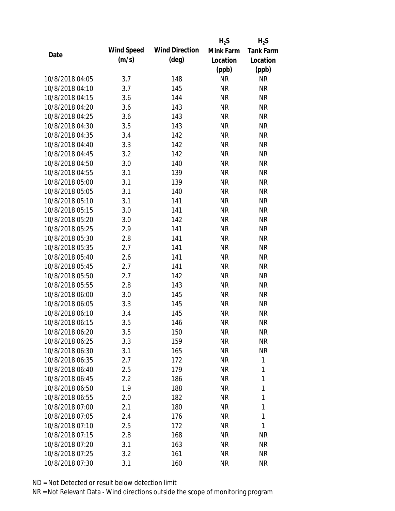|                 |            |                       | $H_2S$    | $H_2S$           |
|-----------------|------------|-----------------------|-----------|------------------|
|                 | Wind Speed | <b>Wind Direction</b> | Mink Farm | <b>Tank Farm</b> |
| Date            | (m/s)      | $(\text{deg})$        | Location  | Location         |
|                 |            |                       | (ppb)     | (ppb)            |
| 10/8/2018 04:05 | 3.7        | 148                   | <b>NR</b> | <b>NR</b>        |
| 10/8/2018 04:10 | 3.7        | 145                   | <b>NR</b> | <b>NR</b>        |
| 10/8/2018 04:15 | 3.6        | 144                   | <b>NR</b> | <b>NR</b>        |
| 10/8/2018 04:20 | 3.6        | 143                   | <b>NR</b> | <b>NR</b>        |
| 10/8/2018 04:25 | 3.6        | 143                   | <b>NR</b> | <b>NR</b>        |
| 10/8/2018 04:30 | 3.5        | 143                   | <b>NR</b> | <b>NR</b>        |
| 10/8/2018 04:35 | 3.4        | 142                   | <b>NR</b> | <b>NR</b>        |
| 10/8/2018 04:40 | 3.3        | 142                   | <b>NR</b> | <b>NR</b>        |
| 10/8/2018 04:45 | 3.2        | 142                   | <b>NR</b> | <b>NR</b>        |
| 10/8/2018 04:50 | 3.0        | 140                   | <b>NR</b> | <b>NR</b>        |
| 10/8/2018 04:55 | 3.1        | 139                   | <b>NR</b> | <b>NR</b>        |
| 10/8/2018 05:00 | 3.1        | 139                   | <b>NR</b> | <b>NR</b>        |
| 10/8/2018 05:05 | 3.1        | 140                   | <b>NR</b> | <b>NR</b>        |
| 10/8/2018 05:10 | 3.1        | 141                   | <b>NR</b> | <b>NR</b>        |
| 10/8/2018 05:15 | 3.0        | 141                   | <b>NR</b> | <b>NR</b>        |
| 10/8/2018 05:20 | 3.0        | 142                   | <b>NR</b> | <b>NR</b>        |
| 10/8/2018 05:25 | 2.9        | 141                   | <b>NR</b> | <b>NR</b>        |
| 10/8/2018 05:30 | 2.8        | 141                   | <b>NR</b> | <b>NR</b>        |
| 10/8/2018 05:35 | 2.7        | 141                   | <b>NR</b> | <b>NR</b>        |
| 10/8/2018 05:40 | 2.6        | 141                   | <b>NR</b> | <b>NR</b>        |
| 10/8/2018 05:45 | 2.7        | 141                   | <b>NR</b> | <b>NR</b>        |
| 10/8/2018 05:50 | 2.7        | 142                   | <b>NR</b> | <b>NR</b>        |
| 10/8/2018 05:55 | 2.8        | 143                   | <b>NR</b> | <b>NR</b>        |
| 10/8/2018 06:00 | 3.0        | 145                   | <b>NR</b> | <b>NR</b>        |
| 10/8/2018 06:05 | 3.3        | 145                   | <b>NR</b> | <b>NR</b>        |
| 10/8/2018 06:10 | 3.4        | 145                   | <b>NR</b> | <b>NR</b>        |
| 10/8/2018 06:15 | 3.5        | 146                   | <b>NR</b> | <b>NR</b>        |
| 10/8/2018 06:20 | 3.5        | 150                   | <b>NR</b> | <b>NR</b>        |
| 10/8/2018 06:25 | 3.3        | 159                   | <b>NR</b> | <b>NR</b>        |
| 10/8/2018 06:30 | 3.1        | 165                   | <b>NR</b> | <b>NR</b>        |
| 10/8/2018 06:35 | 2.7        | 172                   | <b>NR</b> | 1                |
| 10/8/2018 06:40 | 2.5        | 179                   | <b>NR</b> | 1                |
| 10/8/2018 06:45 | 2.2        | 186                   | <b>NR</b> | 1                |
| 10/8/2018 06:50 | 1.9        | 188                   | <b>NR</b> | 1                |
| 10/8/2018 06:55 | 2.0        | 182                   | <b>NR</b> | 1                |
| 10/8/2018 07:00 | 2.1        | 180                   | <b>NR</b> | 1                |
| 10/8/2018 07:05 | 2.4        | 176                   | <b>NR</b> | 1                |
| 10/8/2018 07:10 | 2.5        | 172                   | <b>NR</b> | 1                |
| 10/8/2018 07:15 | 2.8        | 168                   | <b>NR</b> | <b>NR</b>        |
| 10/8/2018 07:20 | 3.1        | 163                   | <b>NR</b> | NR               |
| 10/8/2018 07:25 | 3.2        | 161                   | <b>NR</b> | <b>NR</b>        |
|                 |            |                       | <b>NR</b> | <b>NR</b>        |
| 10/8/2018 07:30 | 3.1        | 160                   |           |                  |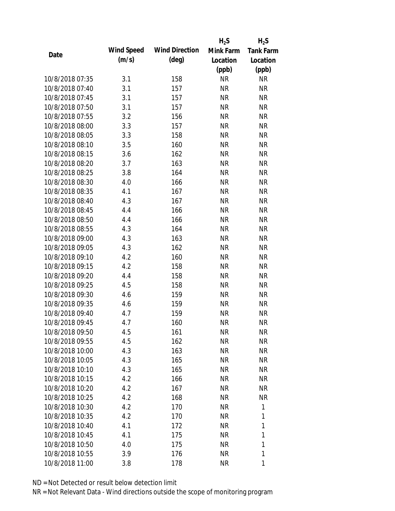|                 |            |                       | $H_2S$    | $H_2S$           |
|-----------------|------------|-----------------------|-----------|------------------|
|                 | Wind Speed | <b>Wind Direction</b> | Mink Farm | <b>Tank Farm</b> |
| Date            | (m/s)      | $(\text{deg})$        | Location  | Location         |
|                 |            |                       | (ppb)     | (ppb)            |
| 10/8/2018 07:35 | 3.1        | 158                   | <b>NR</b> | <b>NR</b>        |
| 10/8/2018 07:40 | 3.1        | 157                   | <b>NR</b> | <b>NR</b>        |
| 10/8/2018 07:45 | 3.1        | 157                   | <b>NR</b> | <b>NR</b>        |
| 10/8/2018 07:50 | 3.1        | 157                   | <b>NR</b> | <b>NR</b>        |
| 10/8/2018 07:55 | 3.2        | 156                   | <b>NR</b> | <b>NR</b>        |
| 10/8/2018 08:00 | 3.3        | 157                   | <b>NR</b> | <b>NR</b>        |
| 10/8/2018 08:05 | 3.3        | 158                   | <b>NR</b> | <b>NR</b>        |
| 10/8/2018 08:10 | 3.5        | 160                   | <b>NR</b> | <b>NR</b>        |
| 10/8/2018 08:15 | 3.6        | 162                   | <b>NR</b> | <b>NR</b>        |
| 10/8/2018 08:20 | 3.7        | 163                   | <b>NR</b> | <b>NR</b>        |
| 10/8/2018 08:25 | 3.8        | 164                   | <b>NR</b> | <b>NR</b>        |
| 10/8/2018 08:30 | 4.0        | 166                   | <b>NR</b> | <b>NR</b>        |
| 10/8/2018 08:35 | 4.1        | 167                   | <b>NR</b> | <b>NR</b>        |
| 10/8/2018 08:40 | 4.3        | 167                   | <b>NR</b> | <b>NR</b>        |
| 10/8/2018 08:45 | 4.4        | 166                   | <b>NR</b> | <b>NR</b>        |
| 10/8/2018 08:50 | 4.4        | 166                   | <b>NR</b> | <b>NR</b>        |
| 10/8/2018 08:55 | 4.3        | 164                   | <b>NR</b> | <b>NR</b>        |
| 10/8/2018 09:00 | 4.3        | 163                   | <b>NR</b> | <b>NR</b>        |
| 10/8/2018 09:05 | 4.3        | 162                   | <b>NR</b> | <b>NR</b>        |
| 10/8/2018 09:10 | 4.2        | 160                   | <b>NR</b> | <b>NR</b>        |
| 10/8/2018 09:15 | 4.2        | 158                   | <b>NR</b> | <b>NR</b>        |
| 10/8/2018 09:20 | 4.4        | 158                   | <b>NR</b> | <b>NR</b>        |
| 10/8/2018 09:25 | 4.5        | 158                   | <b>NR</b> | <b>NR</b>        |
| 10/8/2018 09:30 | 4.6        | 159                   | <b>NR</b> | <b>NR</b>        |
| 10/8/2018 09:35 | 4.6        | 159                   | <b>NR</b> | <b>NR</b>        |
| 10/8/2018 09:40 | 4.7        | 159                   | <b>NR</b> | <b>NR</b>        |
| 10/8/2018 09:45 | 4.7        | 160                   | <b>NR</b> | <b>NR</b>        |
| 10/8/2018 09:50 | 4.5        | 161                   | <b>NR</b> | <b>NR</b>        |
| 10/8/2018 09:55 | 4.5        | 162                   | <b>NR</b> | <b>NR</b>        |
| 10/8/2018 10:00 | 4.3        | 163                   | NR        | NR               |
| 10/8/2018 10:05 | 4.3        | 165                   | <b>NR</b> | <b>NR</b>        |
| 10/8/2018 10:10 | 4.3        | 165                   | <b>NR</b> | NR               |
| 10/8/2018 10:15 | 4.2        | 166                   | <b>NR</b> | NR               |
| 10/8/2018 10:20 | 4.2        | 167                   | <b>NR</b> | <b>NR</b>        |
| 10/8/2018 10:25 | 4.2        | 168                   | <b>NR</b> | <b>NR</b>        |
| 10/8/2018 10:30 | 4.2        | 170                   | <b>NR</b> | 1                |
| 10/8/2018 10:35 | 4.2        | 170                   | <b>NR</b> | 1                |
| 10/8/2018 10:40 | 4.1        | 172                   | <b>NR</b> | 1                |
| 10/8/2018 10:45 | 4.1        | 175                   | <b>NR</b> | 1                |
| 10/8/2018 10:50 | 4.0        | 175                   | <b>NR</b> | 1                |
| 10/8/2018 10:55 | 3.9        | 176                   | <b>NR</b> | 1                |
| 10/8/2018 11:00 | 3.8        | 178                   | <b>NR</b> | 1                |
|                 |            |                       |           |                  |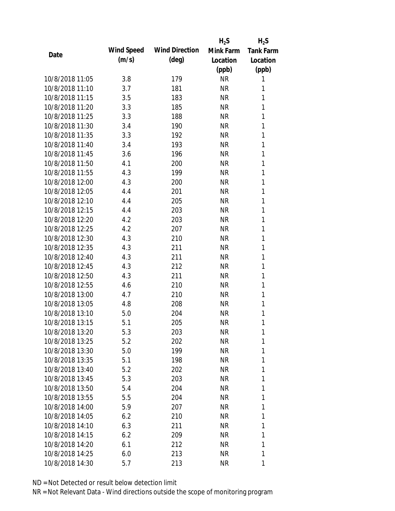|                 |            |                       | $H_2S$    | $H_2S$           |
|-----------------|------------|-----------------------|-----------|------------------|
|                 | Wind Speed | <b>Wind Direction</b> | Mink Farm | <b>Tank Farm</b> |
| Date            | (m/s)      | $(\text{deg})$        | Location  | Location         |
|                 |            |                       | (ppb)     | (ppb)            |
| 10/8/2018 11:05 | 3.8        | 179                   | <b>NR</b> | 1                |
| 10/8/2018 11:10 | 3.7        | 181                   | <b>NR</b> | 1                |
| 10/8/2018 11:15 | 3.5        | 183                   | <b>NR</b> | 1                |
| 10/8/2018 11:20 | 3.3        | 185                   | <b>NR</b> | 1                |
| 10/8/2018 11:25 | 3.3        | 188                   | <b>NR</b> | 1                |
| 10/8/2018 11:30 | 3.4        | 190                   | <b>NR</b> | 1                |
| 10/8/2018 11:35 | 3.3        | 192                   | <b>NR</b> | 1                |
| 10/8/2018 11:40 | 3.4        | 193                   | <b>NR</b> | 1                |
| 10/8/2018 11:45 | 3.6        | 196                   | <b>NR</b> | 1                |
| 10/8/2018 11:50 | 4.1        | 200                   | <b>NR</b> | 1                |
| 10/8/2018 11:55 | 4.3        | 199                   | <b>NR</b> | 1                |
| 10/8/2018 12:00 | 4.3        | 200                   | <b>NR</b> | 1                |
| 10/8/2018 12:05 | 4.4        | 201                   | <b>NR</b> | 1                |
| 10/8/2018 12:10 | 4.4        | 205                   | <b>NR</b> | 1                |
| 10/8/2018 12:15 | 4.4        | 203                   | <b>NR</b> | 1                |
| 10/8/2018 12:20 | 4.2        | 203                   | <b>NR</b> | 1                |
| 10/8/2018 12:25 | 4.2        | 207                   | <b>NR</b> | 1                |
| 10/8/2018 12:30 | 4.3        | 210                   | <b>NR</b> | 1                |
| 10/8/2018 12:35 | 4.3        | 211                   | <b>NR</b> | 1                |
| 10/8/2018 12:40 | 4.3        | 211                   | <b>NR</b> | 1                |
| 10/8/2018 12:45 | 4.3        | 212                   | <b>NR</b> | 1                |
| 10/8/2018 12:50 | 4.3        | 211                   | <b>NR</b> | 1                |
| 10/8/2018 12:55 | 4.6        | 210                   | <b>NR</b> | 1                |
| 10/8/2018 13:00 | 4.7        | 210                   | <b>NR</b> | 1                |
| 10/8/2018 13:05 | 4.8        | 208                   | <b>NR</b> | 1                |
| 10/8/2018 13:10 | 5.0        | 204                   | <b>NR</b> | 1                |
| 10/8/2018 13:15 | 5.1        | 205                   | <b>NR</b> | 1                |
| 10/8/2018 13:20 | 5.3        | 203                   | <b>NR</b> | 1                |
| 10/8/2018 13:25 | 5.2        | 202                   | <b>NR</b> | 1                |
| 10/8/2018 13:30 | 5.0        | 199                   | <b>NR</b> | 1                |
| 10/8/2018 13:35 | 5.1        | 198                   | NR        | 1                |
| 10/8/2018 13:40 | 5.2        | 202                   | NR        | 1                |
| 10/8/2018 13:45 | 5.3        | 203                   | <b>NR</b> | 1                |
| 10/8/2018 13:50 | 5.4        | 204                   | <b>NR</b> | 1                |
| 10/8/2018 13:55 | 5.5        | 204                   | <b>NR</b> | 1                |
| 10/8/2018 14:00 | 5.9        | 207                   | NR        | 1                |
| 10/8/2018 14:05 | 6.2        | 210                   | NR        | 1                |
| 10/8/2018 14:10 | 6.3        | 211                   | NR        | 1                |
| 10/8/2018 14:15 | 6.2        | 209                   | <b>NR</b> | 1                |
| 10/8/2018 14:20 | 6.1        | 212                   | <b>NR</b> | 1                |
| 10/8/2018 14:25 | 6.0        | 213                   | <b>NR</b> | 1                |
|                 |            |                       |           |                  |
| 10/8/2018 14:30 | 5.7        | 213                   | <b>NR</b> | 1                |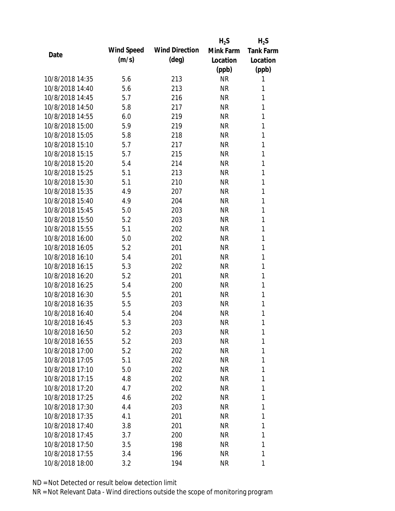|                 |            |                       | $H_2S$    | $H_2S$           |
|-----------------|------------|-----------------------|-----------|------------------|
| Date            | Wind Speed | <b>Wind Direction</b> | Mink Farm | <b>Tank Farm</b> |
|                 | (m/s)      | $(\text{deg})$        | Location  | Location         |
|                 |            |                       | (ppb)     | (ppb)            |
| 10/8/2018 14:35 | 5.6        | 213                   | <b>NR</b> | 1                |
| 10/8/2018 14:40 | 5.6        | 213                   | <b>NR</b> | 1                |
| 10/8/2018 14:45 | 5.7        | 216                   | <b>NR</b> | 1                |
| 10/8/2018 14:50 | 5.8        | 217                   | <b>NR</b> | 1                |
| 10/8/2018 14:55 | 6.0        | 219                   | <b>NR</b> | 1                |
| 10/8/2018 15:00 | 5.9        | 219                   | <b>NR</b> | 1                |
| 10/8/2018 15:05 | 5.8        | 218                   | <b>NR</b> | 1                |
| 10/8/2018 15:10 | 5.7        | 217                   | <b>NR</b> | 1                |
| 10/8/2018 15:15 | 5.7        | 215                   | <b>NR</b> | 1                |
| 10/8/2018 15:20 | 5.4        | 214                   | <b>NR</b> | 1                |
| 10/8/2018 15:25 | 5.1        | 213                   | <b>NR</b> | 1                |
| 10/8/2018 15:30 | 5.1        | 210                   | <b>NR</b> | 1                |
| 10/8/2018 15:35 | 4.9        | 207                   | <b>NR</b> | 1                |
| 10/8/2018 15:40 | 4.9        | 204                   | <b>NR</b> | 1                |
| 10/8/2018 15:45 | 5.0        | 203                   | <b>NR</b> | 1                |
| 10/8/2018 15:50 | 5.2        | 203                   | <b>NR</b> | 1                |
| 10/8/2018 15:55 | 5.1        | 202                   | <b>NR</b> | 1                |
| 10/8/2018 16:00 | 5.0        | 202                   | <b>NR</b> | 1                |
| 10/8/2018 16:05 | 5.2        | 201                   | <b>NR</b> | 1                |
| 10/8/2018 16:10 | 5.4        | 201                   | <b>NR</b> | 1                |
| 10/8/2018 16:15 | 5.3        | 202                   | <b>NR</b> | 1                |
| 10/8/2018 16:20 | 5.2        | 201                   | <b>NR</b> | 1                |
| 10/8/2018 16:25 | 5.4        | 200                   | <b>NR</b> | 1                |
| 10/8/2018 16:30 | 5.5        | 201                   | <b>NR</b> | 1                |
| 10/8/2018 16:35 | 5.5        | 203                   | <b>NR</b> | 1                |
| 10/8/2018 16:40 | 5.4        | 204                   | <b>NR</b> | 1                |
| 10/8/2018 16:45 | 5.3        | 203                   | <b>NR</b> | 1                |
| 10/8/2018 16:50 | 5.2        | 203                   | <b>NR</b> | 1                |
| 10/8/2018 16:55 | 5.2        | 203                   | <b>NR</b> | 1                |
| 10/8/2018 17:00 | 5.2        | 202                   | <b>NR</b> | 1                |
| 10/8/2018 17:05 | 5.1        | 202                   | <b>NR</b> | 1                |
| 10/8/2018 17:10 | 5.0        | 202                   | <b>NR</b> | 1                |
| 10/8/2018 17:15 | 4.8        | 202                   | <b>NR</b> | 1                |
| 10/8/2018 17:20 | 4.7        | 202                   | <b>NR</b> | 1                |
| 10/8/2018 17:25 | 4.6        | 202                   | <b>NR</b> | 1                |
| 10/8/2018 17:30 | 4.4        | 203                   | <b>NR</b> | 1                |
| 10/8/2018 17:35 | 4.1        | 201                   | NR        | 1                |
| 10/8/2018 17:40 | 3.8        | 201                   | <b>NR</b> | 1                |
| 10/8/2018 17:45 | 3.7        | 200                   | <b>NR</b> | 1                |
| 10/8/2018 17:50 | 3.5        | 198                   | <b>NR</b> | 1                |
| 10/8/2018 17:55 | 3.4        | 196                   | <b>NR</b> | 1                |
| 10/8/2018 18:00 | 3.2        | 194                   | NR        | 1                |
|                 |            |                       |           |                  |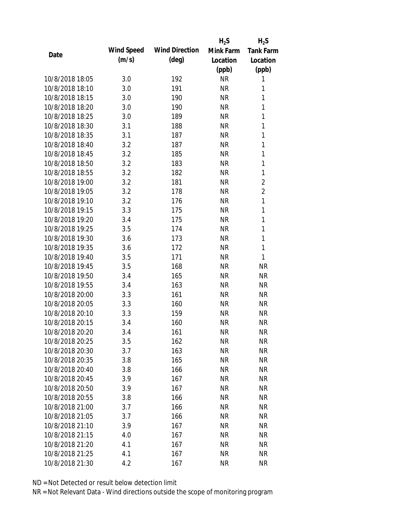|                 |            |                       | $H_2S$    | $H_2S$           |
|-----------------|------------|-----------------------|-----------|------------------|
|                 | Wind Speed | <b>Wind Direction</b> | Mink Farm | <b>Tank Farm</b> |
| Date            | (m/s)      | $(\text{deg})$        | Location  | Location         |
|                 |            |                       | (ppb)     | (ppb)            |
| 10/8/2018 18:05 | 3.0        | 192                   | <b>NR</b> | 1                |
| 10/8/2018 18:10 | 3.0        | 191                   | <b>NR</b> | 1                |
| 10/8/2018 18:15 | 3.0        | 190                   | <b>NR</b> | 1                |
| 10/8/2018 18:20 | 3.0        | 190                   | <b>NR</b> | 1                |
| 10/8/2018 18:25 | 3.0        | 189                   | <b>NR</b> | 1                |
| 10/8/2018 18:30 | 3.1        | 188                   | <b>NR</b> | 1                |
| 10/8/2018 18:35 | 3.1        | 187                   | <b>NR</b> | 1                |
| 10/8/2018 18:40 | 3.2        | 187                   | <b>NR</b> | 1                |
| 10/8/2018 18:45 | 3.2        | 185                   | <b>NR</b> | 1                |
| 10/8/2018 18:50 | 3.2        | 183                   | <b>NR</b> | 1                |
| 10/8/2018 18:55 | 3.2        | 182                   | <b>NR</b> | 1                |
| 10/8/2018 19:00 | 3.2        | 181                   | <b>NR</b> | $\overline{2}$   |
| 10/8/2018 19:05 | 3.2        | 178                   | <b>NR</b> | $\overline{2}$   |
| 10/8/2018 19:10 | 3.2        | 176                   | <b>NR</b> | $\mathbf{1}$     |
| 10/8/2018 19:15 | 3.3        | 175                   | <b>NR</b> | $\mathbf{1}$     |
| 10/8/2018 19:20 | 3.4        | 175                   | <b>NR</b> | 1                |
| 10/8/2018 19:25 | 3.5        | 174                   | <b>NR</b> | 1                |
| 10/8/2018 19:30 | 3.6        | 173                   | <b>NR</b> | 1                |
| 10/8/2018 19:35 | 3.6        | 172                   | <b>NR</b> | 1                |
| 10/8/2018 19:40 | 3.5        | 171                   | <b>NR</b> | $\mathbf{1}$     |
| 10/8/2018 19:45 | 3.5        | 168                   | <b>NR</b> | <b>NR</b>        |
| 10/8/2018 19:50 | 3.4        | 165                   | <b>NR</b> | <b>NR</b>        |
| 10/8/2018 19:55 | 3.4        | 163                   | <b>NR</b> | <b>NR</b>        |
| 10/8/2018 20:00 | 3.3        | 161                   | <b>NR</b> | <b>NR</b>        |
| 10/8/2018 20:05 | 3.3        | 160                   | <b>NR</b> | <b>NR</b>        |
| 10/8/2018 20:10 | 3.3        | 159                   | <b>NR</b> | <b>NR</b>        |
| 10/8/2018 20:15 | 3.4        | 160                   | <b>NR</b> | <b>NR</b>        |
| 10/8/2018 20:20 | 3.4        | 161                   | <b>NR</b> | <b>NR</b>        |
| 10/8/2018 20:25 | 3.5        | 162                   | <b>NR</b> | <b>NR</b>        |
| 10/8/2018 20:30 | 3.7        | 163                   | <b>NR</b> | <b>NR</b>        |
| 10/8/2018 20:35 | 3.8        | 165                   | <b>NR</b> | <b>NR</b>        |
| 10/8/2018 20:40 | 3.8        | 166                   | <b>NR</b> | NR               |
| 10/8/2018 20:45 | 3.9        | 167                   | <b>NR</b> | NR               |
| 10/8/2018 20:50 | 3.9        | 167                   | <b>NR</b> | <b>NR</b>        |
| 10/8/2018 20:55 | 3.8        | 166                   | <b>NR</b> | <b>NR</b>        |
| 10/8/2018 21:00 | 3.7        | 166                   | <b>NR</b> | <b>NR</b>        |
| 10/8/2018 21:05 | 3.7        | 166                   | <b>NR</b> | <b>NR</b>        |
| 10/8/2018 21:10 | 3.9        | 167                   | <b>NR</b> | <b>NR</b>        |
| 10/8/2018 21:15 | 4.0        | 167                   | <b>NR</b> | NR               |
| 10/8/2018 21:20 | 4.1        | 167                   | <b>NR</b> | NR               |
| 10/8/2018 21:25 | 4.1        | 167                   | <b>NR</b> | <b>NR</b>        |
|                 |            |                       |           |                  |
| 10/8/2018 21:30 | 4.2        | 167                   | <b>NR</b> | <b>NR</b>        |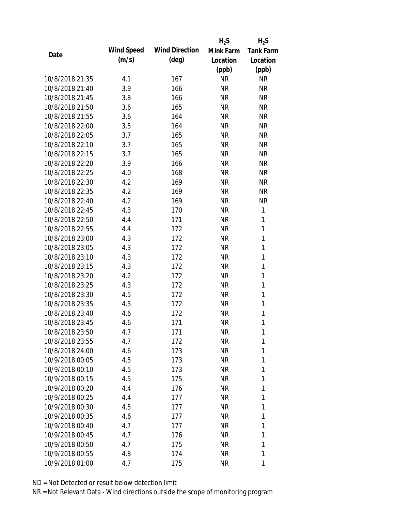|                 |            |                       | $H_2S$    | $H_2S$           |
|-----------------|------------|-----------------------|-----------|------------------|
|                 | Wind Speed | <b>Wind Direction</b> | Mink Farm | <b>Tank Farm</b> |
| Date            | (m/s)      | $(\text{deg})$        | Location  | Location         |
|                 |            |                       | (ppb)     | (ppb)            |
| 10/8/2018 21:35 | 4.1        | 167                   | <b>NR</b> | <b>NR</b>        |
| 10/8/2018 21:40 | 3.9        | 166                   | <b>NR</b> | <b>NR</b>        |
| 10/8/2018 21:45 | 3.8        | 166                   | <b>NR</b> | <b>NR</b>        |
| 10/8/2018 21:50 | 3.6        | 165                   | <b>NR</b> | <b>NR</b>        |
| 10/8/2018 21:55 | 3.6        | 164                   | <b>NR</b> | <b>NR</b>        |
| 10/8/2018 22:00 | 3.5        | 164                   | <b>NR</b> | <b>NR</b>        |
| 10/8/2018 22:05 | 3.7        | 165                   | <b>NR</b> | <b>NR</b>        |
| 10/8/2018 22:10 | 3.7        | 165                   | <b>NR</b> | <b>NR</b>        |
| 10/8/2018 22:15 | 3.7        | 165                   | <b>NR</b> | <b>NR</b>        |
| 10/8/2018 22:20 | 3.9        | 166                   | <b>NR</b> | <b>NR</b>        |
| 10/8/2018 22:25 | 4.0        | 168                   | <b>NR</b> | <b>NR</b>        |
| 10/8/2018 22:30 | 4.2        | 169                   | <b>NR</b> | <b>NR</b>        |
| 10/8/2018 22:35 | 4.2        | 169                   | <b>NR</b> | <b>NR</b>        |
| 10/8/2018 22:40 | 4.2        | 169                   | <b>NR</b> | <b>NR</b>        |
| 10/8/2018 22:45 | 4.3        | 170                   | <b>NR</b> | 1                |
| 10/8/2018 22:50 | 4.4        | 171                   | <b>NR</b> | 1                |
| 10/8/2018 22:55 | 4.4        | 172                   | <b>NR</b> | 1                |
| 10/8/2018 23:00 | 4.3        | 172                   | <b>NR</b> | $\mathbf{1}$     |
| 10/8/2018 23:05 | 4.3        | 172                   | <b>NR</b> | 1                |
| 10/8/2018 23:10 | 4.3        | 172                   | <b>NR</b> | 1                |
| 10/8/2018 23:15 | 4.3        | 172                   | <b>NR</b> | 1                |
| 10/8/2018 23:20 | 4.2        | 172                   | <b>NR</b> | 1                |
| 10/8/2018 23:25 | 4.3        | 172                   | <b>NR</b> | 1                |
| 10/8/2018 23:30 | 4.5        | 172                   | <b>NR</b> | $\mathbf{1}$     |
| 10/8/2018 23:35 | 4.5        | 172                   | <b>NR</b> | 1                |
| 10/8/2018 23:40 | 4.6        | 172                   | <b>NR</b> | 1                |
| 10/8/2018 23:45 | 4.6        | 171                   | <b>NR</b> | 1                |
| 10/8/2018 23:50 | 4.7        | 171                   | <b>NR</b> | 1                |
| 10/8/2018 23:55 | 4.7        | 172                   | NR        | 1                |
| 10/8/2018 24:00 | 4.6        | 173                   | NR        | 1                |
| 10/9/2018 00:05 | 4.5        | 173                   | NR        | 1                |
| 10/9/2018 00:10 | 4.5        | 173                   | NR        | 1                |
| 10/9/2018 00:15 | 4.5        | 175                   | NR        | 1                |
| 10/9/2018 00:20 | 4.4        | 176                   | NR        | 1                |
| 10/9/2018 00:25 | 4.4        | 177                   | NR        | 1                |
| 10/9/2018 00:30 | 4.5        | 177                   | NR        | 1                |
| 10/9/2018 00:35 | 4.6        | 177                   | NR        | 1                |
| 10/9/2018 00:40 | 4.7        | 177                   | NR        | 1                |
| 10/9/2018 00:45 | 4.7        | 176                   | NR        | 1                |
| 10/9/2018 00:50 | 4.7        | 175                   | NR        | 1                |
| 10/9/2018 00:55 | 4.8        | 174                   | <b>NR</b> | 1                |
|                 |            |                       |           |                  |
| 10/9/2018 01:00 | 4.7        | 175                   | <b>NR</b> | 1                |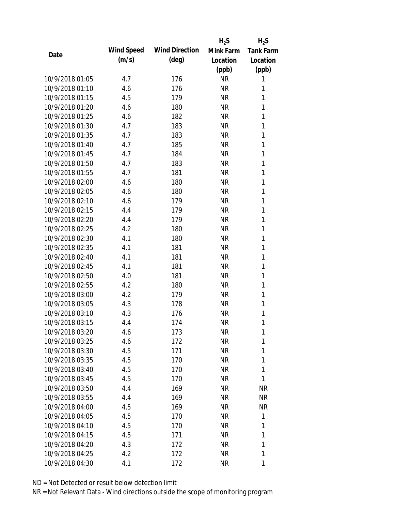|                 |            |                       | $H_2S$    | $H_2S$           |
|-----------------|------------|-----------------------|-----------|------------------|
| Date            | Wind Speed | <b>Wind Direction</b> | Mink Farm | <b>Tank Farm</b> |
|                 | (m/s)      | $(\text{deg})$        | Location  | Location         |
|                 |            |                       | (ppb)     | (ppb)            |
| 10/9/2018 01:05 | 4.7        | 176                   | <b>NR</b> | 1                |
| 10/9/2018 01:10 | 4.6        | 176                   | <b>NR</b> | 1                |
| 10/9/2018 01:15 | 4.5        | 179                   | <b>NR</b> | 1                |
| 10/9/2018 01:20 | 4.6        | 180                   | <b>NR</b> | 1                |
| 10/9/2018 01:25 | 4.6        | 182                   | <b>NR</b> | 1                |
| 10/9/2018 01:30 | 4.7        | 183                   | <b>NR</b> | 1                |
| 10/9/2018 01:35 | 4.7        | 183                   | <b>NR</b> | 1                |
| 10/9/2018 01:40 | 4.7        | 185                   | <b>NR</b> | 1                |
| 10/9/2018 01:45 | 4.7        | 184                   | <b>NR</b> | 1                |
| 10/9/2018 01:50 | 4.7        | 183                   | <b>NR</b> | 1                |
| 10/9/2018 01:55 | 4.7        | 181                   | <b>NR</b> | 1                |
| 10/9/2018 02:00 | 4.6        | 180                   | <b>NR</b> | 1                |
| 10/9/2018 02:05 | 4.6        | 180                   | <b>NR</b> | 1                |
| 10/9/2018 02:10 | 4.6        | 179                   | <b>NR</b> | 1                |
| 10/9/2018 02:15 | 4.4        | 179                   | <b>NR</b> | 1                |
| 10/9/2018 02:20 | 4.4        | 179                   | <b>NR</b> | 1                |
| 10/9/2018 02:25 | 4.2        | 180                   | <b>NR</b> | 1                |
| 10/9/2018 02:30 | 4.1        | 180                   | <b>NR</b> | 1                |
| 10/9/2018 02:35 | 4.1        | 181                   | <b>NR</b> | 1                |
| 10/9/2018 02:40 | 4.1        | 181                   | <b>NR</b> | 1                |
| 10/9/2018 02:45 | 4.1        | 181                   | <b>NR</b> | 1                |
| 10/9/2018 02:50 | 4.0        | 181                   | <b>NR</b> | 1                |
| 10/9/2018 02:55 | 4.2        | 180                   | <b>NR</b> | 1                |
| 10/9/2018 03:00 | 4.2        | 179                   | <b>NR</b> | 1                |
| 10/9/2018 03:05 | 4.3        | 178                   | <b>NR</b> | 1                |
| 10/9/2018 03:10 | 4.3        | 176                   | <b>NR</b> | 1                |
| 10/9/2018 03:15 | 4.4        | 174                   | <b>NR</b> | 1                |
| 10/9/2018 03:20 | 4.6        | 173                   | <b>NR</b> | 1                |
| 10/9/2018 03:25 | 4.6        | 172                   | <b>NR</b> | 1                |
| 10/9/2018 03:30 | 4.5        | 171                   | <b>NR</b> | 1                |
| 10/9/2018 03:35 | 4.5        | 170                   | <b>NR</b> | 1                |
| 10/9/2018 03:40 | 4.5        | 170                   | <b>NR</b> | 1                |
| 10/9/2018 03:45 | 4.5        | 170                   | <b>NR</b> | 1                |
| 10/9/2018 03:50 | 4.4        | 169                   | <b>NR</b> | <b>NR</b>        |
| 10/9/2018 03:55 | 4.4        | 169                   | <b>NR</b> | NR               |
| 10/9/2018 04:00 | 4.5        | 169                   | <b>NR</b> | <b>NR</b>        |
| 10/9/2018 04:05 | 4.5        | 170                   | NR        | 1                |
| 10/9/2018 04:10 | 4.5        | 170                   | NR        | 1                |
| 10/9/2018 04:15 | 4.5        | 171                   | <b>NR</b> | 1                |
| 10/9/2018 04:20 | 4.3        | 172                   | <b>NR</b> | 1                |
| 10/9/2018 04:25 | 4.2        | 172                   | <b>NR</b> | 1                |
| 10/9/2018 04:30 | 4.1        | 172                   | <b>NR</b> | 1                |
|                 |            |                       |           |                  |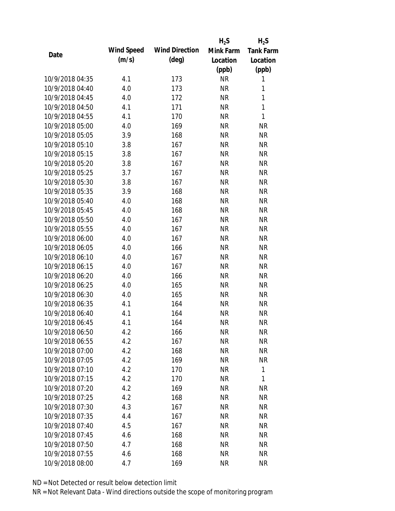|                 |            |                       | $H_2S$    | $H_2S$           |
|-----------------|------------|-----------------------|-----------|------------------|
|                 | Wind Speed | <b>Wind Direction</b> | Mink Farm | <b>Tank Farm</b> |
| Date            | (m/s)      | $(\text{deg})$        | Location  | Location         |
|                 |            |                       | (ppb)     | (ppb)            |
| 10/9/2018 04:35 | 4.1        | 173                   | <b>NR</b> | 1                |
| 10/9/2018 04:40 | 4.0        | 173                   | <b>NR</b> | 1                |
| 10/9/2018 04:45 | 4.0        | 172                   | <b>NR</b> | $\mathbf{1}$     |
| 10/9/2018 04:50 | 4.1        | 171                   | <b>NR</b> | $\mathbf{1}$     |
| 10/9/2018 04:55 | 4.1        | 170                   | <b>NR</b> | 1                |
| 10/9/2018 05:00 | 4.0        | 169                   | <b>NR</b> | <b>NR</b>        |
| 10/9/2018 05:05 | 3.9        | 168                   | <b>NR</b> | <b>NR</b>        |
| 10/9/2018 05:10 | 3.8        | 167                   | <b>NR</b> | <b>NR</b>        |
| 10/9/2018 05:15 | 3.8        | 167                   | <b>NR</b> | <b>NR</b>        |
| 10/9/2018 05:20 | 3.8        | 167                   | <b>NR</b> | <b>NR</b>        |
| 10/9/2018 05:25 | 3.7        | 167                   | <b>NR</b> | <b>NR</b>        |
| 10/9/2018 05:30 | 3.8        | 167                   | <b>NR</b> | <b>NR</b>        |
| 10/9/2018 05:35 | 3.9        | 168                   | <b>NR</b> | <b>NR</b>        |
| 10/9/2018 05:40 | 4.0        | 168                   | <b>NR</b> | <b>NR</b>        |
| 10/9/2018 05:45 | 4.0        | 168                   | <b>NR</b> | <b>NR</b>        |
| 10/9/2018 05:50 | 4.0        | 167                   | <b>NR</b> | <b>NR</b>        |
| 10/9/2018 05:55 | 4.0        | 167                   | <b>NR</b> | <b>NR</b>        |
| 10/9/2018 06:00 | 4.0        | 167                   | <b>NR</b> | <b>NR</b>        |
| 10/9/2018 06:05 | 4.0        | 166                   | <b>NR</b> | <b>NR</b>        |
| 10/9/2018 06:10 | 4.0        | 167                   | <b>NR</b> | <b>NR</b>        |
| 10/9/2018 06:15 | 4.0        | 167                   | <b>NR</b> | <b>NR</b>        |
| 10/9/2018 06:20 | 4.0        | 166                   | <b>NR</b> | <b>NR</b>        |
| 10/9/2018 06:25 | 4.0        | 165                   | <b>NR</b> | <b>NR</b>        |
| 10/9/2018 06:30 | 4.0        | 165                   | <b>NR</b> | <b>NR</b>        |
| 10/9/2018 06:35 | 4.1        | 164                   | <b>NR</b> | <b>NR</b>        |
| 10/9/2018 06:40 | 4.1        | 164                   | <b>NR</b> | <b>NR</b>        |
| 10/9/2018 06:45 | 4.1        | 164                   | <b>NR</b> | <b>NR</b>        |
| 10/9/2018 06:50 | 4.2        | 166                   | <b>NR</b> | <b>NR</b>        |
| 10/9/2018 06:55 | 4.2        | 167                   | <b>NR</b> | <b>NR</b>        |
| 10/9/2018 07:00 | 4.2        | 168                   | <b>NR</b> | <b>NR</b>        |
| 10/9/2018 07:05 | 4.2        | 169                   | <b>NR</b> | <b>NR</b>        |
| 10/9/2018 07:10 |            |                       |           |                  |
|                 | 4.2        | 170                   | <b>NR</b> | 1<br>1           |
| 10/9/2018 07:15 | 4.2        | 170                   | <b>NR</b> |                  |
| 10/9/2018 07:20 | 4.2        | 169                   | <b>NR</b> | <b>NR</b>        |
| 10/9/2018 07:25 | 4.2        | 168                   | <b>NR</b> | <b>NR</b>        |
| 10/9/2018 07:30 | 4.3        | 167                   | <b>NR</b> | <b>NR</b>        |
| 10/9/2018 07:35 | 4.4        | 167                   | <b>NR</b> | NR               |
| 10/9/2018 07:40 | 4.5        | 167                   | <b>NR</b> | NR               |
| 10/9/2018 07:45 | 4.6        | 168                   | <b>NR</b> | NR               |
| 10/9/2018 07:50 | 4.7        | 168                   | <b>NR</b> | NR               |
| 10/9/2018 07:55 | 4.6        | 168                   | <b>NR</b> | <b>NR</b>        |
| 10/9/2018 08:00 | 4.7        | 169                   | <b>NR</b> | <b>NR</b>        |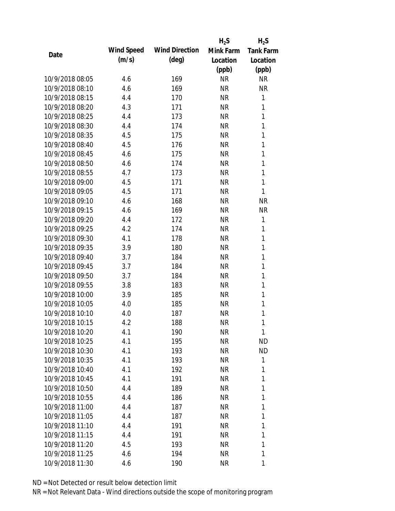|                 |            |                       | $H_2S$    | $H_2S$           |
|-----------------|------------|-----------------------|-----------|------------------|
|                 | Wind Speed | <b>Wind Direction</b> | Mink Farm | <b>Tank Farm</b> |
| Date            | (m/s)      | $(\text{deg})$        | Location  | Location         |
|                 |            |                       | (ppb)     | (ppb)            |
| 10/9/2018 08:05 | 4.6        | 169                   | <b>NR</b> | <b>NR</b>        |
| 10/9/2018 08:10 | 4.6        | 169                   | <b>NR</b> | <b>NR</b>        |
| 10/9/2018 08:15 | 4.4        | 170                   | <b>NR</b> | $\mathbf{1}$     |
| 10/9/2018 08:20 | 4.3        | 171                   | <b>NR</b> | 1                |
| 10/9/2018 08:25 | 4.4        | 173                   | <b>NR</b> | $\mathbf{1}$     |
| 10/9/2018 08:30 | 4.4        | 174                   | <b>NR</b> | 1                |
| 10/9/2018 08:35 | 4.5        | 175                   | <b>NR</b> | 1                |
| 10/9/2018 08:40 | 4.5        | 176                   | <b>NR</b> | 1                |
| 10/9/2018 08:45 | 4.6        | 175                   | <b>NR</b> | 1                |
| 10/9/2018 08:50 | 4.6        | 174                   | <b>NR</b> | 1                |
| 10/9/2018 08:55 | 4.7        | 173                   | <b>NR</b> | 1                |
| 10/9/2018 09:00 | 4.5        | 171                   | <b>NR</b> | 1                |
| 10/9/2018 09:05 | 4.5        | 171                   | <b>NR</b> | 1                |
| 10/9/2018 09:10 | 4.6        | 168                   | <b>NR</b> | <b>NR</b>        |
| 10/9/2018 09:15 | 4.6        | 169                   | <b>NR</b> | <b>NR</b>        |
| 10/9/2018 09:20 | 4.4        | 172                   | <b>NR</b> | 1                |
| 10/9/2018 09:25 | 4.2        | 174                   | <b>NR</b> | 1                |
| 10/9/2018 09:30 | 4.1        | 178                   | <b>NR</b> | 1                |
| 10/9/2018 09:35 | 3.9        | 180                   | <b>NR</b> | 1                |
| 10/9/2018 09:40 | 3.7        | 184                   | <b>NR</b> | 1                |
| 10/9/2018 09:45 | 3.7        | 184                   | <b>NR</b> | 1                |
| 10/9/2018 09:50 | 3.7        | 184                   | <b>NR</b> | 1                |
| 10/9/2018 09:55 | 3.8        | 183                   | <b>NR</b> | 1                |
| 10/9/2018 10:00 | 3.9        | 185                   | <b>NR</b> | 1                |
| 10/9/2018 10:05 | 4.0        | 185                   | <b>NR</b> | 1                |
| 10/9/2018 10:10 | 4.0        | 187                   | <b>NR</b> | 1                |
| 10/9/2018 10:15 | 4.2        | 188                   | <b>NR</b> | 1                |
| 10/9/2018 10:20 | 4.1        | 190                   | <b>NR</b> | 1                |
| 10/9/2018 10:25 | 4.1        | 195                   | NR        | <b>ND</b>        |
| 10/9/2018 10:30 | 4.1        | 193                   | NR        | <b>ND</b>        |
| 10/9/2018 10:35 | 4.1        | 193                   | NR        | 1                |
| 10/9/2018 10:40 | 4.1        | 192                   | NR        | 1                |
| 10/9/2018 10:45 | 4.1        | 191                   | NR        | 1                |
| 10/9/2018 10:50 | 4.4        | 189                   | <b>NR</b> | 1                |
| 10/9/2018 10:55 | 4.4        | 186                   | NR        | 1                |
| 10/9/2018 11:00 | 4.4        | 187                   | NR        | 1                |
| 10/9/2018 11:05 | 4.4        | 187                   | NR        | 1                |
| 10/9/2018 11:10 | 4.4        | 191                   | NR        | 1                |
| 10/9/2018 11:15 | 4.4        | 191                   | NR        | 1                |
| 10/9/2018 11:20 | 4.5        | 193                   | NR        | 1                |
| 10/9/2018 11:25 | 4.6        | 194                   | <b>NR</b> | 1                |
|                 |            |                       |           |                  |
| 10/9/2018 11:30 | 4.6        | 190                   | <b>NR</b> | 1                |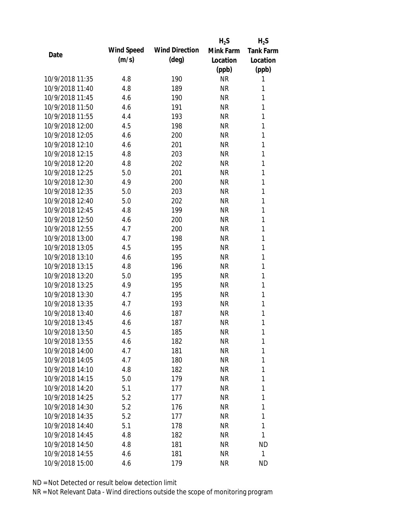|                 |            |                       | $H_2S$    | $H_2S$           |
|-----------------|------------|-----------------------|-----------|------------------|
| Date            | Wind Speed | <b>Wind Direction</b> | Mink Farm | <b>Tank Farm</b> |
|                 | (m/s)      | $(\text{deg})$        | Location  | Location         |
|                 |            |                       | (ppb)     | (ppb)            |
| 10/9/2018 11:35 | 4.8        | 190                   | <b>NR</b> | 1                |
| 10/9/2018 11:40 | 4.8        | 189                   | <b>NR</b> | 1                |
| 10/9/2018 11:45 | 4.6        | 190                   | <b>NR</b> | 1                |
| 10/9/2018 11:50 | 4.6        | 191                   | <b>NR</b> | 1                |
| 10/9/2018 11:55 | 4.4        | 193                   | <b>NR</b> | 1                |
| 10/9/2018 12:00 | 4.5        | 198                   | <b>NR</b> | 1                |
| 10/9/2018 12:05 | 4.6        | 200                   | <b>NR</b> | 1                |
| 10/9/2018 12:10 | 4.6        | 201                   | <b>NR</b> | 1                |
| 10/9/2018 12:15 | 4.8        | 203                   | <b>NR</b> | 1                |
| 10/9/2018 12:20 | 4.8        | 202                   | <b>NR</b> | 1                |
| 10/9/2018 12:25 | 5.0        | 201                   | <b>NR</b> | 1                |
| 10/9/2018 12:30 | 4.9        | 200                   | <b>NR</b> | 1                |
| 10/9/2018 12:35 | 5.0        | 203                   | <b>NR</b> | 1                |
| 10/9/2018 12:40 | 5.0        | 202                   | <b>NR</b> | 1                |
| 10/9/2018 12:45 | 4.8        | 199                   | <b>NR</b> | 1                |
| 10/9/2018 12:50 | 4.6        | 200                   | <b>NR</b> | 1                |
| 10/9/2018 12:55 | 4.7        | 200                   | <b>NR</b> | 1                |
| 10/9/2018 13:00 | 4.7        | 198                   | <b>NR</b> | 1                |
| 10/9/2018 13:05 | 4.5        | 195                   | <b>NR</b> | 1                |
| 10/9/2018 13:10 | 4.6        | 195                   | <b>NR</b> | 1                |
| 10/9/2018 13:15 | 4.8        | 196                   | <b>NR</b> | 1                |
| 10/9/2018 13:20 | 5.0        | 195                   | <b>NR</b> | 1                |
| 10/9/2018 13:25 | 4.9        | 195                   | <b>NR</b> | 1                |
| 10/9/2018 13:30 | 4.7        | 195                   | <b>NR</b> | 1                |
| 10/9/2018 13:35 | 4.7        | 193                   | <b>NR</b> | 1                |
| 10/9/2018 13:40 | 4.6        | 187                   | <b>NR</b> | 1                |
| 10/9/2018 13:45 | 4.6        | 187                   | <b>NR</b> | 1                |
| 10/9/2018 13:50 | 4.5        | 185                   | <b>NR</b> | 1                |
| 10/9/2018 13:55 | 4.6        | 182                   | <b>NR</b> | 1                |
| 10/9/2018 14:00 | 4.7        | 181                   | <b>NR</b> | 1                |
| 10/9/2018 14:05 | 4.7        | 180                   | <b>NR</b> | 1                |
| 10/9/2018 14:10 | 4.8        | 182                   | <b>NR</b> | 1                |
| 10/9/2018 14:15 | 5.0        | 179                   | <b>NR</b> | 1                |
| 10/9/2018 14:20 | 5.1        | 177                   | <b>NR</b> | 1                |
| 10/9/2018 14:25 | 5.2        | 177                   | <b>NR</b> | 1                |
| 10/9/2018 14:30 | 5.2        | 176                   | <b>NR</b> | 1                |
| 10/9/2018 14:35 | 5.2        | 177                   | <b>NR</b> | 1                |
| 10/9/2018 14:40 | 5.1        | 178                   | NR        | 1                |
| 10/9/2018 14:45 | 4.8        | 182                   | <b>NR</b> | 1                |
| 10/9/2018 14:50 | 4.8        | 181                   | <b>NR</b> | <b>ND</b>        |
| 10/9/2018 14:55 | 4.6        | 181                   | <b>NR</b> | 1                |
| 10/9/2018 15:00 | 4.6        | 179                   | <b>NR</b> | <b>ND</b>        |
|                 |            |                       |           |                  |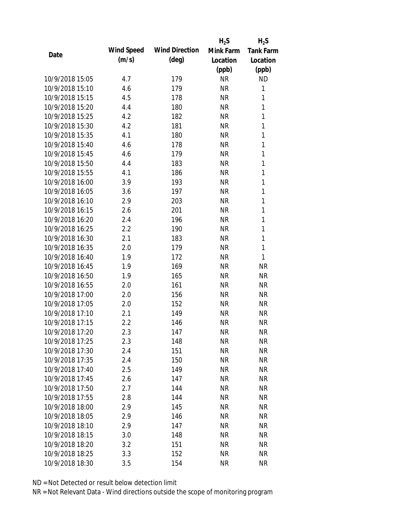|                 |            |                       | $H_2S$    | $H_2S$           |
|-----------------|------------|-----------------------|-----------|------------------|
|                 | Wind Speed | <b>Wind Direction</b> | Mink Farm | <b>Tank Farm</b> |
| Date            | (m/s)      | $(\text{deg})$        | Location  | Location         |
|                 |            |                       | (ppb)     | (ppb)            |
| 10/9/2018 15:05 | 4.7        | 179                   | <b>NR</b> | <b>ND</b>        |
| 10/9/2018 15:10 | 4.6        | 179                   | <b>NR</b> | 1                |
| 10/9/2018 15:15 | 4.5        | 178                   | <b>NR</b> | 1                |
| 10/9/2018 15:20 | 4.4        | 180                   | <b>NR</b> | 1                |
| 10/9/2018 15:25 | 4.2        | 182                   | <b>NR</b> | 1                |
| 10/9/2018 15:30 | 4.2        | 181                   | <b>NR</b> | 1                |
| 10/9/2018 15:35 | 4.1        | 180                   | <b>NR</b> | 1                |
| 10/9/2018 15:40 | 4.6        | 178                   | <b>NR</b> | 1                |
| 10/9/2018 15:45 | 4.6        | 179                   | <b>NR</b> | 1                |
| 10/9/2018 15:50 | 4.4        | 183                   | <b>NR</b> | 1                |
| 10/9/2018 15:55 | 4.1        | 186                   | <b>NR</b> | 1                |
| 10/9/2018 16:00 | 3.9        | 193                   | <b>NR</b> | 1                |
| 10/9/2018 16:05 | 3.6        | 197                   | <b>NR</b> | 1                |
| 10/9/2018 16:10 | 2.9        | 203                   | <b>NR</b> | $\mathbf{1}$     |
| 10/9/2018 16:15 | 2.6        | 201                   | <b>NR</b> | $\mathbf{1}$     |
| 10/9/2018 16:20 | 2.4        | 196                   | <b>NR</b> | 1                |
| 10/9/2018 16:25 | 2.2        | 190                   | <b>NR</b> | 1                |
| 10/9/2018 16:30 | 2.1        | 183                   | <b>NR</b> | 1                |
| 10/9/2018 16:35 | 2.0        | 179                   | <b>NR</b> | 1                |
| 10/9/2018 16:40 | 1.9        | 172                   | <b>NR</b> | $\mathbf{1}$     |
| 10/9/2018 16:45 | 1.9        | 169                   | <b>NR</b> | <b>NR</b>        |
| 10/9/2018 16:50 | 1.9        | 165                   | <b>NR</b> | <b>NR</b>        |
| 10/9/2018 16:55 | 2.0        | 161                   | <b>NR</b> | <b>NR</b>        |
| 10/9/2018 17:00 | 2.0        | 156                   | <b>NR</b> | <b>NR</b>        |
| 10/9/2018 17:05 | 2.0        | 152                   | <b>NR</b> | <b>NR</b>        |
| 10/9/2018 17:10 | 2.1        | 149                   | <b>NR</b> | <b>NR</b>        |
| 10/9/2018 17:15 | 2.2        | 146                   | <b>NR</b> | <b>NR</b>        |
| 10/9/2018 17:20 | 2.3        | 147                   | <b>NR</b> | <b>NR</b>        |
| 10/9/2018 17:25 | 2.3        | 148                   | <b>NR</b> | <b>NR</b>        |
| 10/9/2018 17:30 | 2.4        | 151                   | <b>NR</b> | <b>NR</b>        |
| 10/9/2018 17:35 | 2.4        | 150                   | <b>NR</b> | <b>NR</b>        |
| 10/9/2018 17:40 | 2.5        | 149                   | <b>NR</b> | <b>NR</b>        |
| 10/9/2018 17:45 | 2.6        | 147                   | <b>NR</b> | <b>NR</b>        |
| 10/9/2018 17:50 | 2.7        | 144                   | <b>NR</b> | <b>NR</b>        |
| 10/9/2018 17:55 | 2.8        | 144                   | <b>NR</b> | <b>NR</b>        |
| 10/9/2018 18:00 | 2.9        | 145                   | <b>NR</b> | <b>NR</b>        |
| 10/9/2018 18:05 | 2.9        | 146                   | <b>NR</b> | NR               |
| 10/9/2018 18:10 | 2.9        | 147                   | <b>NR</b> | NR               |
| 10/9/2018 18:15 | 3.0        | 148                   | <b>NR</b> | NR               |
| 10/9/2018 18:20 | 3.2        | 151                   | <b>NR</b> | NR               |
| 10/9/2018 18:25 | 3.3        | 152                   | <b>NR</b> | <b>NR</b>        |
| 10/9/2018 18:30 | 3.5        | 154                   | <b>NR</b> | <b>NR</b>        |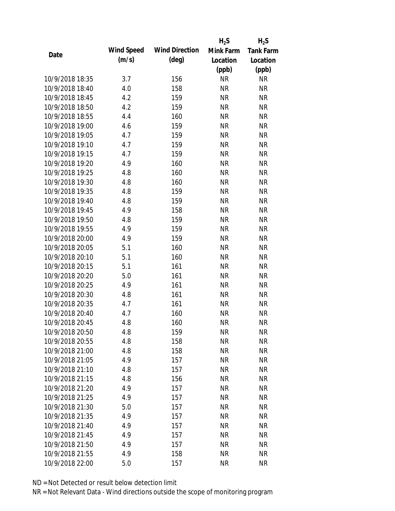|                 |            |                       | $H_2S$    | $H_2S$           |
|-----------------|------------|-----------------------|-----------|------------------|
|                 | Wind Speed | <b>Wind Direction</b> | Mink Farm | <b>Tank Farm</b> |
| Date            | (m/s)      | $(\text{deg})$        | Location  | Location         |
|                 |            |                       | (ppb)     | (ppb)            |
| 10/9/2018 18:35 | 3.7        | 156                   | <b>NR</b> | <b>NR</b>        |
| 10/9/2018 18:40 | 4.0        | 158                   | <b>NR</b> | <b>NR</b>        |
| 10/9/2018 18:45 | 4.2        | 159                   | <b>NR</b> | <b>NR</b>        |
| 10/9/2018 18:50 | 4.2        | 159                   | <b>NR</b> | <b>NR</b>        |
| 10/9/2018 18:55 | 4.4        | 160                   | <b>NR</b> | <b>NR</b>        |
| 10/9/2018 19:00 | 4.6        | 159                   | <b>NR</b> | <b>NR</b>        |
| 10/9/2018 19:05 | 4.7        | 159                   | <b>NR</b> | <b>NR</b>        |
| 10/9/2018 19:10 | 4.7        | 159                   | <b>NR</b> | <b>NR</b>        |
| 10/9/2018 19:15 | 4.7        | 159                   | <b>NR</b> | <b>NR</b>        |
| 10/9/2018 19:20 | 4.9        | 160                   | <b>NR</b> | <b>NR</b>        |
| 10/9/2018 19:25 | 4.8        | 160                   | <b>NR</b> | <b>NR</b>        |
| 10/9/2018 19:30 | 4.8        | 160                   | <b>NR</b> | <b>NR</b>        |
| 10/9/2018 19:35 | 4.8        | 159                   | <b>NR</b> | <b>NR</b>        |
| 10/9/2018 19:40 | 4.8        | 159                   | <b>NR</b> | <b>NR</b>        |
| 10/9/2018 19:45 | 4.9        | 158                   | <b>NR</b> | <b>NR</b>        |
| 10/9/2018 19:50 | 4.8        | 159                   | <b>NR</b> | <b>NR</b>        |
| 10/9/2018 19:55 | 4.9        | 159                   | <b>NR</b> | <b>NR</b>        |
| 10/9/2018 20:00 | 4.9        | 159                   | <b>NR</b> | <b>NR</b>        |
| 10/9/2018 20:05 | 5.1        | 160                   | <b>NR</b> | <b>NR</b>        |
| 10/9/2018 20:10 | 5.1        | 160                   | <b>NR</b> | <b>NR</b>        |
| 10/9/2018 20:15 | 5.1        | 161                   | <b>NR</b> | <b>NR</b>        |
| 10/9/2018 20:20 | 5.0        | 161                   | <b>NR</b> | <b>NR</b>        |
| 10/9/2018 20:25 | 4.9        | 161                   | <b>NR</b> | <b>NR</b>        |
| 10/9/2018 20:30 | 4.8        | 161                   | <b>NR</b> | <b>NR</b>        |
| 10/9/2018 20:35 | 4.7        | 161                   | <b>NR</b> | <b>NR</b>        |
| 10/9/2018 20:40 | 4.7        | 160                   | <b>NR</b> | <b>NR</b>        |
| 10/9/2018 20:45 | 4.8        | 160                   | <b>NR</b> | <b>NR</b>        |
| 10/9/2018 20:50 | 4.8        | 159                   | <b>NR</b> | <b>NR</b>        |
| 10/9/2018 20:55 | 4.8        | 158                   | <b>NR</b> | <b>NR</b>        |
| 10/9/2018 21:00 | 4.8        | 158                   | <b>NR</b> | <b>NR</b>        |
| 10/9/2018 21:05 | 4.9        | 157                   | <b>NR</b> | <b>NR</b>        |
| 10/9/2018 21:10 | 4.8        | 157                   | <b>NR</b> | <b>NR</b>        |
| 10/9/2018 21:15 | 4.8        | 156                   | <b>NR</b> | <b>NR</b>        |
| 10/9/2018 21:20 | 4.9        | 157                   | <b>NR</b> | <b>NR</b>        |
| 10/9/2018 21:25 | 4.9        | 157                   | <b>NR</b> | <b>NR</b>        |
| 10/9/2018 21:30 | 5.0        | 157                   | <b>NR</b> | <b>NR</b>        |
| 10/9/2018 21:35 | 4.9        | 157                   | <b>NR</b> | <b>NR</b>        |
| 10/9/2018 21:40 | 4.9        | 157                   | <b>NR</b> | <b>NR</b>        |
| 10/9/2018 21:45 | 4.9        | 157                   | <b>NR</b> | <b>NR</b>        |
| 10/9/2018 21:50 | 4.9        | 157                   | <b>NR</b> | NR               |
| 10/9/2018 21:55 | 4.9        | 158                   | <b>NR</b> | <b>NR</b>        |
| 10/9/2018 22:00 | 5.0        | 157                   | <b>NR</b> | <b>NR</b>        |
|                 |            |                       |           |                  |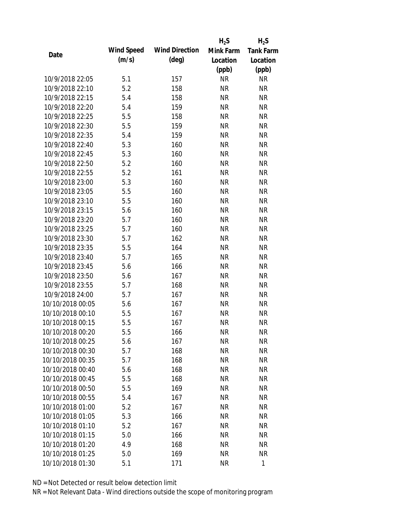|                  |            |                       | $H_2S$    | $H_2S$           |
|------------------|------------|-----------------------|-----------|------------------|
|                  | Wind Speed | <b>Wind Direction</b> | Mink Farm | <b>Tank Farm</b> |
| Date             | (m/s)      | $(\text{deg})$        | Location  | Location         |
|                  |            |                       | (ppb)     | (ppb)            |
| 10/9/2018 22:05  | 5.1        | 157                   | <b>NR</b> | <b>NR</b>        |
| 10/9/2018 22:10  | 5.2        | 158                   | <b>NR</b> | <b>NR</b>        |
| 10/9/2018 22:15  | 5.4        | 158                   | <b>NR</b> | <b>NR</b>        |
| 10/9/2018 22:20  | 5.4        | 159                   | <b>NR</b> | <b>NR</b>        |
| 10/9/2018 22:25  | 5.5        | 158                   | <b>NR</b> | <b>NR</b>        |
| 10/9/2018 22:30  | 5.5        | 159                   | <b>NR</b> | <b>NR</b>        |
| 10/9/2018 22:35  | 5.4        | 159                   | <b>NR</b> | <b>NR</b>        |
| 10/9/2018 22:40  | 5.3        | 160                   | <b>NR</b> | <b>NR</b>        |
| 10/9/2018 22:45  | 5.3        | 160                   | <b>NR</b> | <b>NR</b>        |
| 10/9/2018 22:50  | 5.2        | 160                   | <b>NR</b> | <b>NR</b>        |
| 10/9/2018 22:55  | 5.2        | 161                   | <b>NR</b> | <b>NR</b>        |
| 10/9/2018 23:00  | 5.3        | 160                   | <b>NR</b> | <b>NR</b>        |
| 10/9/2018 23:05  | 5.5        | 160                   | <b>NR</b> | <b>NR</b>        |
| 10/9/2018 23:10  | 5.5        | 160                   | <b>NR</b> | <b>NR</b>        |
| 10/9/2018 23:15  | 5.6        | 160                   | <b>NR</b> | <b>NR</b>        |
| 10/9/2018 23:20  | 5.7        | 160                   | <b>NR</b> | <b>NR</b>        |
| 10/9/2018 23:25  | 5.7        | 160                   | <b>NR</b> | <b>NR</b>        |
| 10/9/2018 23:30  | 5.7        | 162                   | <b>NR</b> | <b>NR</b>        |
| 10/9/2018 23:35  | 5.5        | 164                   | <b>NR</b> | <b>NR</b>        |
| 10/9/2018 23:40  | 5.7        | 165                   | <b>NR</b> | <b>NR</b>        |
| 10/9/2018 23:45  | 5.6        | 166                   | <b>NR</b> | <b>NR</b>        |
| 10/9/2018 23:50  | 5.6        | 167                   | <b>NR</b> | <b>NR</b>        |
| 10/9/2018 23:55  | 5.7        | 168                   | <b>NR</b> | <b>NR</b>        |
| 10/9/2018 24:00  | 5.7        | 167                   | <b>NR</b> | <b>NR</b>        |
| 10/10/2018 00:05 | 5.6        | 167                   | <b>NR</b> | <b>NR</b>        |
| 10/10/2018 00:10 | 5.5        | 167                   | <b>NR</b> | <b>NR</b>        |
| 10/10/2018 00:15 | 5.5        | 167                   | <b>NR</b> | <b>NR</b>        |
| 10/10/2018 00:20 | 5.5        | 166                   | <b>NR</b> | <b>NR</b>        |
| 10/10/2018 00:25 | 5.6        | 167                   | <b>NR</b> | <b>NR</b>        |
| 10/10/2018 00:30 | 5.7        | 168                   | <b>NR</b> | <b>NR</b>        |
| 10/10/2018 00:35 | 5.7        | 168                   | <b>NR</b> | <b>NR</b>        |
| 10/10/2018 00:40 | 5.6        | 168                   | <b>NR</b> | NR               |
| 10/10/2018 00:45 | 5.5        | 168                   | <b>NR</b> | <b>NR</b>        |
| 10/10/2018 00:50 | 5.5        | 169                   | <b>NR</b> | <b>NR</b>        |
| 10/10/2018 00:55 | 5.4        | 167                   | <b>NR</b> | <b>NR</b>        |
| 10/10/2018 01:00 | 5.2        | 167                   | <b>NR</b> | <b>NR</b>        |
| 10/10/2018 01:05 | 5.3        | 166                   | <b>NR</b> | <b>NR</b>        |
| 10/10/2018 01:10 | 5.2        | 167                   | <b>NR</b> | <b>NR</b>        |
| 10/10/2018 01:15 | 5.0        | 166                   | <b>NR</b> | <b>NR</b>        |
| 10/10/2018 01:20 | 4.9        | 168                   | <b>NR</b> | NR               |
| 10/10/2018 01:25 | 5.0        | 169                   | <b>NR</b> | <b>NR</b>        |
|                  |            |                       |           |                  |
| 10/10/2018 01:30 | 5.1        | 171                   | <b>NR</b> | 1                |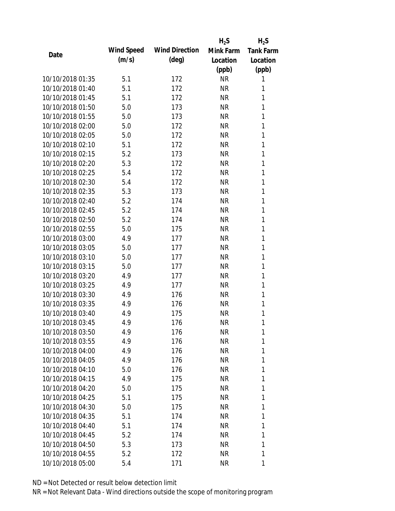|                  |            |                       | $H_2S$    | $H_2S$    |
|------------------|------------|-----------------------|-----------|-----------|
| Date             | Wind Speed | <b>Wind Direction</b> | Mink Farm | Tank Farm |
|                  | (m/s)      | $(\text{deg})$        | Location  | Location  |
|                  |            |                       | (ppb)     | (ppb)     |
| 10/10/2018 01:35 | 5.1        | 172                   | <b>NR</b> | 1         |
| 10/10/2018 01:40 | 5.1        | 172                   | <b>NR</b> | 1         |
| 10/10/2018 01:45 | 5.1        | 172                   | <b>NR</b> | 1         |
| 10/10/2018 01:50 | 5.0        | 173                   | <b>NR</b> | 1         |
| 10/10/2018 01:55 | 5.0        | 173                   | <b>NR</b> | 1         |
| 10/10/2018 02:00 | 5.0        | 172                   | <b>NR</b> | 1         |
| 10/10/2018 02:05 | 5.0        | 172                   | <b>NR</b> | 1         |
| 10/10/2018 02:10 | 5.1        | 172                   | <b>NR</b> | 1         |
| 10/10/2018 02:15 | 5.2        | 173                   | <b>NR</b> | 1         |
| 10/10/2018 02:20 | 5.3        | 172                   | <b>NR</b> | 1         |
| 10/10/2018 02:25 | 5.4        | 172                   | <b>NR</b> | 1         |
| 10/10/2018 02:30 | 5.4        | 172                   | <b>NR</b> | 1         |
| 10/10/2018 02:35 | 5.3        | 173                   | <b>NR</b> | 1         |
| 10/10/2018 02:40 | 5.2        | 174                   | <b>NR</b> | 1         |
| 10/10/2018 02:45 | 5.2        | 174                   | <b>NR</b> | 1         |
| 10/10/2018 02:50 | 5.2        | 174                   | <b>NR</b> | 1         |
| 10/10/2018 02:55 | 5.0        | 175                   | <b>NR</b> | 1         |
| 10/10/2018 03:00 | 4.9        | 177                   | <b>NR</b> | 1         |
| 10/10/2018 03:05 | 5.0        | 177                   | <b>NR</b> | 1         |
| 10/10/2018 03:10 | 5.0        | 177                   | <b>NR</b> | 1         |
| 10/10/2018 03:15 | 5.0        | 177                   | <b>NR</b> | 1         |
| 10/10/2018 03:20 | 4.9        | 177                   | <b>NR</b> | 1         |
| 10/10/2018 03:25 | 4.9        | 177                   | <b>NR</b> | 1         |
| 10/10/2018 03:30 | 4.9        | 176                   | <b>NR</b> | 1         |
| 10/10/2018 03:35 | 4.9        | 176                   | <b>NR</b> | 1         |
| 10/10/2018 03:40 | 4.9        | 175                   | <b>NR</b> | 1         |
| 10/10/2018 03:45 | 4.9        | 176                   | <b>NR</b> | 1         |
| 10/10/2018 03:50 | 4.9        | 176                   | <b>NR</b> | 1         |
| 10/10/2018 03:55 | 4.9        | 176                   | <b>NR</b> | 1         |
| 10/10/2018 04:00 | 4.9        | 176                   | NR        | 1         |
| 10/10/2018 04:05 | 4.9        | 176                   | NR        | 1         |
| 10/10/2018 04:10 | 5.0        | 176                   | NR        | 1         |
| 10/10/2018 04:15 | 4.9        | 175                   | NR        | 1         |
| 10/10/2018 04:20 | 5.0        | 175                   | <b>NR</b> | 1         |
| 10/10/2018 04:25 | 5.1        | 175                   | NR        | 1         |
| 10/10/2018 04:30 | 5.0        | 175                   | NR        | 1         |
| 10/10/2018 04:35 | 5.1        | 174                   | NR        | 1         |
| 10/10/2018 04:40 |            |                       |           | 1         |
| 10/10/2018 04:45 | 5.1<br>5.2 | 174                   | NR<br>NR  | 1         |
| 10/10/2018 04:50 |            | 174                   |           | 1         |
|                  | 5.3        | 173                   | <b>NR</b> |           |
| 10/10/2018 04:55 | 5.2        | 172                   | NR        | 1         |
| 10/10/2018 05:00 | 5.4        | 171                   | <b>NR</b> | 1         |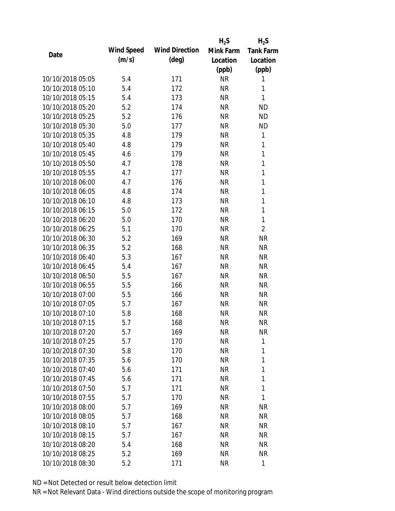|                  |            |                       | $H_2S$    | $H_2S$           |
|------------------|------------|-----------------------|-----------|------------------|
|                  | Wind Speed | <b>Wind Direction</b> | Mink Farm | <b>Tank Farm</b> |
| Date             | (m/s)      | $(\text{deg})$        | Location  | Location         |
|                  |            |                       | (ppb)     | (ppb)            |
| 10/10/2018 05:05 | 5.4        | 171                   | <b>NR</b> | 1                |
| 10/10/2018 05:10 | 5.4        | 172                   | <b>NR</b> | 1                |
| 10/10/2018 05:15 | 5.4        | 173                   | <b>NR</b> | 1                |
| 10/10/2018 05:20 | 5.2        | 174                   | <b>NR</b> | <b>ND</b>        |
| 10/10/2018 05:25 | 5.2        | 176                   | <b>NR</b> | <b>ND</b>        |
| 10/10/2018 05:30 | 5.0        | 177                   | <b>NR</b> | <b>ND</b>        |
| 10/10/2018 05:35 | 4.8        | 179                   | <b>NR</b> | 1                |
| 10/10/2018 05:40 | 4.8        | 179                   | <b>NR</b> | $\mathbf{1}$     |
| 10/10/2018 05:45 | 4.6        | 179                   | <b>NR</b> | $\mathbf{1}$     |
| 10/10/2018 05:50 | 4.7        | 178                   | <b>NR</b> | $\mathbf{1}$     |
| 10/10/2018 05:55 | 4.7        | 177                   | <b>NR</b> | 1                |
| 10/10/2018 06:00 | 4.7        | 176                   | <b>NR</b> | $\mathbf{1}$     |
| 10/10/2018 06:05 | 4.8        | 174                   | <b>NR</b> | 1                |
| 10/10/2018 06:10 | 4.8        | 173                   | <b>NR</b> | $\mathbf{1}$     |
| 10/10/2018 06:15 | 5.0        | 172                   | <b>NR</b> | $\mathbf{1}$     |
| 10/10/2018 06:20 | 5.0        | 170                   | <b>NR</b> | 1                |
| 10/10/2018 06:25 | 5.1        | 170                   | <b>NR</b> | $\overline{2}$   |
| 10/10/2018 06:30 | 5.2        | 169                   | <b>NR</b> | <b>NR</b>        |
| 10/10/2018 06:35 | 5.2        | 168                   | <b>NR</b> | <b>NR</b>        |
| 10/10/2018 06:40 | 5.3        | 167                   | <b>NR</b> | <b>NR</b>        |
| 10/10/2018 06:45 | 5.4        | 167                   | <b>NR</b> | <b>NR</b>        |
| 10/10/2018 06:50 | 5.5        | 167                   | <b>NR</b> | <b>NR</b>        |
| 10/10/2018 06:55 | 5.5        | 166                   | <b>NR</b> | <b>NR</b>        |
| 10/10/2018 07:00 | 5.5        | 166                   | <b>NR</b> | <b>NR</b>        |
| 10/10/2018 07:05 | 5.7        | 167                   | <b>NR</b> | <b>NR</b>        |
| 10/10/2018 07:10 | 5.8        | 168                   | <b>NR</b> | <b>NR</b>        |
| 10/10/2018 07:15 | 5.7        | 168                   | <b>NR</b> | <b>NR</b>        |
| 10/10/2018 07:20 | 5.7        | 169                   | <b>NR</b> | <b>NR</b>        |
| 10/10/2018 07:25 | 5.7        | 170                   | <b>NR</b> | 1                |
| 10/10/2018 07:30 | 5.8        | 170                   | <b>NR</b> | 1                |
| 10/10/2018 07:35 | 5.6        | 170                   | <b>NR</b> | 1                |
| 10/10/2018 07:40 | 5.6        | 171                   | <b>NR</b> | 1                |
| 10/10/2018 07:45 | 5.6        | 171                   | <b>NR</b> | 1                |
| 10/10/2018 07:50 | 5.7        | 171                   | <b>NR</b> | 1                |
| 10/10/2018 07:55 | 5.7        | 170                   | <b>NR</b> | 1                |
| 10/10/2018 08:00 | 5.7        | 169                   | <b>NR</b> | <b>NR</b>        |
| 10/10/2018 08:05 | 5.7        | 168                   | <b>NR</b> | <b>NR</b>        |
| 10/10/2018 08:10 | 5.7        | 167                   | <b>NR</b> | <b>NR</b>        |
| 10/10/2018 08:15 | 5.7        | 167                   | <b>NR</b> | NR               |
| 10/10/2018 08:20 | 5.4        | 168                   | <b>NR</b> | NR               |
| 10/10/2018 08:25 | 5.2        | 169                   | <b>NR</b> | <b>NR</b>        |
|                  |            |                       |           |                  |
| 10/10/2018 08:30 | 5.2        | 171                   | <b>NR</b> | 1                |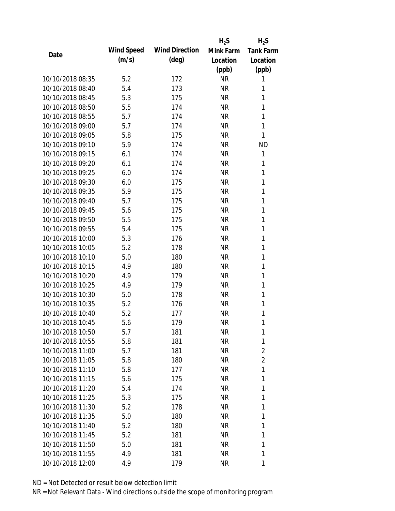|                  |            |                       | $H_2S$    | $H_2S$           |
|------------------|------------|-----------------------|-----------|------------------|
|                  | Wind Speed | <b>Wind Direction</b> | Mink Farm | <b>Tank Farm</b> |
| Date             | (m/s)      | $(\text{deg})$        | Location  | Location         |
|                  |            |                       | (ppb)     | (ppb)            |
| 10/10/2018 08:35 | 5.2        | 172                   | <b>NR</b> | 1                |
| 10/10/2018 08:40 | 5.4        | 173                   | <b>NR</b> | 1                |
| 10/10/2018 08:45 | 5.3        | 175                   | <b>NR</b> | 1                |
| 10/10/2018 08:50 | 5.5        | 174                   | <b>NR</b> | 1                |
| 10/10/2018 08:55 | 5.7        | 174                   | <b>NR</b> | 1                |
| 10/10/2018 09:00 | 5.7        | 174                   | <b>NR</b> | 1                |
| 10/10/2018 09:05 | 5.8        | 175                   | <b>NR</b> | 1                |
| 10/10/2018 09:10 | 5.9        | 174                   | <b>NR</b> | <b>ND</b>        |
| 10/10/2018 09:15 | 6.1        | 174                   | <b>NR</b> | 1                |
| 10/10/2018 09:20 | 6.1        | 174                   | <b>NR</b> | 1                |
| 10/10/2018 09:25 | 6.0        | 174                   | <b>NR</b> | 1                |
| 10/10/2018 09:30 | 6.0        | 175                   | <b>NR</b> | 1                |
| 10/10/2018 09:35 | 5.9        | 175                   | <b>NR</b> | 1                |
| 10/10/2018 09:40 | 5.7        | 175                   | <b>NR</b> | 1                |
| 10/10/2018 09:45 | 5.6        | 175                   | <b>NR</b> | 1                |
| 10/10/2018 09:50 | 5.5        | 175                   | <b>NR</b> | 1                |
| 10/10/2018 09:55 | 5.4        | 175                   | <b>NR</b> | 1                |
| 10/10/2018 10:00 | 5.3        | 176                   | <b>NR</b> | $\mathbf{1}$     |
| 10/10/2018 10:05 | 5.2        | 178                   | <b>NR</b> | 1                |
| 10/10/2018 10:10 | 5.0        | 180                   | <b>NR</b> | 1                |
| 10/10/2018 10:15 | 4.9        | 180                   | <b>NR</b> | 1                |
| 10/10/2018 10:20 | 4.9        | 179                   | <b>NR</b> | 1                |
| 10/10/2018 10:25 | 4.9        | 179                   | <b>NR</b> | $\mathbf{1}$     |
| 10/10/2018 10:30 | 5.0        | 178                   | <b>NR</b> | 1                |
| 10/10/2018 10:35 | 5.2        | 176                   | <b>NR</b> | 1                |
| 10/10/2018 10:40 | 5.2        | 177                   | <b>NR</b> | 1                |
| 10/10/2018 10:45 | 5.6        | 179                   | <b>NR</b> | 1                |
| 10/10/2018 10:50 | 5.7        | 181                   | <b>NR</b> | 1                |
| 10/10/2018 10:55 | 5.8        | 181                   | <b>NR</b> | 1                |
| 10/10/2018 11:00 | 5.7        | 181                   | <b>NR</b> | $\overline{2}$   |
| 10/10/2018 11:05 | 5.8        | 180                   | <b>NR</b> | $\overline{2}$   |
| 10/10/2018 11:10 | 5.8        | 177                   | <b>NR</b> | 1                |
| 10/10/2018 11:15 | 5.6        | 175                   | <b>NR</b> | 1                |
| 10/10/2018 11:20 | 5.4        | 174                   | <b>NR</b> | 1                |
| 10/10/2018 11:25 | 5.3        | 175                   | <b>NR</b> | 1                |
| 10/10/2018 11:30 | 5.2        | 178                   | <b>NR</b> | 1                |
| 10/10/2018 11:35 | 5.0        | 180                   | <b>NR</b> | 1                |
| 10/10/2018 11:40 | 5.2        | 180                   | NR        | 1                |
| 10/10/2018 11:45 | 5.2        | 181                   | <b>NR</b> | 1                |
| 10/10/2018 11:50 |            |                       |           | 1                |
|                  | 5.0        | 181                   | <b>NR</b> |                  |
| 10/10/2018 11:55 | 4.9        | 181                   | <b>NR</b> | 1                |
| 10/10/2018 12:00 | 4.9        | 179                   | <b>NR</b> | 1                |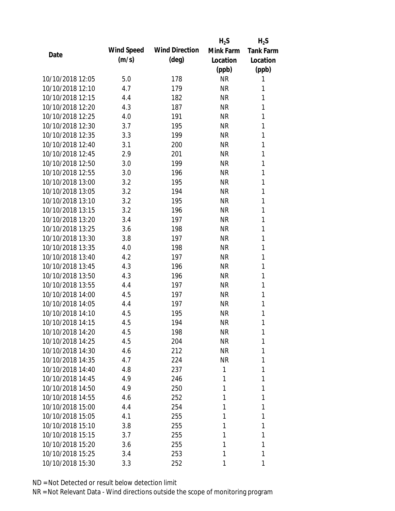|                  |            |                       | $H_2S$    | $H_2S$           |
|------------------|------------|-----------------------|-----------|------------------|
| Date             | Wind Speed | <b>Wind Direction</b> | Mink Farm | <b>Tank Farm</b> |
|                  | (m/s)      | $(\text{deg})$        | Location  | Location         |
|                  |            |                       | (ppb)     | (ppb)            |
| 10/10/2018 12:05 | 5.0        | 178                   | <b>NR</b> | 1                |
| 10/10/2018 12:10 | 4.7        | 179                   | <b>NR</b> | 1                |
| 10/10/2018 12:15 | 4.4        | 182                   | <b>NR</b> | 1                |
| 10/10/2018 12:20 | 4.3        | 187                   | <b>NR</b> | 1                |
| 10/10/2018 12:25 | 4.0        | 191                   | <b>NR</b> | 1                |
| 10/10/2018 12:30 | 3.7        | 195                   | <b>NR</b> | 1                |
| 10/10/2018 12:35 | 3.3        | 199                   | <b>NR</b> | 1                |
| 10/10/2018 12:40 | 3.1        | 200                   | <b>NR</b> | 1                |
| 10/10/2018 12:45 | 2.9        | 201                   | <b>NR</b> | 1                |
| 10/10/2018 12:50 | 3.0        | 199                   | <b>NR</b> | 1                |
| 10/10/2018 12:55 | 3.0        | 196                   | <b>NR</b> | 1                |
| 10/10/2018 13:00 | 3.2        | 195                   | <b>NR</b> | 1                |
| 10/10/2018 13:05 | 3.2        | 194                   | <b>NR</b> | 1                |
| 10/10/2018 13:10 | 3.2        | 195                   | <b>NR</b> | 1                |
| 10/10/2018 13:15 | 3.2        | 196                   | <b>NR</b> | 1                |
| 10/10/2018 13:20 | 3.4        | 197                   | <b>NR</b> | 1                |
| 10/10/2018 13:25 | 3.6        | 198                   | <b>NR</b> | 1                |
| 10/10/2018 13:30 | 3.8        | 197                   | <b>NR</b> | 1                |
| 10/10/2018 13:35 | 4.0        | 198                   | <b>NR</b> | 1                |
| 10/10/2018 13:40 | 4.2        | 197                   | <b>NR</b> | 1                |
| 10/10/2018 13:45 | 4.3        | 196                   | <b>NR</b> | 1                |
| 10/10/2018 13:50 | 4.3        | 196                   | <b>NR</b> | 1                |
| 10/10/2018 13:55 | 4.4        | 197                   | <b>NR</b> | 1                |
| 10/10/2018 14:00 | 4.5        | 197                   | <b>NR</b> | 1                |
| 10/10/2018 14:05 | 4.4        | 197                   | <b>NR</b> | 1                |
| 10/10/2018 14:10 | 4.5        | 195                   | <b>NR</b> | 1                |
| 10/10/2018 14:15 | 4.5        | 194                   | <b>NR</b> | 1                |
| 10/10/2018 14:20 | 4.5        | 198                   | <b>NR</b> | 1                |
| 10/10/2018 14:25 | 4.5        | 204                   | <b>NR</b> | 1                |
| 10/10/2018 14:30 | 4.6        | 212                   | <b>NR</b> | 1                |
| 10/10/2018 14:35 | 4.7        | 224                   | NR        | 1                |
| 10/10/2018 14:40 | 4.8        | 237                   | 1         | 1                |
| 10/10/2018 14:45 | 4.9        | 246                   | 1         | 1                |
| 10/10/2018 14:50 | 4.9        | 250                   | 1         | 1                |
| 10/10/2018 14:55 | 4.6        | 252                   | 1         | 1                |
| 10/10/2018 15:00 | 4.4        | 254                   | 1         | 1                |
| 10/10/2018 15:05 | 4.1        | 255                   | 1         | 1                |
| 10/10/2018 15:10 | 3.8        | 255                   | 1         | 1                |
| 10/10/2018 15:15 | 3.7        | 255                   | 1         | 1                |
| 10/10/2018 15:20 | 3.6        | 255                   | 1         | 1                |
| 10/10/2018 15:25 | 3.4        | 253                   | 1         | 1                |
| 10/10/2018 15:30 | 3.3        | 252                   | 1         | 1                |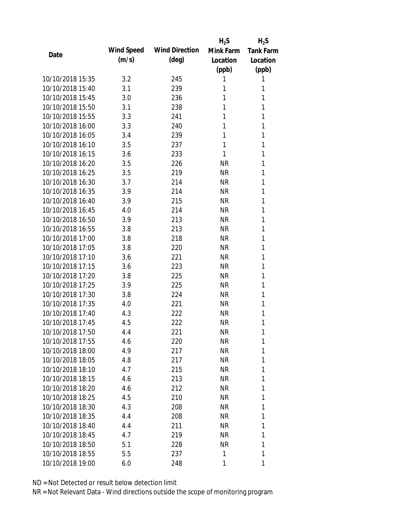|                  |            |                       | $H_2S$    | $H_2S$           |
|------------------|------------|-----------------------|-----------|------------------|
|                  | Wind Speed | <b>Wind Direction</b> | Mink Farm | <b>Tank Farm</b> |
| Date             | (m/s)      | $(\text{deg})$        | Location  | Location         |
|                  |            |                       | (ppb)     | (ppb)            |
| 10/10/2018 15:35 | 3.2        | 245                   | 1         | 1                |
| 10/10/2018 15:40 | 3.1        | 239                   | 1         | 1                |
| 10/10/2018 15:45 | 3.0        | 236                   | 1         | 1                |
| 10/10/2018 15:50 | 3.1        | 238                   | 1         | 1                |
| 10/10/2018 15:55 | 3.3        | 241                   | 1         | 1                |
| 10/10/2018 16:00 | 3.3        | 240                   | 1         | 1                |
| 10/10/2018 16:05 | 3.4        | 239                   | 1         | 1                |
| 10/10/2018 16:10 | 3.5        | 237                   | 1         | 1                |
| 10/10/2018 16:15 | 3.6        | 233                   | 1         | 1                |
| 10/10/2018 16:20 | 3.5        | 226                   | <b>NR</b> | 1                |
| 10/10/2018 16:25 | 3.5        | 219                   | <b>NR</b> | 1                |
| 10/10/2018 16:30 | 3.7        | 214                   | <b>NR</b> | 1                |
| 10/10/2018 16:35 | 3.9        | 214                   | <b>NR</b> | 1                |
| 10/10/2018 16:40 | 3.9        | 215                   | <b>NR</b> | 1                |
| 10/10/2018 16:45 | 4.0        | 214                   | <b>NR</b> | 1                |
| 10/10/2018 16:50 | 3.9        | 213                   | <b>NR</b> | 1                |
| 10/10/2018 16:55 | 3.8        | 213                   | <b>NR</b> | 1                |
| 10/10/2018 17:00 | 3.8        | 218                   | <b>NR</b> | 1                |
| 10/10/2018 17:05 | 3.8        | 220                   | <b>NR</b> | 1                |
| 10/10/2018 17:10 | 3.6        | 221                   | <b>NR</b> | 1                |
| 10/10/2018 17:15 | 3.6        | 223                   | <b>NR</b> | 1                |
| 10/10/2018 17:20 | 3.8        | 225                   | <b>NR</b> | 1                |
| 10/10/2018 17:25 | 3.9        | 225                   | <b>NR</b> | 1                |
| 10/10/2018 17:30 | 3.8        | 224                   | <b>NR</b> | 1                |
| 10/10/2018 17:35 | 4.0        | 221                   | <b>NR</b> | 1                |
| 10/10/2018 17:40 | 4.3        | 222                   | <b>NR</b> | 1                |
| 10/10/2018 17:45 | 4.5        | 222                   | <b>NR</b> | 1                |
| 10/10/2018 17:50 | 4.4        | 221                   | <b>NR</b> | 1                |
| 10/10/2018 17:55 | 4.6        | 220                   | <b>NR</b> | 1                |
| 10/10/2018 18:00 | 4.9        | 217                   | <b>NR</b> | 1                |
| 10/10/2018 18:05 | 4.8        | 217                   | <b>NR</b> | 1                |
| 10/10/2018 18:10 | 4.7        | 215                   | <b>NR</b> | 1                |
| 10/10/2018 18:15 | 4.6        | 213                   | <b>NR</b> | 1                |
| 10/10/2018 18:20 | 4.6        | 212                   | <b>NR</b> | 1                |
| 10/10/2018 18:25 | 4.5        | 210                   | <b>NR</b> | 1                |
| 10/10/2018 18:30 | 4.3        | 208                   | <b>NR</b> | 1                |
| 10/10/2018 18:35 | 4.4        | 208                   | <b>NR</b> | 1                |
| 10/10/2018 18:40 | 4.4        | 211                   | NR        | 1                |
| 10/10/2018 18:45 | 4.7        | 219                   | <b>NR</b> | 1                |
| 10/10/2018 18:50 | 5.1        | 228                   | <b>NR</b> | 1                |
| 10/10/2018 18:55 | 5.5        | 237                   | 1         | 1                |
| 10/10/2018 19:00 | 6.0        | 248                   | 1         | 1                |
|                  |            |                       |           |                  |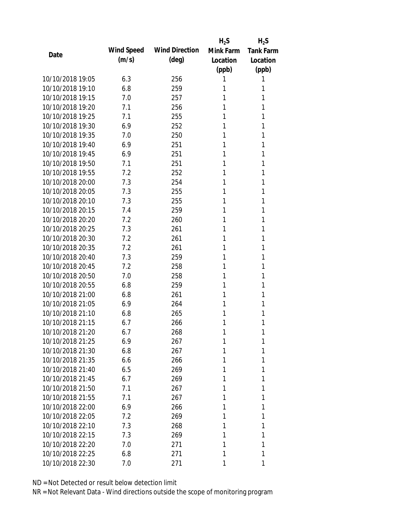|                  |            |                       | $H_2S$    | $H_2S$           |
|------------------|------------|-----------------------|-----------|------------------|
| Date             | Wind Speed | <b>Wind Direction</b> | Mink Farm | <b>Tank Farm</b> |
|                  | (m/s)      | $(\text{deg})$        | Location  | Location         |
|                  |            |                       | (ppb)     | (ppb)            |
| 10/10/2018 19:05 | 6.3        | 256                   | 1         | 1                |
| 10/10/2018 19:10 | 6.8        | 259                   | 1         | 1                |
| 10/10/2018 19:15 | 7.0        | 257                   | 1         | 1                |
| 10/10/2018 19:20 | 7.1        | 256                   | 1         | 1                |
| 10/10/2018 19:25 | 7.1        | 255                   | 1         | 1                |
| 10/10/2018 19:30 | 6.9        | 252                   | 1         | 1                |
| 10/10/2018 19:35 | 7.0        | 250                   | 1         | 1                |
| 10/10/2018 19:40 | 6.9        | 251                   | 1         | 1                |
| 10/10/2018 19:45 | 6.9        | 251                   | 1         | 1                |
| 10/10/2018 19:50 | 7.1        | 251                   | 1         | 1                |
| 10/10/2018 19:55 | 7.2        | 252                   | 1         | 1                |
| 10/10/2018 20:00 | 7.3        | 254                   | 1         | 1                |
| 10/10/2018 20:05 | 7.3        | 255                   | 1         | 1                |
| 10/10/2018 20:10 | 7.3        | 255                   | 1         | 1                |
| 10/10/2018 20:15 | 7.4        | 259                   | 1         | 1                |
| 10/10/2018 20:20 | 7.2        | 260                   | 1         | 1                |
| 10/10/2018 20:25 | 7.3        | 261                   | 1         | 1                |
| 10/10/2018 20:30 | 7.2        | 261                   | 1         | 1                |
| 10/10/2018 20:35 | 7.2        | 261                   | 1         | 1                |
| 10/10/2018 20:40 | 7.3        | 259                   | 1         | 1                |
| 10/10/2018 20:45 | 7.2        | 258                   | 1         | 1                |
| 10/10/2018 20:50 | 7.0        | 258                   | 1         | 1                |
| 10/10/2018 20:55 | 6.8        | 259                   | 1         | 1                |
| 10/10/2018 21:00 | 6.8        | 261                   | 1         | 1                |
| 10/10/2018 21:05 | 6.9        | 264                   | 1         | 1                |
| 10/10/2018 21:10 | 6.8        | 265                   | 1         | 1                |
| 10/10/2018 21:15 | 6.7        | 266                   | 1         | 1                |
| 10/10/2018 21:20 | 6.7        | 268                   | 1         | 1                |
| 10/10/2018 21:25 | 6.9        | 267                   | 1         | 1                |
| 10/10/2018 21:30 | 6.8        | 267                   | 1         | 1                |
| 10/10/2018 21:35 | 6.6        | 266                   | 1         | 1                |
| 10/10/2018 21:40 | 6.5        | 269                   | 1         | 1                |
| 10/10/2018 21:45 | 6.7        | 269                   | 1         | 1                |
| 10/10/2018 21:50 | 7.1        | 267                   | 1         | 1                |
| 10/10/2018 21:55 | 7.1        | 267                   | 1         | 1                |
| 10/10/2018 22:00 | 6.9        | 266                   | 1         | 1                |
| 10/10/2018 22:05 | 7.2        | 269                   | 1         | 1                |
| 10/10/2018 22:10 | 7.3        | 268                   | 1         | 1                |
| 10/10/2018 22:15 | 7.3        | 269                   | 1         | 1                |
| 10/10/2018 22:20 | 7.0        | 271                   | 1         | 1                |
| 10/10/2018 22:25 | 6.8        | 271                   | 1         | 1                |
| 10/10/2018 22:30 | 7.0        | 271                   | 1         | 1                |
|                  |            |                       |           |                  |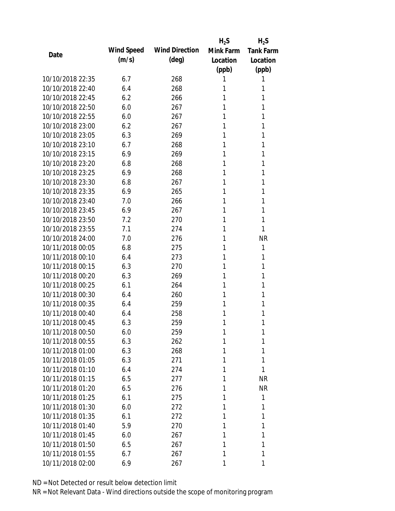|                  |            |                       | $H_2S$    | $H_2S$           |
|------------------|------------|-----------------------|-----------|------------------|
| Date             | Wind Speed | <b>Wind Direction</b> | Mink Farm | <b>Tank Farm</b> |
|                  | (m/s)      | (deg)                 | Location  | Location         |
|                  |            |                       | (ppb)     | (ppb)            |
| 10/10/2018 22:35 | 6.7        | 268                   | 1         | 1                |
| 10/10/2018 22:40 | 6.4        | 268                   | 1         | 1                |
| 10/10/2018 22:45 | 6.2        | 266                   | 1         | 1                |
| 10/10/2018 22:50 | 6.0        | 267                   | 1         | 1                |
| 10/10/2018 22:55 | 6.0        | 267                   | 1         | 1                |
| 10/10/2018 23:00 | 6.2        | 267                   | 1         | 1                |
| 10/10/2018 23:05 | 6.3        | 269                   | 1         | 1                |
| 10/10/2018 23:10 | 6.7        | 268                   | 1         | 1                |
| 10/10/2018 23:15 | 6.9        | 269                   | 1         | 1                |
| 10/10/2018 23:20 | 6.8        | 268                   | 1         | 1                |
| 10/10/2018 23:25 | 6.9        | 268                   | 1         | 1                |
| 10/10/2018 23:30 | 6.8        | 267                   | 1         | 1                |
| 10/10/2018 23:35 | 6.9        | 265                   | 1         | 1                |
| 10/10/2018 23:40 | 7.0        | 266                   | 1         | 1                |
| 10/10/2018 23:45 | 6.9        | 267                   | 1         | 1                |
| 10/10/2018 23:50 | 7.2        | 270                   | 1         | 1                |
| 10/10/2018 23:55 | 7.1        | 274                   | 1         | 1                |
| 10/10/2018 24:00 | 7.0        | 276                   | 1         | <b>NR</b>        |
| 10/11/2018 00:05 | 6.8        | 275                   | 1         | 1                |
| 10/11/2018 00:10 | 6.4        | 273                   | 1         | 1                |
| 10/11/2018 00:15 | 6.3        | 270                   | 1         | 1                |
| 10/11/2018 00:20 | 6.3        | 269                   | 1         | 1                |
| 10/11/2018 00:25 | 6.1        | 264                   | 1         | 1                |
| 10/11/2018 00:30 | 6.4        | 260                   | 1         | 1                |
| 10/11/2018 00:35 | 6.4        | 259                   | 1         | 1                |
| 10/11/2018 00:40 | 6.4        | 258                   | 1         | 1                |
| 10/11/2018 00:45 | 6.3        | 259                   | 1         | 1                |
| 10/11/2018 00:50 | 6.0        | 259                   | 1         | 1                |
| 10/11/2018 00:55 | 6.3        | 262                   | 1         | 1                |
| 10/11/2018 01:00 | 6.3        | 268                   | 1         | 1                |
| 10/11/2018 01:05 | 6.3        | 271                   | 1         | 1                |
| 10/11/2018 01:10 | 6.4        | 274                   | 1         | 1                |
| 10/11/2018 01:15 | 6.5        | 277                   | 1         | <b>NR</b>        |
| 10/11/2018 01:20 | 6.5        | 276                   | 1         | <b>NR</b>        |
| 10/11/2018 01:25 | 6.1        | 275                   | 1         | 1                |
| 10/11/2018 01:30 | 6.0        | 272                   | 1         | 1                |
| 10/11/2018 01:35 | 6.1        | 272                   | 1         | 1                |
| 10/11/2018 01:40 | 5.9        | 270                   | 1         | 1                |
| 10/11/2018 01:45 | 6.0        | 267                   | 1         | 1                |
| 10/11/2018 01:50 | 6.5        | 267                   | 1         | 1                |
| 10/11/2018 01:55 | 6.7        | 267                   | 1         | 1                |
| 10/11/2018 02:00 | 6.9        | 267                   | 1         | 1                |
|                  |            |                       |           |                  |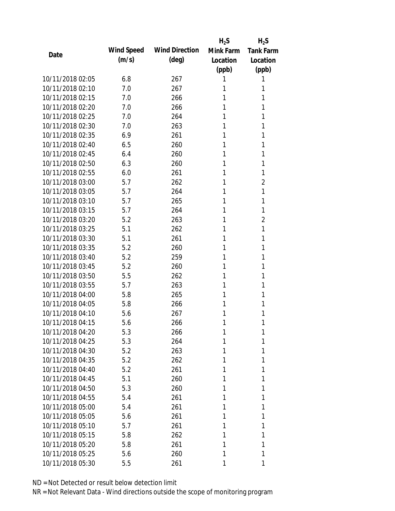|                  |            |                       | $H_2S$    | $H_2S$           |
|------------------|------------|-----------------------|-----------|------------------|
| Date             | Wind Speed | <b>Wind Direction</b> | Mink Farm | <b>Tank Farm</b> |
|                  | (m/s)      | $(\text{deg})$        | Location  | Location         |
|                  |            |                       | (ppb)     | (ppb)            |
| 10/11/2018 02:05 | 6.8        | 267                   | 1         | 1                |
| 10/11/2018 02:10 | 7.0        | 267                   | 1         | 1                |
| 10/11/2018 02:15 | 7.0        | 266                   | 1         | 1                |
| 10/11/2018 02:20 | 7.0        | 266                   | 1         | 1                |
| 10/11/2018 02:25 | 7.0        | 264                   | 1         | 1                |
| 10/11/2018 02:30 | 7.0        | 263                   | 1         | 1                |
| 10/11/2018 02:35 | 6.9        | 261                   | 1         | 1                |
| 10/11/2018 02:40 | 6.5        | 260                   | 1         | 1                |
| 10/11/2018 02:45 | 6.4        | 260                   | 1         | 1                |
| 10/11/2018 02:50 | 6.3        | 260                   | 1         | 1                |
| 10/11/2018 02:55 | 6.0        | 261                   | 1         | 1                |
| 10/11/2018 03:00 | 5.7        | 262                   | 1         | $\overline{2}$   |
| 10/11/2018 03:05 | 5.7        | 264                   | 1         | 1                |
| 10/11/2018 03:10 | 5.7        | 265                   | 1         | 1                |
| 10/11/2018 03:15 | 5.7        | 264                   | 1         | 1                |
| 10/11/2018 03:20 | 5.2        | 263                   | 1         | $\overline{2}$   |
| 10/11/2018 03:25 | 5.1        | 262                   | 1         | 1                |
| 10/11/2018 03:30 | 5.1        | 261                   | 1         | 1                |
| 10/11/2018 03:35 | 5.2        | 260                   | 1         | 1                |
| 10/11/2018 03:40 | 5.2        | 259                   | 1         | 1                |
| 10/11/2018 03:45 | 5.2        | 260                   | 1         | 1                |
| 10/11/2018 03:50 | 5.5        | 262                   | 1         | 1                |
| 10/11/2018 03:55 | 5.7        | 263                   | 1         | 1                |
| 10/11/2018 04:00 | 5.8        | 265                   | 1         | 1                |
| 10/11/2018 04:05 | 5.8        | 266                   | 1         | 1                |
| 10/11/2018 04:10 | 5.6        | 267                   | 1         | 1                |
| 10/11/2018 04:15 | 5.6        | 266                   | 1         | 1                |
| 10/11/2018 04:20 | 5.3        | 266                   | 1         | 1                |
| 10/11/2018 04:25 | 5.3        | 264                   | 1         | 1                |
| 10/11/2018 04:30 | 5.2        | 263                   | 1         | 1                |
| 10/11/2018 04:35 | 5.2        | 262                   | 1         | 1                |
| 10/11/2018 04:40 | 5.2        | 261                   | 1         | 1                |
| 10/11/2018 04:45 | 5.1        | 260                   | 1         | 1                |
| 10/11/2018 04:50 | 5.3        | 260                   | 1         | 1                |
| 10/11/2018 04:55 | 5.4        | 261                   | 1         | 1                |
| 10/11/2018 05:00 | 5.4        | 261                   | 1         | 1                |
| 10/11/2018 05:05 | 5.6        | 261                   | 1         | 1                |
| 10/11/2018 05:10 | 5.7        | 261                   | 1         | 1                |
| 10/11/2018 05:15 | 5.8        | 262                   | 1         | 1                |
| 10/11/2018 05:20 | 5.8        | 261                   | 1         | 1                |
| 10/11/2018 05:25 | 5.6        | 260                   | 1         | 1                |
| 10/11/2018 05:30 | 5.5        | 261                   | 1         | 1                |
|                  |            |                       |           |                  |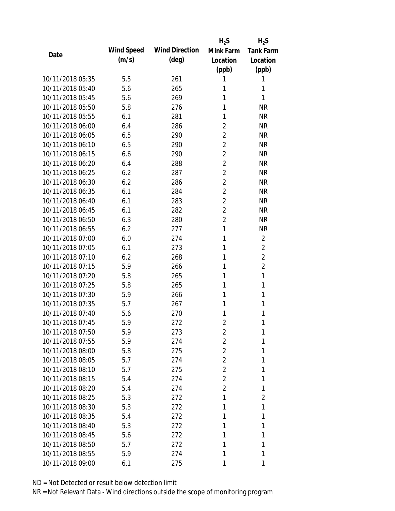|                  |            |                       | $H_2S$         | $H_2S$           |
|------------------|------------|-----------------------|----------------|------------------|
| Date             | Wind Speed | <b>Wind Direction</b> | Mink Farm      | <b>Tank Farm</b> |
|                  | (m/s)      | $(\text{deg})$        | Location       | Location         |
|                  |            |                       | (ppb)          | (ppb)            |
| 10/11/2018 05:35 | 5.5        | 261                   | 1              | 1                |
| 10/11/2018 05:40 | 5.6        | 265                   | 1              | 1                |
| 10/11/2018 05:45 | 5.6        | 269                   | 1              | 1                |
| 10/11/2018 05:50 | 5.8        | 276                   | 1              | <b>NR</b>        |
| 10/11/2018 05:55 | 6.1        | 281                   | 1              | <b>NR</b>        |
| 10/11/2018 06:00 | 6.4        | 286                   | $\overline{2}$ | <b>NR</b>        |
| 10/11/2018 06:05 | 6.5        | 290                   | 2              | <b>NR</b>        |
| 10/11/2018 06:10 | 6.5        | 290                   | $\overline{2}$ | <b>NR</b>        |
| 10/11/2018 06:15 | 6.6        | 290                   | $\overline{2}$ | <b>NR</b>        |
| 10/11/2018 06:20 | 6.4        | 288                   | $\overline{2}$ | <b>NR</b>        |
| 10/11/2018 06:25 | 6.2        | 287                   | $\overline{2}$ | <b>NR</b>        |
| 10/11/2018 06:30 | 6.2        | 286                   | $\overline{2}$ | <b>NR</b>        |
| 10/11/2018 06:35 | 6.1        | 284                   | $\overline{2}$ | <b>NR</b>        |
| 10/11/2018 06:40 | 6.1        | 283                   | $\overline{2}$ | <b>NR</b>        |
| 10/11/2018 06:45 | 6.1        | 282                   | $\overline{2}$ | <b>NR</b>        |
| 10/11/2018 06:50 | 6.3        | 280                   | $\overline{2}$ | <b>NR</b>        |
| 10/11/2018 06:55 | 6.2        | 277                   | 1              | <b>NR</b>        |
| 10/11/2018 07:00 | 6.0        | 274                   | 1              | $\overline{2}$   |
| 10/11/2018 07:05 | 6.1        | 273                   | 1              | $\overline{2}$   |
| 10/11/2018 07:10 | 6.2        | 268                   | 1              | $\overline{2}$   |
| 10/11/2018 07:15 | 5.9        | 266                   | 1              | $\overline{2}$   |
| 10/11/2018 07:20 | 5.8        | 265                   | 1              | $\mathbf{1}$     |
| 10/11/2018 07:25 | 5.8        | 265                   | 1              | 1                |
| 10/11/2018 07:30 | 5.9        | 266                   | 1              | 1                |
| 10/11/2018 07:35 | 5.7        | 267                   | 1              | 1                |
| 10/11/2018 07:40 | 5.6        | 270                   | 1              | 1                |
| 10/11/2018 07:45 | 5.9        | 272                   | $\overline{2}$ | 1                |
| 10/11/2018 07:50 | 5.9        | 273                   | 2              | 1                |
| 10/11/2018 07:55 | 5.9        | 274                   | 2              | 1                |
| 10/11/2018 08:00 | 5.8        | 275                   | 2              | 1                |
| 10/11/2018 08:05 | 5.7        | 274                   | 2              | 1                |
| 10/11/2018 08:10 | 5.7        | 275                   | $\overline{2}$ | 1                |
| 10/11/2018 08:15 | 5.4        | 274                   | 2              | 1                |
| 10/11/2018 08:20 | 5.4        | 274                   | $\overline{2}$ | 1                |
| 10/11/2018 08:25 | 5.3        | 272                   | 1              | $\overline{2}$   |
| 10/11/2018 08:30 | 5.3        | 272                   | 1              | 1                |
| 10/11/2018 08:35 | 5.4        | 272                   | 1              | 1                |
| 10/11/2018 08:40 | 5.3        | 272                   | 1              | 1                |
| 10/11/2018 08:45 | 5.6        | 272                   | 1              | 1                |
| 10/11/2018 08:50 | 5.7        | 272                   | 1              | 1                |
| 10/11/2018 08:55 | 5.9        | 274                   | 1              | 1                |
| 10/11/2018 09:00 |            |                       | 1              | 1                |
|                  | 6.1        | 275                   |                |                  |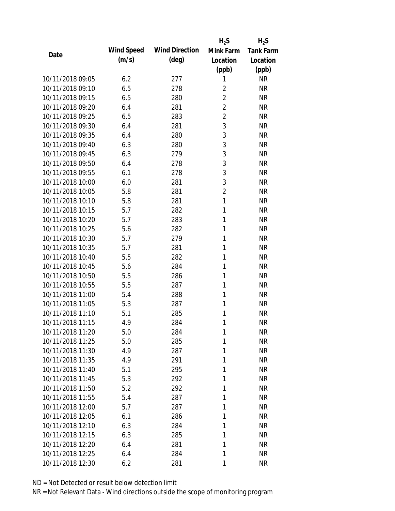|                  |            |                       | $H_2S$         | $H_2S$           |
|------------------|------------|-----------------------|----------------|------------------|
| Date             | Wind Speed | <b>Wind Direction</b> | Mink Farm      | <b>Tank Farm</b> |
|                  | (m/s)      | $(\text{deg})$        | Location       | Location         |
|                  |            |                       | (ppb)          | (ppb)            |
| 10/11/2018 09:05 | 6.2        | 277                   | 1              | <b>NR</b>        |
| 10/11/2018 09:10 | 6.5        | 278                   | $\overline{2}$ | <b>NR</b>        |
| 10/11/2018 09:15 | 6.5        | 280                   | $\overline{2}$ | <b>NR</b>        |
| 10/11/2018 09:20 | 6.4        | 281                   | $\overline{2}$ | <b>NR</b>        |
| 10/11/2018 09:25 | 6.5        | 283                   | $\overline{2}$ | <b>NR</b>        |
| 10/11/2018 09:30 | 6.4        | 281                   | 3              | <b>NR</b>        |
| 10/11/2018 09:35 | 6.4        | 280                   | 3              | <b>NR</b>        |
| 10/11/2018 09:40 | 6.3        | 280                   | 3              | <b>NR</b>        |
| 10/11/2018 09:45 | 6.3        | 279                   | 3              | <b>NR</b>        |
| 10/11/2018 09:50 | 6.4        | 278                   | 3              | <b>NR</b>        |
| 10/11/2018 09:55 | 6.1        | 278                   | 3              | <b>NR</b>        |
| 10/11/2018 10:00 | 6.0        | 281                   | 3              | <b>NR</b>        |
| 10/11/2018 10:05 | 5.8        | 281                   | $\overline{2}$ | <b>NR</b>        |
| 10/11/2018 10:10 | 5.8        | 281                   | $\mathbf{1}$   | <b>NR</b>        |
| 10/11/2018 10:15 | 5.7        | 282                   | 1              | <b>NR</b>        |
| 10/11/2018 10:20 | 5.7        | 283                   | 1              | <b>NR</b>        |
| 10/11/2018 10:25 | 5.6        | 282                   | 1              | <b>NR</b>        |
| 10/11/2018 10:30 | 5.7        | 279                   | 1              | <b>NR</b>        |
| 10/11/2018 10:35 | 5.7        | 281                   | $\mathbf{1}$   | <b>NR</b>        |
| 10/11/2018 10:40 | 5.5        | 282                   | 1              | <b>NR</b>        |
| 10/11/2018 10:45 | 5.6        | 284                   | 1              | <b>NR</b>        |
| 10/11/2018 10:50 | 5.5        | 286                   | 1              | <b>NR</b>        |
| 10/11/2018 10:55 | 5.5        | 287                   | 1              | <b>NR</b>        |
| 10/11/2018 11:00 | 5.4        | 288                   | 1              | <b>NR</b>        |
| 10/11/2018 11:05 | 5.3        | 287                   | 1              | <b>NR</b>        |
| 10/11/2018 11:10 | 5.1        | 285                   | 1              | <b>NR</b>        |
| 10/11/2018 11:15 | 4.9        | 284                   | 1              | <b>NR</b>        |
| 10/11/2018 11:20 | 5.0        | 284                   | 1              | <b>NR</b>        |
| 10/11/2018 11:25 | 5.0        | 285                   | 1              | <b>NR</b>        |
| 10/11/2018 11:30 | 4.9        | 287                   | 1              | <b>NR</b>        |
| 10/11/2018 11:35 | 4.9        | 291                   | 1              | <b>NR</b>        |
| 10/11/2018 11:40 | 5.1        | 295                   | 1              | <b>NR</b>        |
| 10/11/2018 11:45 | 5.3        | 292                   | 1              | <b>NR</b>        |
| 10/11/2018 11:50 | 5.2        | 292                   | 1              | <b>NR</b>        |
| 10/11/2018 11:55 | 5.4        | 287                   | 1              | <b>NR</b>        |
| 10/11/2018 12:00 | 5.7        | 287                   | 1              | <b>NR</b>        |
| 10/11/2018 12:05 | 6.1        | 286                   | 1              | <b>NR</b>        |
| 10/11/2018 12:10 | 6.3        | 284                   | 1              | <b>NR</b>        |
| 10/11/2018 12:15 | 6.3        | 285                   | 1              | <b>NR</b>        |
| 10/11/2018 12:20 | 6.4        | 281                   | 1              | <b>NR</b>        |
| 10/11/2018 12:25 | 6.4        | 284                   | 1              | <b>NR</b>        |
| 10/11/2018 12:30 | 6.2        | 281                   | 1              | <b>NR</b>        |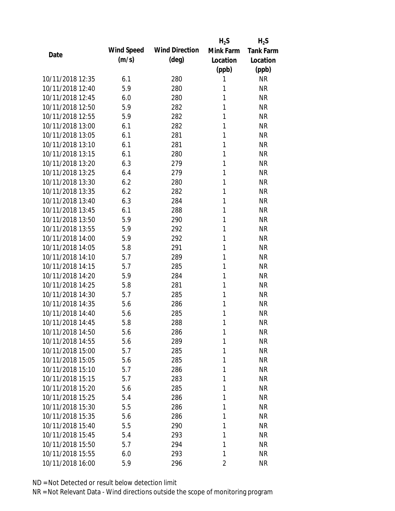|                  |            |                       | $H_2S$         | $H_2S$           |
|------------------|------------|-----------------------|----------------|------------------|
| Date             | Wind Speed | <b>Wind Direction</b> | Mink Farm      | <b>Tank Farm</b> |
|                  | (m/s)      | $(\text{deg})$        | Location       | Location         |
|                  |            |                       | (ppb)          | (ppb)            |
| 10/11/2018 12:35 | 6.1        | 280                   | 1              | <b>NR</b>        |
| 10/11/2018 12:40 | 5.9        | 280                   | 1              | <b>NR</b>        |
| 10/11/2018 12:45 | 6.0        | 280                   | 1              | <b>NR</b>        |
| 10/11/2018 12:50 | 5.9        | 282                   | 1              | <b>NR</b>        |
| 10/11/2018 12:55 | 5.9        | 282                   | 1              | <b>NR</b>        |
| 10/11/2018 13:00 | 6.1        | 282                   | 1              | <b>NR</b>        |
| 10/11/2018 13:05 | 6.1        | 281                   | 1              | <b>NR</b>        |
| 10/11/2018 13:10 | 6.1        | 281                   | 1              | <b>NR</b>        |
| 10/11/2018 13:15 | 6.1        | 280                   | 1              | <b>NR</b>        |
| 10/11/2018 13:20 | 6.3        | 279                   | 1              | <b>NR</b>        |
| 10/11/2018 13:25 | 6.4        | 279                   | 1              | <b>NR</b>        |
| 10/11/2018 13:30 | 6.2        | 280                   | 1              | <b>NR</b>        |
| 10/11/2018 13:35 | 6.2        | 282                   | 1              | <b>NR</b>        |
| 10/11/2018 13:40 | 6.3        | 284                   | 1              | <b>NR</b>        |
| 10/11/2018 13:45 | 6.1        | 288                   | 1              | <b>NR</b>        |
| 10/11/2018 13:50 | 5.9        | 290                   | 1              | <b>NR</b>        |
| 10/11/2018 13:55 | 5.9        | 292                   | 1              | <b>NR</b>        |
| 10/11/2018 14:00 | 5.9        | 292                   | 1              | <b>NR</b>        |
| 10/11/2018 14:05 | 5.8        | 291                   | 1              | <b>NR</b>        |
| 10/11/2018 14:10 | 5.7        | 289                   | 1              | <b>NR</b>        |
| 10/11/2018 14:15 | 5.7        | 285                   | 1              | <b>NR</b>        |
| 10/11/2018 14:20 | 5.9        | 284                   | 1              | <b>NR</b>        |
| 10/11/2018 14:25 | 5.8        | 281                   | 1              | <b>NR</b>        |
| 10/11/2018 14:30 | 5.7        | 285                   | 1              | <b>NR</b>        |
| 10/11/2018 14:35 | 5.6        | 286                   | 1              | <b>NR</b>        |
| 10/11/2018 14:40 | 5.6        | 285                   | 1              | <b>NR</b>        |
| 10/11/2018 14:45 | 5.8        | 288                   | 1              | <b>NR</b>        |
| 10/11/2018 14:50 | 5.6        | 286                   | 1              | <b>NR</b>        |
| 10/11/2018 14:55 | 5.6        | 289                   | 1              | <b>NR</b>        |
| 10/11/2018 15:00 | 5.7        | 285                   | 1              | <b>NR</b>        |
| 10/11/2018 15:05 | 5.6        | 285                   | 1              | <b>NR</b>        |
| 10/11/2018 15:10 | 5.7        | 286                   | 1              | <b>NR</b>        |
| 10/11/2018 15:15 | 5.7        | 283                   | 1              | <b>NR</b>        |
| 10/11/2018 15:20 | 5.6        | 285                   | 1              | <b>NR</b>        |
| 10/11/2018 15:25 | 5.4        | 286                   | 1              | <b>NR</b>        |
| 10/11/2018 15:30 | 5.5        | 286                   | 1              | <b>NR</b>        |
| 10/11/2018 15:35 | 5.6        | 286                   | 1              | <b>NR</b>        |
| 10/11/2018 15:40 | 5.5        | 290                   | 1              | <b>NR</b>        |
| 10/11/2018 15:45 | 5.4        | 293                   | 1              | <b>NR</b>        |
| 10/11/2018 15:50 | 5.7        | 294                   | 1              | <b>NR</b>        |
| 10/11/2018 15:55 | 6.0        | 293                   | 1              | <b>NR</b>        |
| 10/11/2018 16:00 | 5.9        | 296                   | $\overline{2}$ | <b>NR</b>        |
|                  |            |                       |                |                  |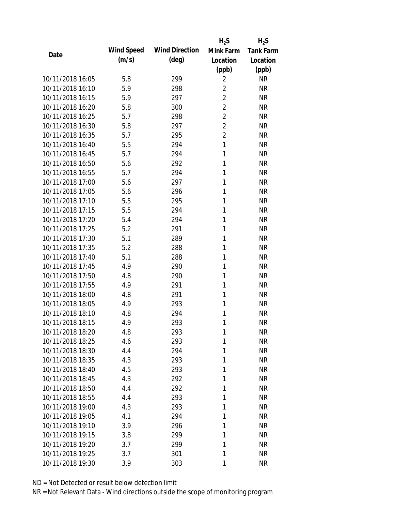|                  |            |                       | $H_2S$         | $H_2S$           |
|------------------|------------|-----------------------|----------------|------------------|
| Date             | Wind Speed | <b>Wind Direction</b> | Mink Farm      | <b>Tank Farm</b> |
|                  | (m/s)      | $(\text{deg})$        | Location       | Location         |
|                  |            |                       | (ppb)          | (ppb)            |
| 10/11/2018 16:05 | 5.8        | 299                   | $\overline{2}$ | <b>NR</b>        |
| 10/11/2018 16:10 | 5.9        | 298                   | $\overline{2}$ | <b>NR</b>        |
| 10/11/2018 16:15 | 5.9        | 297                   | $\overline{2}$ | <b>NR</b>        |
| 10/11/2018 16:20 | 5.8        | 300                   | $\overline{2}$ | <b>NR</b>        |
| 10/11/2018 16:25 | 5.7        | 298                   | $\overline{2}$ | <b>NR</b>        |
| 10/11/2018 16:30 | 5.8        | 297                   | $\overline{2}$ | <b>NR</b>        |
| 10/11/2018 16:35 | 5.7        | 295                   | $\overline{2}$ | <b>NR</b>        |
| 10/11/2018 16:40 | 5.5        | 294                   | $\mathbf{1}$   | <b>NR</b>        |
| 10/11/2018 16:45 | 5.7        | 294                   | 1              | <b>NR</b>        |
| 10/11/2018 16:50 | 5.6        | 292                   | 1              | <b>NR</b>        |
| 10/11/2018 16:55 | 5.7        | 294                   | 1              | <b>NR</b>        |
| 10/11/2018 17:00 | 5.6        | 297                   | 1              | <b>NR</b>        |
| 10/11/2018 17:05 | 5.6        | 296                   | 1              | <b>NR</b>        |
| 10/11/2018 17:10 | 5.5        | 295                   | 1              | <b>NR</b>        |
| 10/11/2018 17:15 | 5.5        | 294                   | 1              | <b>NR</b>        |
| 10/11/2018 17:20 | 5.4        | 294                   | 1              | <b>NR</b>        |
| 10/11/2018 17:25 | 5.2        | 291                   | 1              | <b>NR</b>        |
| 10/11/2018 17:30 | 5.1        | 289                   | 1              | <b>NR</b>        |
| 10/11/2018 17:35 | 5.2        | 288                   | 1              | <b>NR</b>        |
| 10/11/2018 17:40 | 5.1        | 288                   | 1              | <b>NR</b>        |
| 10/11/2018 17:45 | 4.9        | 290                   | 1              | <b>NR</b>        |
| 10/11/2018 17:50 | 4.8        | 290                   | 1              | <b>NR</b>        |
| 10/11/2018 17:55 | 4.9        | 291                   | 1              | <b>NR</b>        |
| 10/11/2018 18:00 | 4.8        | 291                   | 1              | <b>NR</b>        |
| 10/11/2018 18:05 | 4.9        | 293                   | 1              | <b>NR</b>        |
| 10/11/2018 18:10 | 4.8        | 294                   | 1              | <b>NR</b>        |
| 10/11/2018 18:15 | 4.9        | 293                   | 1              | <b>NR</b>        |
| 10/11/2018 18:20 | 4.8        | 293                   | 1              | <b>NR</b>        |
| 10/11/2018 18:25 | 4.6        | 293                   | 1              | <b>NR</b>        |
| 10/11/2018 18:30 | 4.4        | 294                   | 1              | <b>NR</b>        |
| 10/11/2018 18:35 | 4.3        | 293                   | 1              | <b>NR</b>        |
| 10/11/2018 18:40 | 4.5        | 293                   | 1              | <b>NR</b>        |
| 10/11/2018 18:45 | 4.3        | 292                   | 1              | <b>NR</b>        |
| 10/11/2018 18:50 | 4.4        | 292                   | 1              | <b>NR</b>        |
| 10/11/2018 18:55 | 4.4        | 293                   | 1              | <b>NR</b>        |
| 10/11/2018 19:00 | 4.3        | 293                   | 1              | <b>NR</b>        |
| 10/11/2018 19:05 | 4.1        | 294                   | 1              | <b>NR</b>        |
| 10/11/2018 19:10 | 3.9        | 296                   | 1              | <b>NR</b>        |
| 10/11/2018 19:15 | 3.8        | 299                   | 1              | <b>NR</b>        |
| 10/11/2018 19:20 | 3.7        | 299                   | 1              | <b>NR</b>        |
| 10/11/2018 19:25 | 3.7        | 301                   | 1              | <b>NR</b>        |
| 10/11/2018 19:30 | 3.9        | 303                   | 1              | <b>NR</b>        |
|                  |            |                       |                |                  |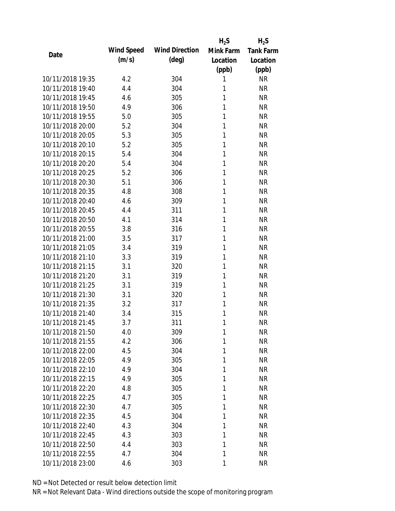|                  |            |                       | $H_2S$    | $H_2S$           |
|------------------|------------|-----------------------|-----------|------------------|
| Date             | Wind Speed | <b>Wind Direction</b> | Mink Farm | <b>Tank Farm</b> |
|                  | (m/s)      | $(\text{deg})$        | Location  | Location         |
|                  |            |                       | (ppb)     | (ppb)            |
| 10/11/2018 19:35 | 4.2        | 304                   | 1         | <b>NR</b>        |
| 10/11/2018 19:40 | 4.4        | 304                   | 1         | <b>NR</b>        |
| 10/11/2018 19:45 | 4.6        | 305                   | 1         | <b>NR</b>        |
| 10/11/2018 19:50 | 4.9        | 306                   | 1         | <b>NR</b>        |
| 10/11/2018 19:55 | 5.0        | 305                   | 1         | <b>NR</b>        |
| 10/11/2018 20:00 | 5.2        | 304                   | 1         | <b>NR</b>        |
| 10/11/2018 20:05 | 5.3        | 305                   | 1         | <b>NR</b>        |
| 10/11/2018 20:10 | 5.2        | 305                   | 1         | <b>NR</b>        |
| 10/11/2018 20:15 | 5.4        | 304                   | 1         | <b>NR</b>        |
| 10/11/2018 20:20 | 5.4        | 304                   | 1         | <b>NR</b>        |
| 10/11/2018 20:25 | 5.2        | 306                   | 1         | <b>NR</b>        |
| 10/11/2018 20:30 | 5.1        | 306                   | 1         | <b>NR</b>        |
| 10/11/2018 20:35 | 4.8        | 308                   | 1         | <b>NR</b>        |
| 10/11/2018 20:40 | 4.6        | 309                   | 1         | <b>NR</b>        |
| 10/11/2018 20:45 | 4.4        | 311                   | 1         | <b>NR</b>        |
| 10/11/2018 20:50 | 4.1        | 314                   | 1         | <b>NR</b>        |
| 10/11/2018 20:55 | 3.8        | 316                   | 1         | <b>NR</b>        |
| 10/11/2018 21:00 | 3.5        | 317                   | 1         | <b>NR</b>        |
| 10/11/2018 21:05 | 3.4        | 319                   | 1         | <b>NR</b>        |
| 10/11/2018 21:10 | 3.3        | 319                   | 1         | <b>NR</b>        |
| 10/11/2018 21:15 | 3.1        | 320                   | 1         | <b>NR</b>        |
| 10/11/2018 21:20 | 3.1        | 319                   | 1         | <b>NR</b>        |
| 10/11/2018 21:25 | 3.1        | 319                   | 1         | <b>NR</b>        |
| 10/11/2018 21:30 | 3.1        | 320                   | 1         | <b>NR</b>        |
| 10/11/2018 21:35 | 3.2        | 317                   | 1         | <b>NR</b>        |
| 10/11/2018 21:40 | 3.4        | 315                   | 1         | <b>NR</b>        |
| 10/11/2018 21:45 | 3.7        | 311                   | 1         | <b>NR</b>        |
| 10/11/2018 21:50 | 4.0        | 309                   | 1         | <b>NR</b>        |
| 10/11/2018 21:55 | 4.2        | 306                   | 1         | <b>NR</b>        |
| 10/11/2018 22:00 | 4.5        | 304                   | 1         | <b>NR</b>        |
| 10/11/2018 22:05 | 4.9        | 305                   | 1         | <b>NR</b>        |
| 10/11/2018 22:10 | 4.9        | 304                   | 1         | <b>NR</b>        |
| 10/11/2018 22:15 | 4.9        | 305                   | 1         | <b>NR</b>        |
| 10/11/2018 22:20 | 4.8        | 305                   | 1         | <b>NR</b>        |
| 10/11/2018 22:25 | 4.7        | 305                   | 1         | <b>NR</b>        |
| 10/11/2018 22:30 | 4.7        | 305                   | 1         | <b>NR</b>        |
| 10/11/2018 22:35 | 4.5        | 304                   | 1         | <b>NR</b>        |
| 10/11/2018 22:40 | 4.3        | 304                   | 1         | <b>NR</b>        |
| 10/11/2018 22:45 | 4.3        | 303                   | 1         | <b>NR</b>        |
| 10/11/2018 22:50 | 4.4        | 303                   | 1         | <b>NR</b>        |
| 10/11/2018 22:55 |            |                       | 1         | <b>NR</b>        |
|                  | 4.7        | 304                   |           |                  |
| 10/11/2018 23:00 | 4.6        | 303                   | 1         | <b>NR</b>        |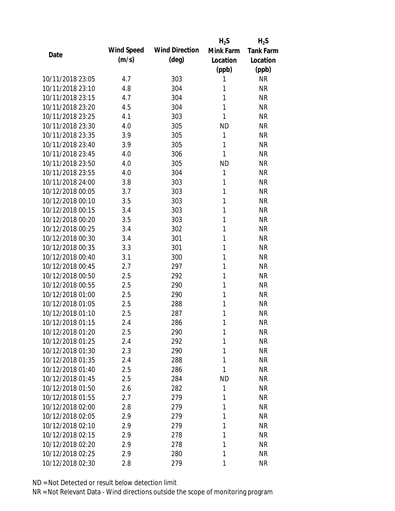|                  |            |                       | $H_2S$       | $H_2S$           |
|------------------|------------|-----------------------|--------------|------------------|
| Date             | Wind Speed | <b>Wind Direction</b> | Mink Farm    | <b>Tank Farm</b> |
|                  | (m/s)      | $(\text{deg})$        | Location     | Location         |
|                  |            |                       | (ppb)        | (ppb)            |
| 10/11/2018 23:05 | 4.7        | 303                   | 1            | <b>NR</b>        |
| 10/11/2018 23:10 | 4.8        | 304                   | 1            | <b>NR</b>        |
| 10/11/2018 23:15 | 4.7        | 304                   | 1            | <b>NR</b>        |
| 10/11/2018 23:20 | 4.5        | 304                   | $\mathbf{1}$ | <b>NR</b>        |
| 10/11/2018 23:25 | 4.1        | 303                   | 1            | <b>NR</b>        |
| 10/11/2018 23:30 | 4.0        | 305                   | <b>ND</b>    | <b>NR</b>        |
| 10/11/2018 23:35 | 3.9        | 305                   | 1            | <b>NR</b>        |
| 10/11/2018 23:40 | 3.9        | 305                   | 1            | <b>NR</b>        |
| 10/11/2018 23:45 | 4.0        | 306                   | 1            | <b>NR</b>        |
| 10/11/2018 23:50 | 4.0        | 305                   | <b>ND</b>    | <b>NR</b>        |
| 10/11/2018 23:55 | 4.0        | 304                   | 1            | <b>NR</b>        |
| 10/11/2018 24:00 | 3.8        | 303                   | 1            | <b>NR</b>        |
| 10/12/2018 00:05 | 3.7        | 303                   | 1            | <b>NR</b>        |
| 10/12/2018 00:10 | 3.5        | 303                   | 1            | <b>NR</b>        |
| 10/12/2018 00:15 | 3.4        | 303                   | 1            | <b>NR</b>        |
| 10/12/2018 00:20 | 3.5        | 303                   | 1            | <b>NR</b>        |
| 10/12/2018 00:25 | 3.4        | 302                   | 1            | <b>NR</b>        |
| 10/12/2018 00:30 | 3.4        | 301                   | 1            | <b>NR</b>        |
| 10/12/2018 00:35 | 3.3        | 301                   | 1            | <b>NR</b>        |
| 10/12/2018 00:40 | 3.1        | 300                   | 1            | <b>NR</b>        |
| 10/12/2018 00:45 | 2.7        | 297                   | 1            | <b>NR</b>        |
| 10/12/2018 00:50 | 2.5        | 292                   | 1            | <b>NR</b>        |
| 10/12/2018 00:55 | 2.5        | 290                   | 1            | <b>NR</b>        |
| 10/12/2018 01:00 | 2.5        | 290                   | 1            | <b>NR</b>        |
| 10/12/2018 01:05 | 2.5        | 288                   | 1            | <b>NR</b>        |
| 10/12/2018 01:10 | 2.5        | 287                   | 1            | <b>NR</b>        |
| 10/12/2018 01:15 | 2.4        | 286                   | 1            | <b>NR</b>        |
| 10/12/2018 01:20 | 2.5        | 290                   | 1            | <b>NR</b>        |
| 10/12/2018 01:25 | 2.4        | 292                   | 1            | <b>NR</b>        |
| 10/12/2018 01:30 | 2.3        | 290                   | 1            | <b>NR</b>        |
| 10/12/2018 01:35 | 2.4        | 288                   | 1            | <b>NR</b>        |
| 10/12/2018 01:40 | 2.5        | 286                   | 1            | <b>NR</b>        |
| 10/12/2018 01:45 | 2.5        | 284                   | <b>ND</b>    | <b>NR</b>        |
| 10/12/2018 01:50 | 2.6        | 282                   | 1            | <b>NR</b>        |
| 10/12/2018 01:55 | 2.7        | 279                   | 1            | <b>NR</b>        |
| 10/12/2018 02:00 | 2.8        | 279                   | 1            | <b>NR</b>        |
| 10/12/2018 02:05 | 2.9        | 279                   | 1            | <b>NR</b>        |
| 10/12/2018 02:10 | 2.9        | 279                   | 1            | <b>NR</b>        |
| 10/12/2018 02:15 | 2.9        | 278                   | 1            | <b>NR</b>        |
| 10/12/2018 02:20 | 2.9        | 278                   | 1            | <b>NR</b>        |
| 10/12/2018 02:25 | 2.9        | 280                   | 1            | <b>NR</b>        |
| 10/12/2018 02:30 | 2.8        | 279                   | 1            | <b>NR</b>        |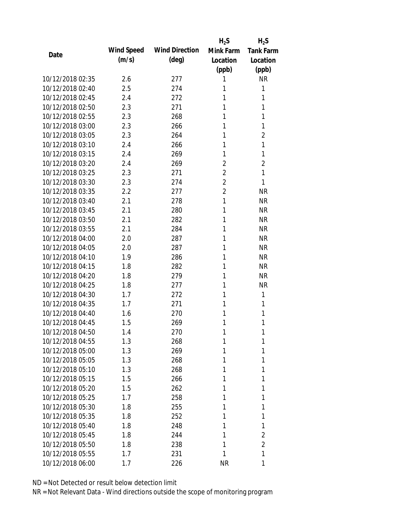|                  |            |                       | $H_2S$         | $H_2S$           |
|------------------|------------|-----------------------|----------------|------------------|
| Date             | Wind Speed | <b>Wind Direction</b> | Mink Farm      | <b>Tank Farm</b> |
|                  | (m/s)      | $(\text{deg})$        | Location       | Location         |
|                  |            |                       | (ppb)          | (ppb)            |
| 10/12/2018 02:35 | 2.6        | 277                   | 1              | <b>NR</b>        |
| 10/12/2018 02:40 | 2.5        | 274                   | 1              | 1                |
| 10/12/2018 02:45 | 2.4        | 272                   | 1              | 1                |
| 10/12/2018 02:50 | 2.3        | 271                   | 1              | 1                |
| 10/12/2018 02:55 | 2.3        | 268                   | 1              | 1                |
| 10/12/2018 03:00 | 2.3        | 266                   | 1              | 1                |
| 10/12/2018 03:05 | 2.3        | 264                   | 1              | $\overline{2}$   |
| 10/12/2018 03:10 | 2.4        | 266                   | 1              | 1                |
| 10/12/2018 03:15 | 2.4        | 269                   | 1              | 1                |
| 10/12/2018 03:20 | 2.4        | 269                   | $\overline{2}$ | $\overline{2}$   |
| 10/12/2018 03:25 | 2.3        | 271                   | $\overline{2}$ | 1                |
| 10/12/2018 03:30 | 2.3        | 274                   | $\overline{2}$ | 1                |
| 10/12/2018 03:35 | 2.2        | 277                   | $\overline{2}$ | <b>NR</b>        |
| 10/12/2018 03:40 | 2.1        | 278                   | 1              | <b>NR</b>        |
| 10/12/2018 03:45 | 2.1        | 280                   | 1              | <b>NR</b>        |
| 10/12/2018 03:50 | 2.1        | 282                   | 1              | <b>NR</b>        |
| 10/12/2018 03:55 | 2.1        | 284                   | 1              | <b>NR</b>        |
| 10/12/2018 04:00 | 2.0        | 287                   | 1              | <b>NR</b>        |
| 10/12/2018 04:05 | 2.0        | 287                   | 1              | <b>NR</b>        |
| 10/12/2018 04:10 | 1.9        | 286                   | 1              | <b>NR</b>        |
| 10/12/2018 04:15 | 1.8        | 282                   | 1              | <b>NR</b>        |
| 10/12/2018 04:20 | 1.8        | 279                   | 1              | <b>NR</b>        |
| 10/12/2018 04:25 | 1.8        | 277                   | 1              | <b>NR</b>        |
| 10/12/2018 04:30 | 1.7        | 272                   | 1              | 1                |
| 10/12/2018 04:35 | 1.7        | 271                   | 1              | 1                |
| 10/12/2018 04:40 | 1.6        | 270                   | 1              | 1                |
| 10/12/2018 04:45 | 1.5        | 269                   | 1              | 1                |
| 10/12/2018 04:50 | 1.4        | 270                   | 1              | 1                |
| 10/12/2018 04:55 | 1.3        | 268                   | 1              | 1                |
| 10/12/2018 05:00 | 1.3        | 269                   | 1              | 1                |
| 10/12/2018 05:05 | 1.3        | 268                   | 1              | 1                |
| 10/12/2018 05:10 | 1.3        | 268                   | 1              | 1                |
| 10/12/2018 05:15 | 1.5        | 266                   | 1              | 1                |
| 10/12/2018 05:20 | 1.5        | 262                   | 1              | 1                |
| 10/12/2018 05:25 | 1.7        | 258                   | 1              | 1                |
| 10/12/2018 05:30 | 1.8        | 255                   | 1              | 1                |
| 10/12/2018 05:35 | 1.8        | 252                   | 1              | 1                |
| 10/12/2018 05:40 | 1.8        | 248                   | 1              | 1                |
| 10/12/2018 05:45 | 1.8        | 244                   | 1              | 2                |
| 10/12/2018 05:50 | 1.8        | 238                   | 1              | $\overline{2}$   |
| 10/12/2018 05:55 | 1.7        | 231                   | 1              | 1                |
| 10/12/2018 06:00 | 1.7        | 226                   | <b>NR</b>      | 1                |
|                  |            |                       |                |                  |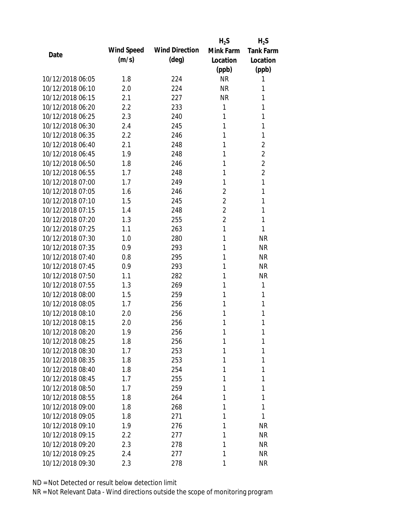|                  |            |                       | $H_2S$         | $H_2S$           |
|------------------|------------|-----------------------|----------------|------------------|
| Date             | Wind Speed | <b>Wind Direction</b> | Mink Farm      | <b>Tank Farm</b> |
|                  | (m/s)      | $(\text{deg})$        | Location       | Location         |
|                  |            |                       | (ppb)          | (ppb)            |
| 10/12/2018 06:05 | 1.8        | 224                   | <b>NR</b>      | 1                |
| 10/12/2018 06:10 | 2.0        | 224                   | <b>NR</b>      | 1                |
| 10/12/2018 06:15 | 2.1        | 227                   | <b>NR</b>      | 1                |
| 10/12/2018 06:20 | 2.2        | 233                   | 1              | 1                |
| 10/12/2018 06:25 | 2.3        | 240                   | 1              | 1                |
| 10/12/2018 06:30 | 2.4        | 245                   | 1              | 1                |
| 10/12/2018 06:35 | 2.2        | 246                   | 1              | 1                |
| 10/12/2018 06:40 | 2.1        | 248                   | 1              | $\overline{2}$   |
| 10/12/2018 06:45 | 1.9        | 248                   | 1              | $\overline{2}$   |
| 10/12/2018 06:50 | 1.8        | 246                   | 1              | $\overline{2}$   |
| 10/12/2018 06:55 | 1.7        | 248                   | 1              | $\overline{2}$   |
| 10/12/2018 07:00 | 1.7        | 249                   | 1              | 1                |
| 10/12/2018 07:05 | 1.6        | 246                   | $\overline{2}$ | 1                |
| 10/12/2018 07:10 | 1.5        | 245                   | $\overline{2}$ | 1                |
| 10/12/2018 07:15 | 1.4        | 248                   | $\overline{2}$ | 1                |
| 10/12/2018 07:20 | 1.3        | 255                   | $\overline{2}$ | 1                |
| 10/12/2018 07:25 | 1.1        | 263                   | 1              | 1                |
| 10/12/2018 07:30 | 1.0        | 280                   | 1              | <b>NR</b>        |
| 10/12/2018 07:35 | 0.9        | 293                   | 1              | <b>NR</b>        |
| 10/12/2018 07:40 | 0.8        | 295                   | 1              | <b>NR</b>        |
| 10/12/2018 07:45 | 0.9        | 293                   | 1              | <b>NR</b>        |
| 10/12/2018 07:50 | 1.1        | 282                   | 1              | <b>NR</b>        |
| 10/12/2018 07:55 | 1.3        | 269                   | 1              | 1                |
| 10/12/2018 08:00 | 1.5        | 259                   | 1              | 1                |
| 10/12/2018 08:05 | 1.7        | 256                   | 1              | 1                |
| 10/12/2018 08:10 | 2.0        | 256                   | 1              | 1                |
| 10/12/2018 08:15 | 2.0        | 256                   | 1              | 1                |
| 10/12/2018 08:20 | 1.9        | 256                   | 1              | 1                |
| 10/12/2018 08:25 | 1.8        | 256                   | 1              | 1                |
| 10/12/2018 08:30 | 1.7        | 253                   | 1              | 1                |
| 10/12/2018 08:35 | 1.8        | 253                   | 1              | 1                |
| 10/12/2018 08:40 | 1.8        | 254                   | 1              | 1                |
| 10/12/2018 08:45 | 1.7        | 255                   | 1              | 1                |
| 10/12/2018 08:50 | 1.7        | 259                   | 1              | 1                |
| 10/12/2018 08:55 | 1.8        | 264                   | 1              | 1                |
| 10/12/2018 09:00 | 1.8        | 268                   | 1              | 1                |
| 10/12/2018 09:05 | 1.8        | 271                   | 1              | 1                |
| 10/12/2018 09:10 | 1.9        | 276                   | 1              | <b>NR</b>        |
| 10/12/2018 09:15 | 2.2        | 277                   | 1              | <b>NR</b>        |
| 10/12/2018 09:20 | 2.3        | 278                   | 1              | <b>NR</b>        |
| 10/12/2018 09:25 | 2.4        | 277                   | 1              | <b>NR</b>        |
| 10/12/2018 09:30 | 2.3        | 278                   | 1              | <b>NR</b>        |
|                  |            |                       |                |                  |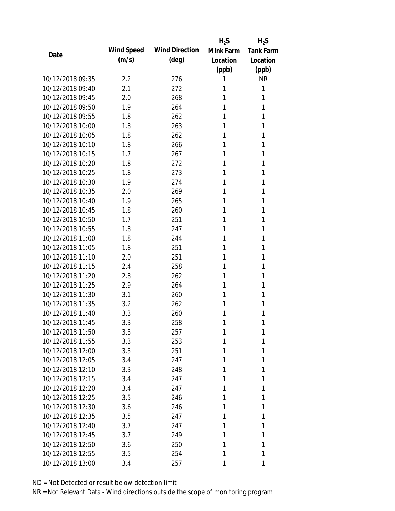|                  |            |                       | $H_2S$    | $H_2S$           |
|------------------|------------|-----------------------|-----------|------------------|
| Date             | Wind Speed | <b>Wind Direction</b> | Mink Farm | <b>Tank Farm</b> |
|                  | (m/s)      | $(\text{deg})$        | Location  | Location         |
|                  |            |                       | (ppb)     | (ppb)            |
| 10/12/2018 09:35 | 2.2        | 276                   | 1         | <b>NR</b>        |
| 10/12/2018 09:40 | 2.1        | 272                   | 1         | 1                |
| 10/12/2018 09:45 | 2.0        | 268                   | 1         | 1                |
| 10/12/2018 09:50 | 1.9        | 264                   | 1         | 1                |
| 10/12/2018 09:55 | 1.8        | 262                   | 1         | 1                |
| 10/12/2018 10:00 | 1.8        | 263                   | 1         | 1                |
| 10/12/2018 10:05 | 1.8        | 262                   | 1         | 1                |
| 10/12/2018 10:10 | 1.8        | 266                   | 1         | 1                |
| 10/12/2018 10:15 | 1.7        | 267                   | 1         | 1                |
| 10/12/2018 10:20 | 1.8        | 272                   | 1         | 1                |
| 10/12/2018 10:25 | 1.8        | 273                   | 1         | 1                |
| 10/12/2018 10:30 | 1.9        | 274                   | 1         | 1                |
| 10/12/2018 10:35 | 2.0        | 269                   | 1         | 1                |
| 10/12/2018 10:40 | 1.9        | 265                   | 1         | 1                |
| 10/12/2018 10:45 | 1.8        | 260                   | 1         | 1                |
| 10/12/2018 10:50 | 1.7        | 251                   | 1         | 1                |
| 10/12/2018 10:55 | 1.8        | 247                   | 1         | 1                |
| 10/12/2018 11:00 | 1.8        | 244                   | 1         | 1                |
| 10/12/2018 11:05 | 1.8        | 251                   | 1         | 1                |
| 10/12/2018 11:10 | 2.0        | 251                   | 1         | 1                |
| 10/12/2018 11:15 | 2.4        | 258                   | 1         | 1                |
| 10/12/2018 11:20 | 2.8        | 262                   | 1         | 1                |
| 10/12/2018 11:25 | 2.9        | 264                   | 1         | 1                |
| 10/12/2018 11:30 | 3.1        | 260                   | 1         | 1                |
| 10/12/2018 11:35 | 3.2        | 262                   | 1         | 1                |
| 10/12/2018 11:40 | 3.3        | 260                   | 1         | 1                |
| 10/12/2018 11:45 | 3.3        | 258                   | 1         | 1                |
| 10/12/2018 11:50 | 3.3        | 257                   | 1         | 1                |
| 10/12/2018 11:55 | 3.3        | 253                   | 1         | 1                |
| 10/12/2018 12:00 | 3.3        | 251                   | 1         | 1                |
| 10/12/2018 12:05 | 3.4        | 247                   | 1         | 1                |
| 10/12/2018 12:10 | 3.3        | 248                   | 1         | 1                |
| 10/12/2018 12:15 | 3.4        | 247                   | 1         | 1                |
| 10/12/2018 12:20 | 3.4        | 247                   | 1         | 1                |
| 10/12/2018 12:25 | 3.5        | 246                   | 1         | 1                |
| 10/12/2018 12:30 | 3.6        | 246                   | 1         | 1                |
| 10/12/2018 12:35 | 3.5        | 247                   | 1         | 1                |
| 10/12/2018 12:40 | 3.7        | 247                   | 1         | 1                |
| 10/12/2018 12:45 | 3.7        | 249                   | 1         | 1                |
| 10/12/2018 12:50 | 3.6        | 250                   | 1         | 1                |
| 10/12/2018 12:55 | 3.5        | 254                   | 1         | 1                |
| 10/12/2018 13:00 | 3.4        | 257                   | 1         | 1                |
|                  |            |                       |           |                  |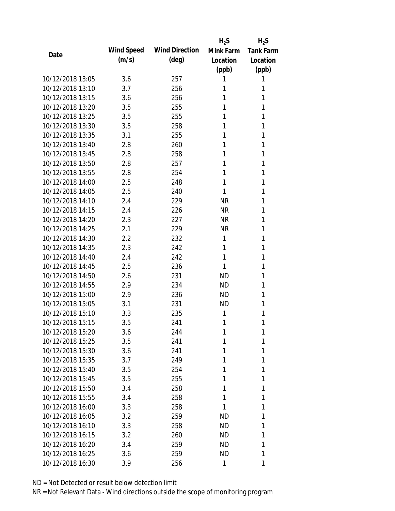|                  |            |                       | $H_2S$    | $H_2S$           |
|------------------|------------|-----------------------|-----------|------------------|
|                  | Wind Speed | <b>Wind Direction</b> | Mink Farm | <b>Tank Farm</b> |
| Date             | (m/s)      | $(\text{deg})$        | Location  | Location         |
|                  |            |                       | (ppb)     | (ppb)            |
| 10/12/2018 13:05 | 3.6        | 257                   | 1         | 1                |
| 10/12/2018 13:10 | 3.7        | 256                   | 1         | 1                |
| 10/12/2018 13:15 | 3.6        | 256                   | 1         | 1                |
| 10/12/2018 13:20 | 3.5        | 255                   | 1         | 1                |
| 10/12/2018 13:25 | 3.5        | 255                   | 1         | 1                |
| 10/12/2018 13:30 | 3.5        | 258                   | 1         | 1                |
| 10/12/2018 13:35 | 3.1        | 255                   | 1         | 1                |
| 10/12/2018 13:40 | 2.8        | 260                   | 1         | 1                |
| 10/12/2018 13:45 | 2.8        | 258                   | 1         | 1                |
| 10/12/2018 13:50 | 2.8        | 257                   | 1         | 1                |
| 10/12/2018 13:55 | 2.8        | 254                   | 1         | 1                |
| 10/12/2018 14:00 | 2.5        | 248                   | 1         | 1                |
| 10/12/2018 14:05 | 2.5        | 240                   | 1         | 1                |
| 10/12/2018 14:10 | 2.4        | 229                   | <b>NR</b> | 1                |
| 10/12/2018 14:15 | 2.4        | 226                   | <b>NR</b> | 1                |
| 10/12/2018 14:20 | 2.3        | 227                   | <b>NR</b> | 1                |
| 10/12/2018 14:25 | 2.1        | 229                   | <b>NR</b> | 1                |
| 10/12/2018 14:30 | 2.2        | 232                   | 1         | 1                |
| 10/12/2018 14:35 | 2.3        | 242                   | 1         | 1                |
| 10/12/2018 14:40 | 2.4        | 242                   | 1         | 1                |
| 10/12/2018 14:45 | 2.5        | 236                   | 1         | 1                |
| 10/12/2018 14:50 | 2.6        | 231                   | <b>ND</b> | 1                |
| 10/12/2018 14:55 | 2.9        | 234                   | <b>ND</b> | 1                |
| 10/12/2018 15:00 | 2.9        | 236                   | <b>ND</b> | 1                |
| 10/12/2018 15:05 | 3.1        | 231                   | ND.       | 1                |
| 10/12/2018 15:10 | 3.3        | 235                   | 1         | 1                |
| 10/12/2018 15:15 | 3.5        | 241                   | 1         | 1                |
| 10/12/2018 15:20 | 3.6        | 244                   | 1         | 1                |
| 10/12/2018 15:25 | 3.5        | 241                   | 1         | 1                |
| 10/12/2018 15:30 | 3.6        | 241                   | 1         | 1                |
| 10/12/2018 15:35 | 3.7        | 249                   | 1         | 1                |
| 10/12/2018 15:40 | 3.5        | 254                   | 1         | 1                |
| 10/12/2018 15:45 | 3.5        | 255                   | 1         | 1                |
| 10/12/2018 15:50 | 3.4        | 258                   | 1         | 1                |
| 10/12/2018 15:55 | 3.4        | 258                   | 1         | 1                |
| 10/12/2018 16:00 | 3.3        | 258                   | 1         | 1                |
| 10/12/2018 16:05 | 3.2        | 259                   | <b>ND</b> | 1                |
| 10/12/2018 16:10 | 3.3        | 258                   | ND        | 1                |
| 10/12/2018 16:15 | 3.2        | 260                   | <b>ND</b> | 1                |
| 10/12/2018 16:20 | 3.4        | 259                   | ND        | 1                |
| 10/12/2018 16:25 | 3.6        | 259                   | ND        | 1                |
| 10/12/2018 16:30 | 3.9        | 256                   | 1         | 1                |
|                  |            |                       |           |                  |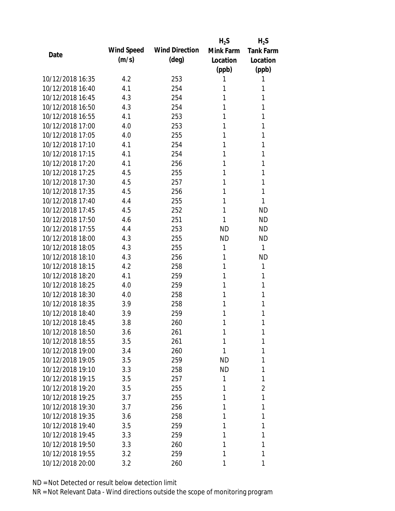|                  |            |                       | $H_2S$    | $H_2S$           |
|------------------|------------|-----------------------|-----------|------------------|
| Date             | Wind Speed | <b>Wind Direction</b> | Mink Farm | <b>Tank Farm</b> |
|                  | (m/s)      | $(\text{deg})$        | Location  | Location         |
|                  |            |                       | (ppb)     | (ppb)            |
| 10/12/2018 16:35 | 4.2        | 253                   | 1         | 1                |
| 10/12/2018 16:40 | 4.1        | 254                   | 1         | 1                |
| 10/12/2018 16:45 | 4.3        | 254                   | 1         | 1                |
| 10/12/2018 16:50 | 4.3        | 254                   | 1         | 1                |
| 10/12/2018 16:55 | 4.1        | 253                   | 1         | 1                |
| 10/12/2018 17:00 | 4.0        | 253                   | 1         | 1                |
| 10/12/2018 17:05 | 4.0        | 255                   | 1         | 1                |
| 10/12/2018 17:10 | 4.1        | 254                   | 1         | 1                |
| 10/12/2018 17:15 | 4.1        | 254                   | 1         | 1                |
| 10/12/2018 17:20 | 4.1        | 256                   | 1         | 1                |
| 10/12/2018 17:25 | 4.5        | 255                   | 1         | 1                |
| 10/12/2018 17:30 | 4.5        | 257                   | 1         | 1                |
| 10/12/2018 17:35 | 4.5        | 256                   | 1         | 1                |
| 10/12/2018 17:40 | 4.4        | 255                   | 1         | 1                |
| 10/12/2018 17:45 | 4.5        | 252                   | 1         | <b>ND</b>        |
| 10/12/2018 17:50 | 4.6        | 251                   | 1         | <b>ND</b>        |
| 10/12/2018 17:55 | 4.4        | 253                   | <b>ND</b> | <b>ND</b>        |
| 10/12/2018 18:00 | 4.3        | 255                   | <b>ND</b> | <b>ND</b>        |
| 10/12/2018 18:05 | 4.3        | 255                   | 1         | 1                |
| 10/12/2018 18:10 | 4.3        | 256                   | 1         | <b>ND</b>        |
| 10/12/2018 18:15 | 4.2        | 258                   | 1         | 1                |
| 10/12/2018 18:20 | 4.1        | 259                   | 1         | 1                |
| 10/12/2018 18:25 | 4.0        | 259                   | 1         | 1                |
| 10/12/2018 18:30 | 4.0        | 258                   | 1         | 1                |
| 10/12/2018 18:35 | 3.9        | 258                   | 1         | 1                |
| 10/12/2018 18:40 | 3.9        | 259                   | 1         | 1                |
| 10/12/2018 18:45 | 3.8        | 260                   | 1         | 1                |
| 10/12/2018 18:50 | 3.6        | 261                   | 1         | 1                |
| 10/12/2018 18:55 | 3.5        | 261                   | 1         | 1                |
| 10/12/2018 19:00 | 3.4        | 260                   | 1         | 1                |
| 10/12/2018 19:05 | 3.5        | 259                   | <b>ND</b> | 1                |
| 10/12/2018 19:10 | 3.3        | 258                   | <b>ND</b> | 1                |
| 10/12/2018 19:15 | 3.5        | 257                   | 1         | 1                |
| 10/12/2018 19:20 | 3.5        | 255                   | 1         | $\overline{2}$   |
| 10/12/2018 19:25 | 3.7        | 255                   | 1         | 1                |
| 10/12/2018 19:30 | 3.7        | 256                   | 1         | 1                |
| 10/12/2018 19:35 | 3.6        | 258                   | 1         | 1                |
| 10/12/2018 19:40 | 3.5        | 259                   | 1         | 1                |
| 10/12/2018 19:45 | 3.3        | 259                   | 1         | 1                |
| 10/12/2018 19:50 | 3.3        | 260                   | 1         | 1                |
| 10/12/2018 19:55 | 3.2        | 259                   | 1         | 1                |
| 10/12/2018 20:00 | 3.2        | 260                   | 1         | 1                |
|                  |            |                       |           |                  |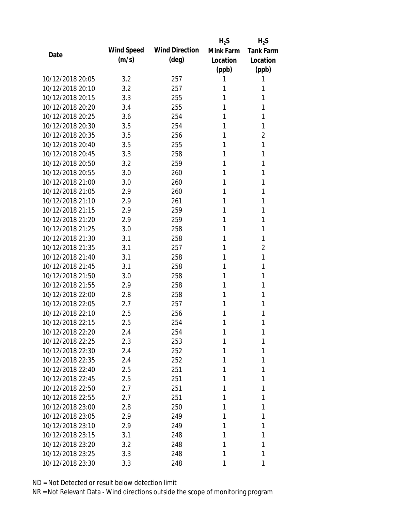|                  |            |                       | $H_2S$    | $H_2S$           |
|------------------|------------|-----------------------|-----------|------------------|
|                  | Wind Speed | <b>Wind Direction</b> | Mink Farm | <b>Tank Farm</b> |
| Date             | (m/s)      | $(\text{deg})$        | Location  | Location         |
|                  |            |                       | (ppb)     | (ppb)            |
| 10/12/2018 20:05 | 3.2        | 257                   | 1         | 1                |
| 10/12/2018 20:10 | 3.2        | 257                   | 1         | 1                |
| 10/12/2018 20:15 | 3.3        | 255                   | 1         | 1                |
| 10/12/2018 20:20 | 3.4        | 255                   | 1         | 1                |
| 10/12/2018 20:25 | 3.6        | 254                   | 1         | 1                |
| 10/12/2018 20:30 | 3.5        | 254                   | 1         | 1                |
| 10/12/2018 20:35 | 3.5        | 256                   | 1         | $\overline{2}$   |
| 10/12/2018 20:40 | 3.5        | 255                   | 1         | 1                |
| 10/12/2018 20:45 | 3.3        | 258                   | 1         | 1                |
| 10/12/2018 20:50 | 3.2        | 259                   | 1         | 1                |
| 10/12/2018 20:55 | 3.0        | 260                   | 1         | 1                |
| 10/12/2018 21:00 | 3.0        | 260                   | 1         | 1                |
| 10/12/2018 21:05 | 2.9        | 260                   | 1         | 1                |
| 10/12/2018 21:10 | 2.9        | 261                   | 1         | 1                |
| 10/12/2018 21:15 | 2.9        | 259                   | 1         | 1                |
| 10/12/2018 21:20 | 2.9        | 259                   | 1         | 1                |
| 10/12/2018 21:25 | 3.0        | 258                   | 1         | 1                |
| 10/12/2018 21:30 | 3.1        | 258                   | 1         | 1                |
| 10/12/2018 21:35 | 3.1        | 257                   | 1         | $\overline{2}$   |
| 10/12/2018 21:40 | 3.1        | 258                   | 1         | 1                |
| 10/12/2018 21:45 | 3.1        | 258                   | 1         | 1                |
| 10/12/2018 21:50 | 3.0        | 258                   | 1         | 1                |
| 10/12/2018 21:55 | 2.9        | 258                   | 1         | 1                |
| 10/12/2018 22:00 | 2.8        | 258                   | 1         | 1                |
| 10/12/2018 22:05 | 2.7        | 257                   | 1         | 1                |
| 10/12/2018 22:10 | 2.5        | 256                   | 1         | 1                |
| 10/12/2018 22:15 | 2.5        | 254                   | 1         | 1                |
| 10/12/2018 22:20 | 2.4        | 254                   | 1         | 1                |
| 10/12/2018 22:25 | 2.3        | 253                   | 1         | 1                |
| 10/12/2018 22:30 | 2.4        | 252                   | 1         | 1                |
| 10/12/2018 22:35 | 2.4        | 252                   | 1         | 1                |
| 10/12/2018 22:40 | 2.5        | 251                   | 1         | 1                |
| 10/12/2018 22:45 | 2.5        | 251                   | 1         | 1                |
| 10/12/2018 22:50 | 2.7        | 251                   | 1         | 1                |
| 10/12/2018 22:55 | 2.7        | 251                   | 1         | 1                |
| 10/12/2018 23:00 | 2.8        | 250                   | 1         | 1                |
| 10/12/2018 23:05 | 2.9        | 249                   | 1         | 1                |
| 10/12/2018 23:10 | 2.9        | 249                   | 1         | 1                |
| 10/12/2018 23:15 | 3.1        | 248                   | 1         | 1                |
| 10/12/2018 23:20 | 3.2        | 248                   | 1         | 1                |
| 10/12/2018 23:25 | 3.3        | 248                   | 1         | 1                |
| 10/12/2018 23:30 | 3.3        | 248                   | 1         | 1                |
|                  |            |                       |           |                  |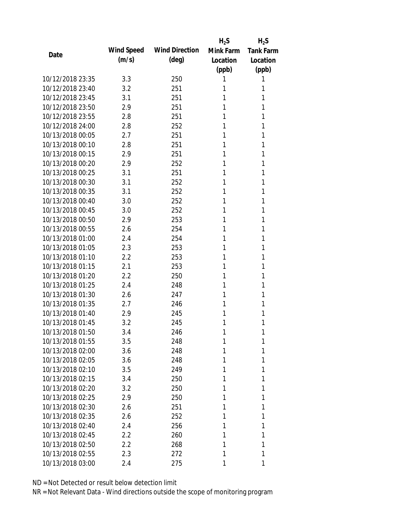|                  |            |                       | $H_2S$    | $H_2S$           |
|------------------|------------|-----------------------|-----------|------------------|
| Date             | Wind Speed | <b>Wind Direction</b> | Mink Farm | <b>Tank Farm</b> |
|                  | (m/s)      | $(\text{deg})$        | Location  | Location         |
|                  |            |                       | (ppb)     | (ppb)            |
| 10/12/2018 23:35 | 3.3        | 250                   | 1         | 1                |
| 10/12/2018 23:40 | 3.2        | 251                   | 1         | 1                |
| 10/12/2018 23:45 | 3.1        | 251                   | 1         | 1                |
| 10/12/2018 23:50 | 2.9        | 251                   | 1         | 1                |
| 10/12/2018 23:55 | 2.8        | 251                   | 1         | 1                |
| 10/12/2018 24:00 | 2.8        | 252                   | 1         | 1                |
| 10/13/2018 00:05 | 2.7        | 251                   | 1         | 1                |
| 10/13/2018 00:10 | 2.8        | 251                   | 1         | 1                |
| 10/13/2018 00:15 | 2.9        | 251                   | 1         | 1                |
| 10/13/2018 00:20 | 2.9        | 252                   | 1         | 1                |
| 10/13/2018 00:25 | 3.1        | 251                   | 1         | 1                |
| 10/13/2018 00:30 | 3.1        | 252                   | 1         | 1                |
| 10/13/2018 00:35 | 3.1        | 252                   | 1         | 1                |
| 10/13/2018 00:40 | 3.0        | 252                   | 1         | 1                |
| 10/13/2018 00:45 | 3.0        | 252                   | 1         | 1                |
| 10/13/2018 00:50 | 2.9        | 253                   | 1         | 1                |
| 10/13/2018 00:55 | 2.6        | 254                   | 1         | 1                |
| 10/13/2018 01:00 | 2.4        | 254                   | 1         | 1                |
| 10/13/2018 01:05 | 2.3        | 253                   | 1         | 1                |
| 10/13/2018 01:10 | 2.2        | 253                   | 1         | 1                |
| 10/13/2018 01:15 | 2.1        | 253                   | 1         | 1                |
| 10/13/2018 01:20 | 2.2        | 250                   | 1         | 1                |
| 10/13/2018 01:25 | 2.4        | 248                   | 1         | 1                |
| 10/13/2018 01:30 | 2.6        | 247                   | 1         | 1                |
| 10/13/2018 01:35 | 2.7        | 246                   | 1         | 1                |
| 10/13/2018 01:40 | 2.9        | 245                   | 1         | 1                |
| 10/13/2018 01:45 | 3.2        | 245                   | 1         | 1                |
| 10/13/2018 01:50 | 3.4        | 246                   | 1         | 1                |
| 10/13/2018 01:55 | 3.5        | 248                   | 1         | 1                |
| 10/13/2018 02:00 | 3.6        | 248                   | 1         | 1                |
| 10/13/2018 02:05 | 3.6        | 248                   | 1         | 1                |
| 10/13/2018 02:10 | 3.5        | 249                   | 1         | 1                |
| 10/13/2018 02:15 | 3.4        | 250                   | 1         | 1                |
| 10/13/2018 02:20 | 3.2        | 250                   | 1         | 1                |
| 10/13/2018 02:25 | 2.9        | 250                   | 1         | 1                |
| 10/13/2018 02:30 | 2.6        | 251                   | 1         | 1                |
| 10/13/2018 02:35 | 2.6        | 252                   | 1         | 1                |
| 10/13/2018 02:40 | 2.4        | 256                   | 1         | 1                |
| 10/13/2018 02:45 | 2.2        | 260                   | 1         | 1                |
| 10/13/2018 02:50 | 2.2        | 268                   | 1         | 1                |
| 10/13/2018 02:55 | 2.3        | 272                   | 1         | 1                |
| 10/13/2018 03:00 | 2.4        | 275                   | 1         | 1                |
|                  |            |                       |           |                  |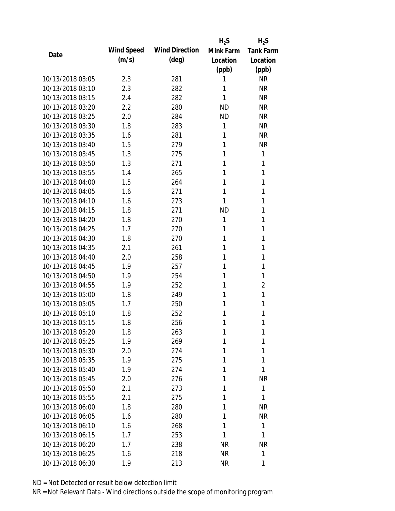|                  |            |                       | $H_2S$    | $H_2S$           |
|------------------|------------|-----------------------|-----------|------------------|
|                  | Wind Speed | <b>Wind Direction</b> | Mink Farm | <b>Tank Farm</b> |
| Date             | (m/s)      | $(\text{deg})$        | Location  | Location         |
|                  |            |                       | (ppb)     | (ppb)            |
| 10/13/2018 03:05 | 2.3        | 281                   | 1         | <b>NR</b>        |
| 10/13/2018 03:10 | 2.3        | 282                   | 1         | <b>NR</b>        |
| 10/13/2018 03:15 | 2.4        | 282                   | 1         | <b>NR</b>        |
| 10/13/2018 03:20 | 2.2        | 280                   | <b>ND</b> | <b>NR</b>        |
| 10/13/2018 03:25 | 2.0        | 284                   | <b>ND</b> | <b>NR</b>        |
| 10/13/2018 03:30 | 1.8        | 283                   | 1         | <b>NR</b>        |
| 10/13/2018 03:35 | 1.6        | 281                   | 1         | <b>NR</b>        |
| 10/13/2018 03:40 | 1.5        | 279                   | 1         | <b>NR</b>        |
| 10/13/2018 03:45 | 1.3        | 275                   | 1         | 1                |
| 10/13/2018 03:50 | 1.3        | 271                   | 1         | 1                |
| 10/13/2018 03:55 | 1.4        | 265                   | 1         | 1                |
| 10/13/2018 04:00 | 1.5        | 264                   | 1         | 1                |
| 10/13/2018 04:05 | 1.6        | 271                   | 1         | 1                |
| 10/13/2018 04:10 | 1.6        | 273                   | 1         | 1                |
| 10/13/2018 04:15 | 1.8        | 271                   | <b>ND</b> | 1                |
| 10/13/2018 04:20 | 1.8        | 270                   | 1         | 1                |
| 10/13/2018 04:25 | 1.7        | 270                   | 1         | 1                |
| 10/13/2018 04:30 | 1.8        | 270                   | 1         | 1                |
| 10/13/2018 04:35 | 2.1        | 261                   | 1         | 1                |
| 10/13/2018 04:40 | 2.0        | 258                   | 1         | 1                |
| 10/13/2018 04:45 | 1.9        | 257                   | 1         | 1                |
| 10/13/2018 04:50 | 1.9        | 254                   | 1         | 1                |
| 10/13/2018 04:55 | 1.9        | 252                   | 1         | $\overline{2}$   |
| 10/13/2018 05:00 | 1.8        | 249                   | 1         | 1                |
| 10/13/2018 05:05 | 1.7        | 250                   | 1         | 1                |
| 10/13/2018 05:10 | 1.8        | 252                   | 1         | 1                |
| 10/13/2018 05:15 | 1.8        | 256                   | 1         | 1                |
| 10/13/2018 05:20 | 1.8        | 263                   | 1         | 1                |
| 10/13/2018 05:25 | 1.9        | 269                   | 1         | 1                |
| 10/13/2018 05:30 | 2.0        | 274                   | 1         | 1                |
| 10/13/2018 05:35 | 1.9        | 275                   | 1         | 1                |
| 10/13/2018 05:40 | 1.9        | 274                   | 1         | 1                |
| 10/13/2018 05:45 | 2.0        | 276                   | 1         | <b>NR</b>        |
| 10/13/2018 05:50 | 2.1        | 273                   | 1         | 1                |
| 10/13/2018 05:55 | 2.1        | 275                   | 1         | 1                |
| 10/13/2018 06:00 | 1.8        | 280                   | 1         | <b>NR</b>        |
| 10/13/2018 06:05 | 1.6        | 280                   | 1         | <b>NR</b>        |
| 10/13/2018 06:10 | 1.6        | 268                   | 1         | 1                |
| 10/13/2018 06:15 | 1.7        | 253                   | 1         | 1                |
| 10/13/2018 06:20 | 1.7        | 238                   | <b>NR</b> | <b>NR</b>        |
| 10/13/2018 06:25 | 1.6        | 218                   | <b>NR</b> | 1                |
| 10/13/2018 06:30 | 1.9        | 213                   | <b>NR</b> | 1                |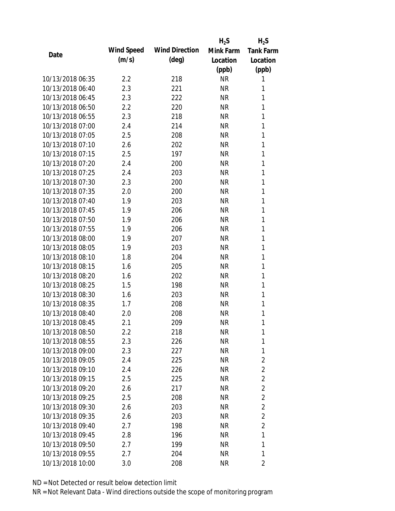|                  |            |                       | $H_2S$    | $H_2S$           |
|------------------|------------|-----------------------|-----------|------------------|
| Date             | Wind Speed | <b>Wind Direction</b> | Mink Farm | <b>Tank Farm</b> |
|                  | (m/s)      | $(\text{deg})$        | Location  | Location         |
|                  |            |                       | (ppb)     | (ppb)            |
| 10/13/2018 06:35 | 2.2        | 218                   | <b>NR</b> | 1                |
| 10/13/2018 06:40 | 2.3        | 221                   | <b>NR</b> | 1                |
| 10/13/2018 06:45 | 2.3        | 222                   | <b>NR</b> | 1                |
| 10/13/2018 06:50 | 2.2        | 220                   | <b>NR</b> | 1                |
| 10/13/2018 06:55 | 2.3        | 218                   | <b>NR</b> | 1                |
| 10/13/2018 07:00 | 2.4        | 214                   | <b>NR</b> | 1                |
| 10/13/2018 07:05 | 2.5        | 208                   | <b>NR</b> | 1                |
| 10/13/2018 07:10 | 2.6        | 202                   | <b>NR</b> | 1                |
| 10/13/2018 07:15 | 2.5        | 197                   | <b>NR</b> | 1                |
| 10/13/2018 07:20 | 2.4        | 200                   | <b>NR</b> | 1                |
| 10/13/2018 07:25 | 2.4        | 203                   | <b>NR</b> | 1                |
| 10/13/2018 07:30 | 2.3        | 200                   | <b>NR</b> | 1                |
| 10/13/2018 07:35 | 2.0        | 200                   | <b>NR</b> | 1                |
| 10/13/2018 07:40 | 1.9        | 203                   | <b>NR</b> | 1                |
| 10/13/2018 07:45 | 1.9        | 206                   | <b>NR</b> | 1                |
| 10/13/2018 07:50 | 1.9        | 206                   | <b>NR</b> | 1                |
| 10/13/2018 07:55 | 1.9        | 206                   | <b>NR</b> | 1                |
| 10/13/2018 08:00 | 1.9        | 207                   | <b>NR</b> | 1                |
| 10/13/2018 08:05 | 1.9        | 203                   | <b>NR</b> | 1                |
| 10/13/2018 08:10 | 1.8        | 204                   | <b>NR</b> | 1                |
| 10/13/2018 08:15 | 1.6        | 205                   | <b>NR</b> | 1                |
| 10/13/2018 08:20 | 1.6        | 202                   | <b>NR</b> | 1                |
| 10/13/2018 08:25 | 1.5        | 198                   | <b>NR</b> | 1                |
| 10/13/2018 08:30 | 1.6        | 203                   | <b>NR</b> | 1                |
| 10/13/2018 08:35 | 1.7        | 208                   | <b>NR</b> | 1                |
| 10/13/2018 08:40 | 2.0        | 208                   | <b>NR</b> | 1                |
| 10/13/2018 08:45 | 2.1        | 209                   | <b>NR</b> | 1                |
| 10/13/2018 08:50 | $2.2\,$    | 218                   | <b>NR</b> | 1                |
| 10/13/2018 08:55 | 2.3        | 226                   | <b>NR</b> | 1                |
| 10/13/2018 09:00 | 2.3        | 227                   | <b>NR</b> | 1                |
| 10/13/2018 09:05 | 2.4        | 225                   | <b>NR</b> | 2                |
| 10/13/2018 09:10 | 2.4        | 226                   | <b>NR</b> | $\overline{2}$   |
| 10/13/2018 09:15 | 2.5        | 225                   | <b>NR</b> | $\overline{2}$   |
| 10/13/2018 09:20 | 2.6        | 217                   | <b>NR</b> | $\overline{2}$   |
| 10/13/2018 09:25 | 2.5        | 208                   | <b>NR</b> | $\overline{2}$   |
| 10/13/2018 09:30 | 2.6        | 203                   | <b>NR</b> | $\overline{2}$   |
| 10/13/2018 09:35 | 2.6        | 203                   | <b>NR</b> | $\overline{2}$   |
| 10/13/2018 09:40 | 2.7        | 198                   | <b>NR</b> | $\overline{2}$   |
| 10/13/2018 09:45 | 2.8        | 196                   | <b>NR</b> | 1                |
| 10/13/2018 09:50 | 2.7        | 199                   | <b>NR</b> | 1                |
| 10/13/2018 09:55 | 2.7        | 204                   | <b>NR</b> | 1                |
| 10/13/2018 10:00 |            |                       | <b>NR</b> |                  |
|                  | $3.0\,$    | 208                   |           | 2                |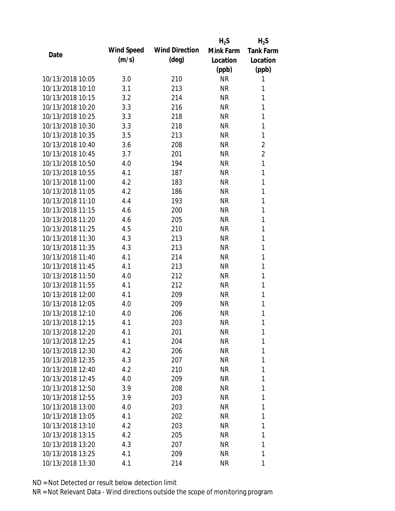|                  |            |                       | $H_2S$    | $H_2S$           |
|------------------|------------|-----------------------|-----------|------------------|
|                  | Wind Speed | <b>Wind Direction</b> | Mink Farm | <b>Tank Farm</b> |
| Date             | (m/s)      | $(\text{deg})$        | Location  | Location         |
|                  |            |                       | (ppb)     | (ppb)            |
| 10/13/2018 10:05 | 3.0        | 210                   | <b>NR</b> | 1                |
| 10/13/2018 10:10 | 3.1        | 213                   | <b>NR</b> | 1                |
| 10/13/2018 10:15 | 3.2        | 214                   | <b>NR</b> | 1                |
| 10/13/2018 10:20 | 3.3        | 216                   | <b>NR</b> | $\mathbf{1}$     |
| 10/13/2018 10:25 | 3.3        | 218                   | <b>NR</b> | 1                |
| 10/13/2018 10:30 | 3.3        | 218                   | <b>NR</b> | 1                |
| 10/13/2018 10:35 | 3.5        | 213                   | <b>NR</b> | 1                |
| 10/13/2018 10:40 | 3.6        | 208                   | <b>NR</b> | $\overline{c}$   |
| 10/13/2018 10:45 | 3.7        | 201                   | <b>NR</b> | $\overline{2}$   |
| 10/13/2018 10:50 | 4.0        | 194                   | <b>NR</b> | $\mathbf{1}$     |
| 10/13/2018 10:55 | 4.1        | 187                   | <b>NR</b> | 1                |
| 10/13/2018 11:00 | 4.2        | 183                   | <b>NR</b> | 1                |
| 10/13/2018 11:05 | 4.2        | 186                   | <b>NR</b> | 1                |
| 10/13/2018 11:10 | 4.4        | 193                   | <b>NR</b> | 1                |
| 10/13/2018 11:15 | 4.6        | 200                   | <b>NR</b> | 1                |
| 10/13/2018 11:20 | 4.6        | 205                   | <b>NR</b> | 1                |
| 10/13/2018 11:25 | 4.5        | 210                   | <b>NR</b> | 1                |
| 10/13/2018 11:30 | 4.3        | 213                   | <b>NR</b> | $\mathbf{1}$     |
| 10/13/2018 11:35 | 4.3        | 213                   | <b>NR</b> | 1                |
| 10/13/2018 11:40 | 4.1        | 214                   | <b>NR</b> | 1                |
| 10/13/2018 11:45 | 4.1        | 213                   | <b>NR</b> | 1                |
| 10/13/2018 11:50 | 4.0        | 212                   | <b>NR</b> | 1                |
| 10/13/2018 11:55 | 4.1        | 212                   | <b>NR</b> | $\mathbf{1}$     |
| 10/13/2018 12:00 | 4.1        | 209                   | <b>NR</b> | 1                |
| 10/13/2018 12:05 | 4.0        | 209                   | <b>NR</b> | 1                |
| 10/13/2018 12:10 | 4.0        | 206                   | <b>NR</b> | 1                |
| 10/13/2018 12:15 | 4.1        | 203                   | <b>NR</b> | 1                |
| 10/13/2018 12:20 | 4.1        | 201                   | <b>NR</b> | 1                |
| 10/13/2018 12:25 | 4.1        | 204                   | <b>NR</b> | 1                |
| 10/13/2018 12:30 | 4.2        | 206                   | <b>NR</b> | 1                |
| 10/13/2018 12:35 | 4.3        | 207                   | <b>NR</b> | 1                |
| 10/13/2018 12:40 | 4.2        | 210                   | <b>NR</b> | 1                |
| 10/13/2018 12:45 | 4.0        | 209                   | <b>NR</b> | 1                |
| 10/13/2018 12:50 | 3.9        | 208                   | <b>NR</b> | 1                |
| 10/13/2018 12:55 | 3.9        | 203                   | <b>NR</b> | 1                |
| 10/13/2018 13:00 | 4.0        | 203                   | <b>NR</b> | 1                |
| 10/13/2018 13:05 | 4.1        | 202                   | NR        | 1                |
| 10/13/2018 13:10 | 4.2        | 203                   | NR        | 1                |
| 10/13/2018 13:15 | 4.2        | 205                   | <b>NR</b> | 1                |
| 10/13/2018 13:20 | 4.3        | 207                   | <b>NR</b> | 1                |
| 10/13/2018 13:25 | 4.1        | 209                   | <b>NR</b> | 1                |
|                  |            |                       |           |                  |
| 10/13/2018 13:30 | 4.1        | 214                   | <b>NR</b> | 1                |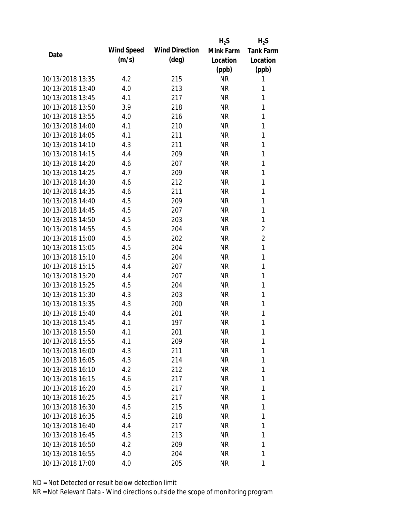|                  |            |                       | $H_2S$    | $H_2S$           |
|------------------|------------|-----------------------|-----------|------------------|
| Date             | Wind Speed | <b>Wind Direction</b> | Mink Farm | <b>Tank Farm</b> |
|                  | (m/s)      | $(\text{deg})$        | Location  | Location         |
|                  |            |                       | (ppb)     | (ppb)            |
| 10/13/2018 13:35 | 4.2        | 215                   | <b>NR</b> | 1                |
| 10/13/2018 13:40 | 4.0        | 213                   | <b>NR</b> | 1                |
| 10/13/2018 13:45 | 4.1        | 217                   | <b>NR</b> | 1                |
| 10/13/2018 13:50 | 3.9        | 218                   | <b>NR</b> | 1                |
| 10/13/2018 13:55 | 4.0        | 216                   | <b>NR</b> | 1                |
| 10/13/2018 14:00 | 4.1        | 210                   | <b>NR</b> | 1                |
| 10/13/2018 14:05 | 4.1        | 211                   | <b>NR</b> | 1                |
| 10/13/2018 14:10 | 4.3        | 211                   | <b>NR</b> | $\mathbf{1}$     |
| 10/13/2018 14:15 | 4.4        | 209                   | <b>NR</b> | 1                |
| 10/13/2018 14:20 | 4.6        | 207                   | <b>NR</b> | 1                |
| 10/13/2018 14:25 | 4.7        | 209                   | <b>NR</b> | 1                |
| 10/13/2018 14:30 | 4.6        | 212                   | <b>NR</b> | 1                |
| 10/13/2018 14:35 | 4.6        | 211                   | <b>NR</b> | 1                |
| 10/13/2018 14:40 | 4.5        | 209                   | <b>NR</b> | 1                |
| 10/13/2018 14:45 | 4.5        | 207                   | <b>NR</b> | 1                |
| 10/13/2018 14:50 | 4.5        | 203                   | <b>NR</b> | 1                |
| 10/13/2018 14:55 | 4.5        | 204                   | <b>NR</b> | $\overline{2}$   |
| 10/13/2018 15:00 | 4.5        | 202                   | <b>NR</b> | $\overline{2}$   |
| 10/13/2018 15:05 | 4.5        | 204                   | <b>NR</b> | 1                |
| 10/13/2018 15:10 | 4.5        | 204                   | <b>NR</b> | 1                |
| 10/13/2018 15:15 | 4.4        | 207                   | <b>NR</b> | 1                |
| 10/13/2018 15:20 | 4.4        | 207                   | <b>NR</b> | 1                |
| 10/13/2018 15:25 | 4.5        | 204                   | <b>NR</b> | 1                |
| 10/13/2018 15:30 | 4.3        | 203                   | <b>NR</b> | 1                |
| 10/13/2018 15:35 | 4.3        | 200                   | <b>NR</b> | 1                |
| 10/13/2018 15:40 | 4.4        | 201                   | <b>NR</b> | 1                |
| 10/13/2018 15:45 | 4.1        | 197                   | <b>NR</b> | 1                |
| 10/13/2018 15:50 | 4.1        | 201                   | <b>NR</b> | 1                |
| 10/13/2018 15:55 | 4.1        | 209                   | <b>NR</b> | 1                |
| 10/13/2018 16:00 | 4.3        | 211                   | <b>NR</b> | 1                |
| 10/13/2018 16:05 | 4.3        | 214                   | <b>NR</b> | 1                |
| 10/13/2018 16:10 | 4.2        | 212                   | NR        | 1                |
| 10/13/2018 16:15 | 4.6        | 217                   | <b>NR</b> | 1                |
| 10/13/2018 16:20 | 4.5        | 217                   | <b>NR</b> | 1                |
| 10/13/2018 16:25 | 4.5        | 217                   | <b>NR</b> | 1                |
| 10/13/2018 16:30 | 4.5        | 215                   | <b>NR</b> | 1                |
| 10/13/2018 16:35 | 4.5        | 218                   | <b>NR</b> | 1                |
| 10/13/2018 16:40 | 4.4        | 217                   | NR        | 1                |
| 10/13/2018 16:45 | 4.3        | 213                   | <b>NR</b> | 1                |
| 10/13/2018 16:50 | 4.2        | 209                   | <b>NR</b> | 1                |
| 10/13/2018 16:55 | 4.0        | 204                   | <b>NR</b> | 1                |
| 10/13/2018 17:00 | 4.0        | 205                   | <b>NR</b> | 1                |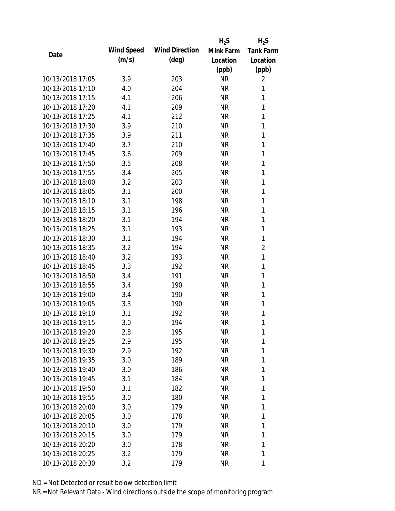|                  |            |                       | $H_2S$    | $H_2S$           |
|------------------|------------|-----------------------|-----------|------------------|
| Date             | Wind Speed | <b>Wind Direction</b> | Mink Farm | <b>Tank Farm</b> |
|                  | (m/s)      | $(\text{deg})$        | Location  | Location         |
|                  |            |                       | (ppb)     | (ppb)            |
| 10/13/2018 17:05 | 3.9        | 203                   | <b>NR</b> | 2                |
| 10/13/2018 17:10 | 4.0        | 204                   | <b>NR</b> | 1                |
| 10/13/2018 17:15 | 4.1        | 206                   | <b>NR</b> | 1                |
| 10/13/2018 17:20 | 4.1        | 209                   | <b>NR</b> | 1                |
| 10/13/2018 17:25 | 4.1        | 212                   | <b>NR</b> | 1                |
| 10/13/2018 17:30 | 3.9        | 210                   | <b>NR</b> | 1                |
| 10/13/2018 17:35 | 3.9        | 211                   | <b>NR</b> | 1                |
| 10/13/2018 17:40 | 3.7        | 210                   | <b>NR</b> | 1                |
| 10/13/2018 17:45 | 3.6        | 209                   | <b>NR</b> | 1                |
| 10/13/2018 17:50 | 3.5        | 208                   | <b>NR</b> | 1                |
| 10/13/2018 17:55 | 3.4        | 205                   | <b>NR</b> | 1                |
| 10/13/2018 18:00 | 3.2        | 203                   | <b>NR</b> | 1                |
| 10/13/2018 18:05 | 3.1        | 200                   | <b>NR</b> | 1                |
| 10/13/2018 18:10 | 3.1        | 198                   | <b>NR</b> | 1                |
| 10/13/2018 18:15 | 3.1        | 196                   | <b>NR</b> | 1                |
| 10/13/2018 18:20 | 3.1        | 194                   | <b>NR</b> | 1                |
| 10/13/2018 18:25 | 3.1        | 193                   | <b>NR</b> | 1                |
| 10/13/2018 18:30 | 3.1        | 194                   | <b>NR</b> | 1                |
| 10/13/2018 18:35 | 3.2        | 194                   | <b>NR</b> | $\overline{2}$   |
| 10/13/2018 18:40 | 3.2        | 193                   | <b>NR</b> | 1                |
| 10/13/2018 18:45 | 3.3        | 192                   | <b>NR</b> | 1                |
| 10/13/2018 18:50 | 3.4        | 191                   | <b>NR</b> | 1                |
| 10/13/2018 18:55 | 3.4        | 190                   | <b>NR</b> | 1                |
| 10/13/2018 19:00 | 3.4        | 190                   | <b>NR</b> | 1                |
| 10/13/2018 19:05 | 3.3        | 190                   | <b>NR</b> | 1                |
| 10/13/2018 19:10 | 3.1        | 192                   | <b>NR</b> | 1                |
| 10/13/2018 19:15 | 3.0        | 194                   | <b>NR</b> | 1                |
| 10/13/2018 19:20 | 2.8        | 195                   | <b>NR</b> | 1                |
| 10/13/2018 19:25 | 2.9        | 195                   | <b>NR</b> | 1                |
| 10/13/2018 19:30 | 2.9        | 192                   | <b>NR</b> | 1                |
| 10/13/2018 19:35 | 3.0        | 189                   | <b>NR</b> | 1                |
| 10/13/2018 19:40 | 3.0        | 186                   | <b>NR</b> | 1                |
| 10/13/2018 19:45 | 3.1        | 184                   | <b>NR</b> | 1                |
| 10/13/2018 19:50 | 3.1        | 182                   | <b>NR</b> | 1                |
| 10/13/2018 19:55 | 3.0        | 180                   | <b>NR</b> | 1                |
| 10/13/2018 20:00 | 3.0        | 179                   | <b>NR</b> | 1                |
| 10/13/2018 20:05 | 3.0        | 178                   | <b>NR</b> | 1                |
| 10/13/2018 20:10 | 3.0        | 179                   | <b>NR</b> | 1                |
| 10/13/2018 20:15 | 3.0        | 179                   | <b>NR</b> | 1                |
| 10/13/2018 20:20 | 3.0        | 178                   | <b>NR</b> | 1                |
| 10/13/2018 20:25 | 3.2        | 179                   | <b>NR</b> | 1                |
| 10/13/2018 20:30 | 3.2        | 179                   | <b>NR</b> | 1                |
|                  |            |                       |           |                  |